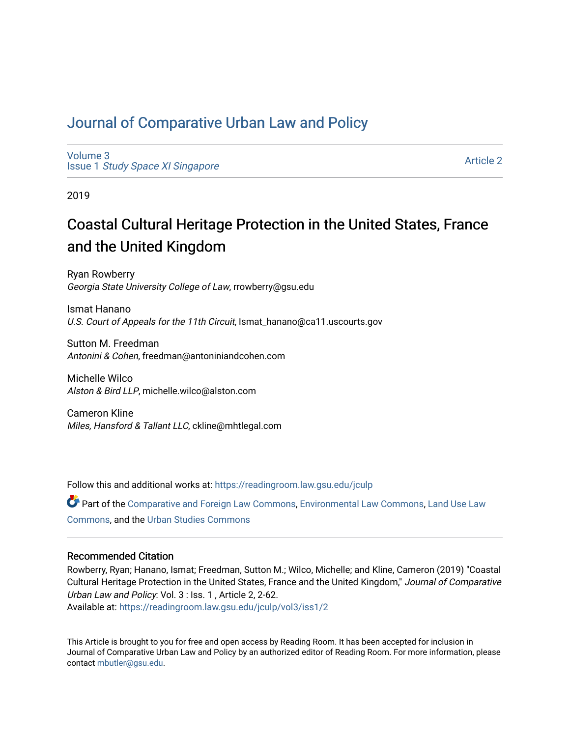## [Journal of Comparative Urban Law and Policy](https://readingroom.law.gsu.edu/jculp)

[Volume 3](https://readingroom.law.gsu.edu/jculp/vol3) Issue 1 [Study Space XI Singapore](https://readingroom.law.gsu.edu/jculp/vol3/iss1)

[Article 2](https://readingroom.law.gsu.edu/jculp/vol3/iss1/2) 

2019

# Coastal Cultural Heritage Protection in the United States, France and the United Kingdom

Ryan Rowberry Georgia State University College of Law, rrowberry@gsu.edu

Ismat Hanano U.S. Court of Appeals for the 11th Circuit, Ismat\_hanano@ca11.uscourts.gov

Sutton M. Freedman Antonini & Cohen, freedman@antoniniandcohen.com

Michelle Wilco Alston & Bird LLP, michelle.wilco@alston.com

Cameron Kline Miles, Hansford & Tallant LLC, ckline@mhtlegal.com

Follow this and additional works at: [https://readingroom.law.gsu.edu/jculp](https://readingroom.law.gsu.edu/jculp?utm_source=readingroom.law.gsu.edu%2Fjculp%2Fvol3%2Fiss1%2F2&utm_medium=PDF&utm_campaign=PDFCoverPages) 

Part of the [Comparative and Foreign Law Commons,](http://network.bepress.com/hgg/discipline/836?utm_source=readingroom.law.gsu.edu%2Fjculp%2Fvol3%2Fiss1%2F2&utm_medium=PDF&utm_campaign=PDFCoverPages) [Environmental Law Commons](http://network.bepress.com/hgg/discipline/599?utm_source=readingroom.law.gsu.edu%2Fjculp%2Fvol3%2Fiss1%2F2&utm_medium=PDF&utm_campaign=PDFCoverPages), [Land Use Law](http://network.bepress.com/hgg/discipline/852?utm_source=readingroom.law.gsu.edu%2Fjculp%2Fvol3%2Fiss1%2F2&utm_medium=PDF&utm_campaign=PDFCoverPages)  [Commons](http://network.bepress.com/hgg/discipline/852?utm_source=readingroom.law.gsu.edu%2Fjculp%2Fvol3%2Fiss1%2F2&utm_medium=PDF&utm_campaign=PDFCoverPages), and the [Urban Studies Commons](http://network.bepress.com/hgg/discipline/402?utm_source=readingroom.law.gsu.edu%2Fjculp%2Fvol3%2Fiss1%2F2&utm_medium=PDF&utm_campaign=PDFCoverPages) 

## Recommended Citation

Rowberry, Ryan; Hanano, Ismat; Freedman, Sutton M.; Wilco, Michelle; and Kline, Cameron (2019) "Coastal Cultural Heritage Protection in the United States, France and the United Kingdom," Journal of Comparative Urban Law and Policy: Vol. 3 : Iss. 1 , Article 2, 2-62.

Available at: [https://readingroom.law.gsu.edu/jculp/vol3/iss1/2](https://readingroom.law.gsu.edu/jculp/vol3/iss1/2?utm_source=readingroom.law.gsu.edu%2Fjculp%2Fvol3%2Fiss1%2F2&utm_medium=PDF&utm_campaign=PDFCoverPages) 

This Article is brought to you for free and open access by Reading Room. It has been accepted for inclusion in Journal of Comparative Urban Law and Policy by an authorized editor of Reading Room. For more information, please contact [mbutler@gsu.edu](mailto:mbutler@gsu.edu).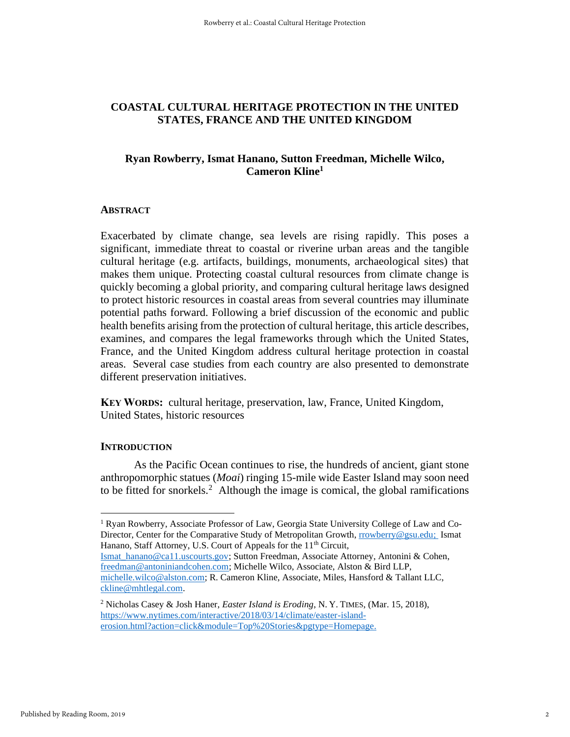## **COASTAL CULTURAL HERITAGE PROTECTION IN THE UNITED STATES, FRANCE AND THE UNITED KINGDOM**

## **Ryan Rowberry, Ismat Hanano, Sutton Freedman, Michelle Wilco, Cameron Kline<sup>1</sup>**

## **ABSTRACT**

Exacerbated by climate change, sea levels are rising rapidly. This poses a significant, immediate threat to coastal or riverine urban areas and the tangible cultural heritage (e.g. artifacts, buildings, monuments, archaeological sites) that makes them unique. Protecting coastal cultural resources from climate change is quickly becoming a global priority, and comparing cultural heritage laws designed to protect historic resources in coastal areas from several countries may illuminate potential paths forward. Following a brief discussion of the economic and public health benefits arising from the protection of cultural heritage, this article describes, examines, and compares the legal frameworks through which the United States, France, and the United Kingdom address cultural heritage protection in coastal areas. Several case studies from each country are also presented to demonstrate different preservation initiatives.

**KEY WORDS:** cultural heritage, preservation, law, France, United Kingdom, United States, historic resources

#### **INTRODUCTION**

As the Pacific Ocean continues to rise, the hundreds of ancient, giant stone anthropomorphic statues (*Moai*) ringing 15-mile wide Easter Island may soon need to be fitted for snorkels.<sup>2</sup> Although the image is comical, the global ramifications

[Ismat\\_hanano@ca11.uscourts.gov;](mailto:Ismat_hanano@ca11.uscourts.gov) Sutton Freedman, Associate Attorney, Antonini & Cohen, [freedman@antoniniandcohen.com;](mailto:freedman@antoniniandcohen.com) Michelle Wilco, Associate, Alston & Bird LLP, [michelle.wilco@alston.com;](mailto:michelle.wilco@alston.com) R. Cameron Kline, Associate, Miles, Hansford & Tallant LLC, [ckline@mhtlegal.com.](mailto:ckline@mhtlegal.com)

<sup>&</sup>lt;sup>1</sup> Ryan Rowberry, Associate Professor of Law, Georgia State University College of Law and Co-Director, Center for the Comparative Study of Metropolitan Growth[, rrowberry@gsu.edu;](mailto:rrowberry@gsu.edu) Ismat Hanano, Staff Attorney, U.S. Court of Appeals for the 11<sup>th</sup> Circuit,

<sup>2</sup> Nicholas Casey & Josh Haner, *Easter Island is Eroding*, N. Y. TIMES, (Mar. 15, 2018), [https://www.nytimes.com/interactive/2018/03/14/climate/easter-island](https://www.nytimes.com/interactive/2018/03/14/climate/easter-island-erosion.html?action=click&module=Top%20Stories&pgtype=Homepage)[erosion.html?action=click&module=Top%20Stories&pgtype=Homepage.](https://www.nytimes.com/interactive/2018/03/14/climate/easter-island-erosion.html?action=click&module=Top%20Stories&pgtype=Homepage)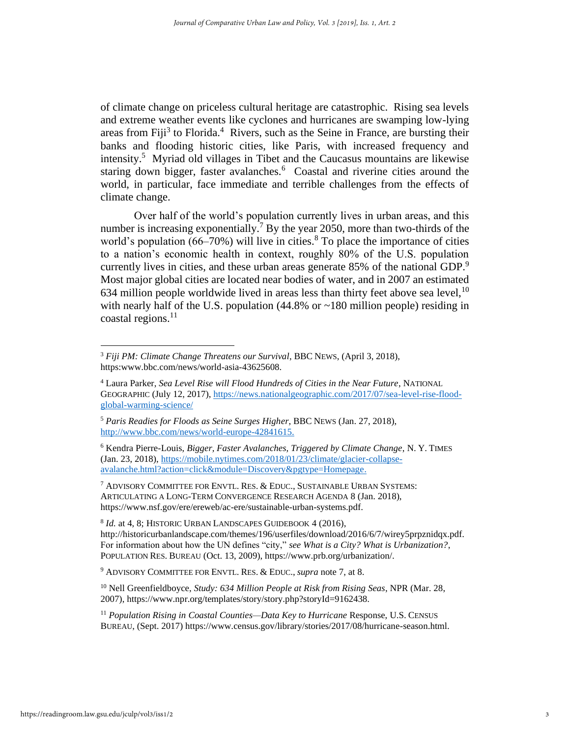of climate change on priceless cultural heritage are catastrophic. Rising sea levels and extreme weather events like cyclones and hurricanes are swamping low-lying areas from Fiji<sup>3</sup> to Florida.<sup>4</sup> Rivers, such as the Seine in France, are bursting their banks and flooding historic cities, like Paris, with increased frequency and intensity.<sup>5</sup> Myriad old villages in Tibet and the Caucasus mountains are likewise staring down bigger, faster avalanches.<sup>6</sup> Coastal and riverine cities around the world, in particular, face immediate and terrible challenges from the effects of climate change.

<span id="page-2-0"></span>Over half of the world's population currently lives in urban areas, and this number is increasing exponentially.<sup>7</sup> By the year 2050, more than two-thirds of the world's population  $(66-70%)$  will live in cities.<sup>8</sup> To place the importance of cities to a nation's economic health in context, roughly 80% of the U.S. population currently lives in cities, and these urban areas generate 85% of the national GDP.<sup>9</sup> Most major global cities are located near bodies of water, and in 2007 an estimated 634 million people worldwide lived in areas less than thirty feet above sea level,  $10$ with nearly half of the U.S. population (44.8% or ~180 million people) residing in coastal regions. $^{11}$ 

<sup>6</sup> Kendra Pierre-Louis, *Bigger, Faster Avalanches, Triggered by Climate Change*, N. Y. TIMES (Jan. 23, 2018), [https://mobile.nytimes.com/2018/01/23/climate/glacier-collapse](https://mobile.nytimes.com/2018/01/23/climate/glacier-collapse-avalanche.html?action=click&module=Discovery&pgtype=Homepage)[avalanche.html?action=click&module=Discovery&pgtype=Homepage.](https://mobile.nytimes.com/2018/01/23/climate/glacier-collapse-avalanche.html?action=click&module=Discovery&pgtype=Homepage)

<sup>7</sup> ADVISORY COMMITTEE FOR ENVTL. RES. & EDUC., SUSTAINABLE URBAN SYSTEMS: ARTICULATING A LONG-TERM CONVERGENCE RESEARCH AGENDA 8 (Jan. 2018), https://www.nsf.gov/ere/ereweb/ac-ere/sustainable-urban-systems.pdf.

8 *Id.* at 4, 8; HISTORIC URBAN LANDSCAPES GUIDEBOOK 4 (2016), http://historicurbanlandscape.com/themes/196/userfiles/download/2016/6/7/wirey5prpznidqx.pdf. For information about how the UN defines "city," *see What is a City? What is Urbanization?*, POPULATION RES. BUREAU (Oct. 13, 2009), https://www.prb.org/urbanization/.

<sup>9</sup> ADVISORY COMMITTEE FOR ENVTL. RES. & EDUC., *supra* note [7,](#page-2-0) at 8.

<sup>10</sup> Nell Greenfieldboyce, *Study: 634 Million People at Risk from Rising Seas*, NPR (Mar. 28, 2007), https://www.npr.org/templates/story/story.php?storyId=9162438.

<sup>11</sup> *Population Rising in Coastal Counties—Data Key to Hurricane Response, U.S. CENSUS* BUREAU, (Sept. 2017) https://www.census.gov/library/stories/2017/08/hurricane-season.html.

<sup>3</sup> *Fiji PM: Climate Change Threatens our Survival*, BBC NEWS, (April 3, 2018), https:www.bbc.com/news/world-asia-43625608.

<sup>4</sup> Laura Parker, *Sea Level Rise will Flood Hundreds of Cities in the Near Future*, NATIONAL GEOGRAPHIC (July 12, 2017), [https://news.nationalgeographic.com/2017/07/sea-level-rise-flood](https://news.nationalgeographic.com/2017/07/sea-level-rise-flood-global-warming-science/)[global-warming-science/](https://news.nationalgeographic.com/2017/07/sea-level-rise-flood-global-warming-science/)

<sup>5</sup> *Paris Readies for Floods as Seine Surges Higher*, BBC NEWS (Jan. 27, 2018), [http://www.bbc.com/news/world-europe-42841615.](http://www.bbc.com/news/world-europe-42841615)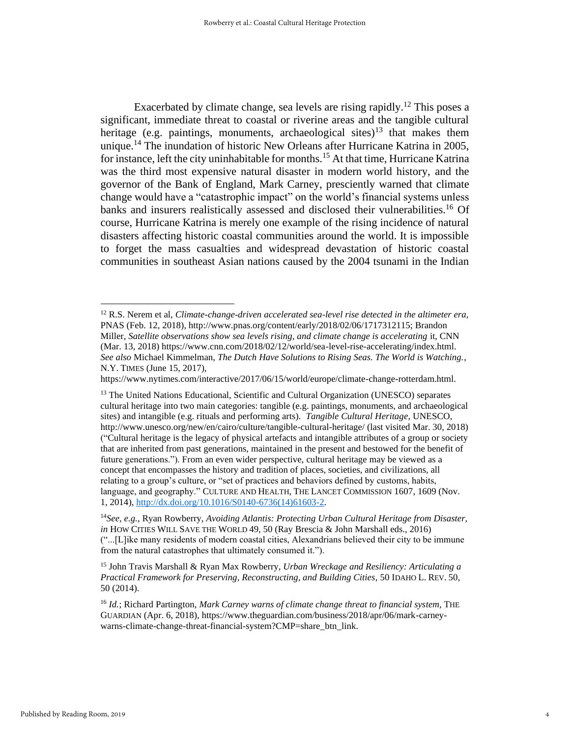<span id="page-3-1"></span><span id="page-3-0"></span>Exacerbated by climate change, sea levels are rising rapidly.<sup>12</sup> This poses a significant, immediate threat to coastal or riverine areas and the tangible cultural heritage (e.g. paintings, monuments, archaeological sites)<sup>13</sup> that makes them unique.<sup>14</sup> The inundation of historic New Orleans after Hurricane Katrina in 2005, for instance, left the city uninhabitable for months.<sup>15</sup> At that time, Hurricane Katrina was the third most expensive natural disaster in modern world history, and the governor of the Bank of England, Mark Carney, presciently warned that climate change would have a "catastrophic impact" on the world's financial systems unless banks and insurers realistically assessed and disclosed their vulnerabilities.<sup>16</sup> Of course, Hurricane Katrina is merely one example of the rising incidence of natural disasters affecting historic coastal communities around the world. It is impossible to forget the mass casualties and widespread devastation of historic coastal communities in southeast Asian nations caused by the 2004 tsunami in the Indian

https://www.nytimes.com/interactive/2017/06/15/world/europe/climate-change-rotterdam.html.

<sup>12</sup> R.S. Nerem et al, *Climate-change-driven accelerated sea-level rise detected in the altimeter era,*  PNAS (Feb. 12, 2018), http://www.pnas.org/content/early/2018/02/06/1717312115; Brandon Miller, *Satellite observations show sea levels rising, and climate change is accelerating* it, CNN (Mar. 13, 2018) https://www.cnn.com/2018/02/12/world/sea-level-rise-accelerating/index.html. *See also* Michael Kimmelman, *The Dutch Have Solutions to Rising Seas. The World is Watching.*, N.Y. TIMES (June 15, 2017),

<sup>&</sup>lt;sup>13</sup> The United Nations Educational, Scientific and Cultural Organization (UNESCO) separates cultural heritage into two main categories: tangible (e.g. paintings, monuments, and archaeological sites) and intangible (e.g. rituals and performing arts). *Tangible Cultural Heritage*, UNESCO, http://www.unesco.org/new/en/cairo/culture/tangible-cultural-heritage/ (last visited Mar. 30, 2018) ("Cultural heritage is the legacy of physical artefacts and intangible attributes of a group or society that are inherited from past generations, maintained in the present and bestowed for the benefit of future generations."). From an even wider perspective, cultural heritage may be viewed as a concept that encompasses the history and tradition of places, societies, and civilizations, all relating to a group's culture, or "set of practices and behaviors defined by customs, habits, language, and geography." CULTURE AND HEALTH, THE LANCET COMMISSION 1607, 1609 (Nov. 1, 2014), [http://dx.doi.org/10.1016/S0140-6736\(14\)61603-2.](http://dx.doi.org/10.1016/S0140-6736(14)61603-2)

<sup>14</sup>*See, e.g.*, Ryan Rowberry, *Avoiding Atlantis: Protecting Urban Cultural Heritage from Disaster, in* HOW CITIES WILL SAVE THE WORLD 49, 50 (Ray Brescia & John Marshall eds., 2016) ("...[L]ike many residents of modern coastal cities, Alexandrians believed their city to be immune from the natural catastrophes that ultimately consumed it.").

<sup>15</sup> John Travis Marshall & Ryan Max Rowberry, *Urban Wreckage and Resiliency: Articulating a Practical Framework for Preserving, Reconstructing, and Building Cities*, 50 IDAHO L. REV. 50, 50 (2014).

<sup>&</sup>lt;sup>16</sup> *Id.*; Richard Partington, *Mark Carney warns of climate change threat to financial system*, THE GUARDIAN (Apr. 6, 2018), https://www.theguardian.com/business/2018/apr/06/mark-carneywarns-climate-change-threat-financial-system?CMP=share\_btn\_link.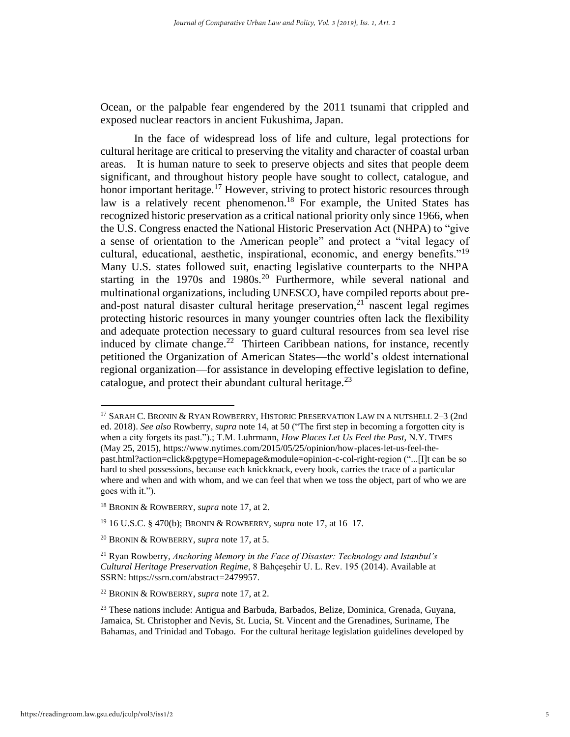Ocean, or the palpable fear engendered by the 2011 tsunami that crippled and exposed nuclear reactors in ancient Fukushima, Japan.

<span id="page-4-0"></span>In the face of widespread loss of life and culture, legal protections for cultural heritage are critical to preserving the vitality and character of coastal urban areas. It is human nature to seek to preserve objects and sites that people deem significant, and throughout history people have sought to collect, catalogue, and honor important heritage.<sup>17</sup> However, striving to protect historic resources through law is a relatively recent phenomenon.<sup>18</sup> For example, the United States has recognized historic preservation as a critical national priority only since 1966, when the U.S. Congress enacted the National Historic Preservation Act (NHPA) to "give a sense of orientation to the American people" and protect a "vital legacy of cultural, educational, aesthetic, inspirational, economic, and energy benefits."<sup>19</sup> Many U.S. states followed suit, enacting legislative counterparts to the NHPA starting in the 1970s and 1980s.<sup>20</sup> Furthermore, while several national and multinational organizations, including UNESCO, have compiled reports about preand-post natural disaster cultural heritage preservation, $21$  nascent legal regimes protecting historic resources in many younger countries often lack the flexibility and adequate protection necessary to guard cultural resources from sea level rise induced by climate change.<sup>22</sup> Thirteen Caribbean nations, for instance, recently petitioned the Organization of American States—the world's oldest international regional organization—for assistance in developing effective legislation to define, catalogue, and protect their abundant cultural heritage. $^{23}$ 

<sup>17</sup> SARAH C. BRONIN & RYAN ROWBERRY, HISTORIC PRESERVATION LAW IN A NUTSHELL 2–3 (2nd ed. 2018). *See also* Rowberry, *supra* note [14,](#page-3-0) at 50 ("The first step in becoming a forgotten city is when a city forgets its past.").; T.M. Luhrmann, *How Places Let Us Feel the Past*, N.Y. TIMES (May 25, 2015), https://www.nytimes.com/2015/05/25/opinion/how-places-let-us-feel-thepast.html?action=click&pgtype=Homepage&module=opinion-c-col-right-region ("...[I]t can be so hard to shed possessions, because each knickknack, every book, carries the trace of a particular where and when and with whom, and we can feel that when we toss the object, part of who we are goes with it.").

<sup>18</sup> BRONIN & ROWBERRY, *supra* not[e 17,](#page-4-0) at 2.

<sup>19</sup> 16 U.S.C. § 470(b); BRONIN & ROWBERRY, *supra* note [17,](#page-4-0) at 16–17.

<sup>20</sup> BRONIN & ROWBERRY, *supra* not[e 17,](#page-4-0) at 5.

<sup>21</sup> Ryan Rowberry, *Anchoring Memory in the Face of Disaster: Technology and Istanbul's Cultural Heritage Preservation Regime*, 8 Bahçeşehir U. L. Rev. 195 (2014). Available at SSRN: https://ssrn.com/abstract=2479957.

<sup>22</sup> BRONIN & ROWBERRY, *supra* not[e 17,](#page-4-0) at 2.

<sup>23</sup> These nations include: Antigua and Barbuda, Barbados, Belize, Dominica, Grenada, Guyana, Jamaica, St. Christopher and Nevis, St. Lucia, St. Vincent and the Grenadines, Suriname, The Bahamas, and Trinidad and Tobago. For the cultural heritage legislation guidelines developed by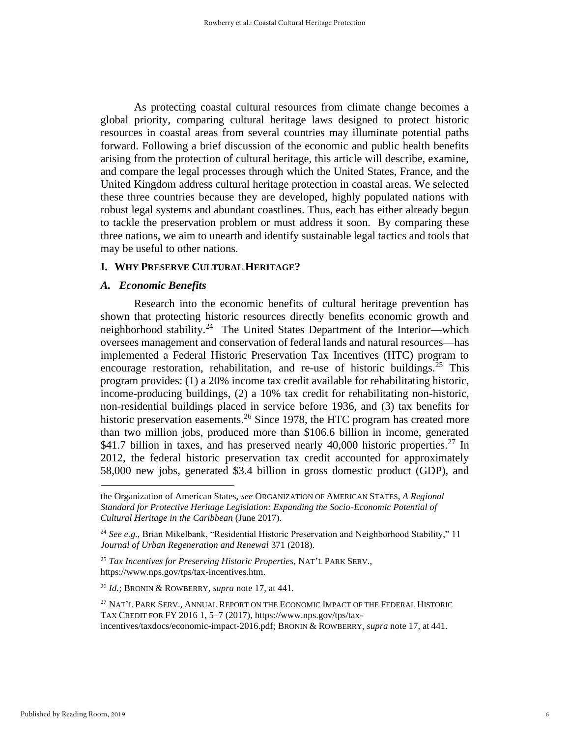As protecting coastal cultural resources from climate change becomes a global priority, comparing cultural heritage laws designed to protect historic resources in coastal areas from several countries may illuminate potential paths forward. Following a brief discussion of the economic and public health benefits arising from the protection of cultural heritage, this article will describe, examine, and compare the legal processes through which the United States, France, and the United Kingdom address cultural heritage protection in coastal areas. We selected these three countries because they are developed, highly populated nations with robust legal systems and abundant coastlines. Thus, each has either already begun to tackle the preservation problem or must address it soon. By comparing these three nations, we aim to unearth and identify sustainable legal tactics and tools that may be useful to other nations.

## **I. WHY PRESERVE CULTURAL HERITAGE?**

#### *A. Economic Benefits*

Research into the economic benefits of cultural heritage prevention has shown that protecting historic resources directly benefits economic growth and neighborhood stability.<sup>24</sup> The United States Department of the Interior—which oversees management and conservation of federal lands and natural resources—has implemented a Federal Historic Preservation Tax Incentives (HTC) program to encourage restoration, rehabilitation, and re-use of historic buildings.<sup>25</sup> This program provides: (1) a 20% income tax credit available for rehabilitating historic, income-producing buildings, (2) a 10% tax credit for rehabilitating non-historic, non-residential buildings placed in service before 1936, and (3) tax benefits for historic preservation easements.<sup>26</sup> Since 1978, the HTC program has created more than two million jobs, produced more than \$106.6 billion in income, generated \$41.7 billion in taxes, and has preserved nearly 40,000 historic properties.<sup>27</sup> In 2012, the federal historic preservation tax credit accounted for approximately 58,000 new jobs, generated \$3.4 billion in gross domestic product (GDP), and

<span id="page-5-0"></span>the Organization of American States, *see* ORGANIZATION OF AMERICAN STATES, *A Regional Standard for Protective Heritage Legislation: Expanding the Socio-Economic Potential of Cultural Heritage in the Caribbean* (June 2017).

<sup>&</sup>lt;sup>24</sup> See e.g., Brian Mikelbank, "Residential Historic Preservation and Neighborhood Stability," 11 *Journal of Urban Regeneration and Renewal* 371 (2018).

<sup>25</sup> *Tax Incentives for Preserving Historic Properties*, NAT'L PARK SERV., https://www.nps.gov/tps/tax-incentives.htm.

<sup>26</sup> *Id.*; BRONIN & ROWBERRY, *supra* not[e 17,](#page-4-0) at 441.

<sup>&</sup>lt;sup>27</sup> NAT'L PARK SERV., ANNUAL REPORT ON THE ECONOMIC IMPACT OF THE FEDERAL HISTORIC TAX CREDIT FOR FY 2016 1, 5–7 (2017), https://www.nps.gov/tps/taxincentives/taxdocs/economic-impact-2016.pdf; BRONIN & ROWBERRY, *supra* note [17,](#page-4-0) at 441.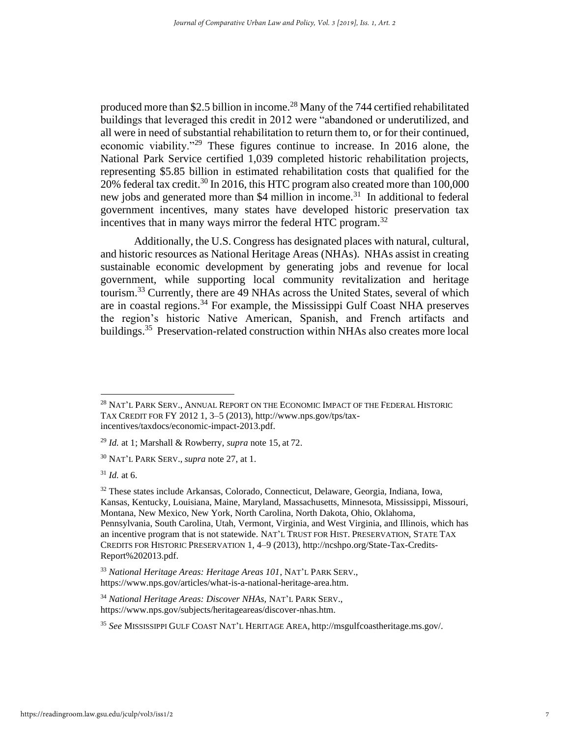produced more than \$2.5 billion in income.<sup>28</sup> Many of the 744 certified rehabilitated buildings that leveraged this credit in 2012 were "abandoned or underutilized, and all were in need of substantial rehabilitation to return them to, or for their continued, economic viability."<sup>29</sup> These figures continue to increase. In 2016 alone, the National Park Service certified 1,039 completed historic rehabilitation projects, representing \$5.85 billion in estimated rehabilitation costs that qualified for the 20% federal tax credit.<sup>30</sup> In 2016, this HTC program also created more than  $100,000$ new jobs and generated more than \$4 million in income.<sup>31</sup> In additional to federal government incentives, many states have developed historic preservation tax incentives that in many ways mirror the federal HTC program.<sup>32</sup>

<span id="page-6-0"></span>Additionally, the U.S. Congress has designated places with natural, cultural, and historic resources as National Heritage Areas (NHAs). NHAs assist in creating sustainable economic development by generating jobs and revenue for local government, while supporting local community revitalization and heritage tourism.<sup>33</sup> Currently, there are 49 NHAs across the United States, several of which are in coastal regions.<sup>34</sup> For example, the Mississippi Gulf Coast NHA preserves the region's historic Native American, Spanish, and French artifacts and buildings.<sup>35</sup> Preservation-related construction within NHAs also creates more local

<sup>&</sup>lt;sup>28</sup> NAT'L PARK SERV., ANNUAL REPORT ON THE ECONOMIC IMPACT OF THE FEDERAL HISTORIC TAX CREDIT FOR FY 2012 1, 3–5 (2013), http://www.nps.gov/tps/taxincentives/taxdocs/economic-impact-2013.pdf.

<sup>29</sup> *Id.* at 1; Marshall & Rowberry, *supra* not[e 15,](#page-3-1) at 72.

<sup>30</sup> NAT'L PARK SERV., *supra* note [27,](#page-5-0) at 1.

<sup>31</sup> *Id.* at 6.

<sup>32</sup> These states include Arkansas, Colorado, Connecticut, Delaware, Georgia, Indiana, Iowa, Kansas, Kentucky, Louisiana, Maine, Maryland, Massachusetts, Minnesota, Mississippi, Missouri, Montana, New Mexico, New York, North Carolina, North Dakota, Ohio, Oklahoma, Pennsylvania, South Carolina, Utah, Vermont, Virginia, and West Virginia, and Illinois, which has an incentive program that is not statewide. NAT'L TRUST FOR HIST. PRESERVATION, STATE TAX CREDITS FOR HISTORIC PRESERVATION 1, 4–9 (2013), http://ncshpo.org/State-Tax-Credits-Report%202013.pdf.

<sup>33</sup> *National Heritage Areas: Heritage Areas 101*, NAT'L PARK SERV., https://www.nps.gov/articles/what-is-a-national-heritage-area.htm.

<sup>34</sup> *National Heritage Areas: Discover NHAs,* NAT'L PARK SERV., https://www.nps.gov/subjects/heritageareas/discover-nhas.htm.

<sup>35</sup> *See* MISSISSIPPI GULF COAST NAT'L HERITAGE AREA, http://msgulfcoastheritage.ms.gov/.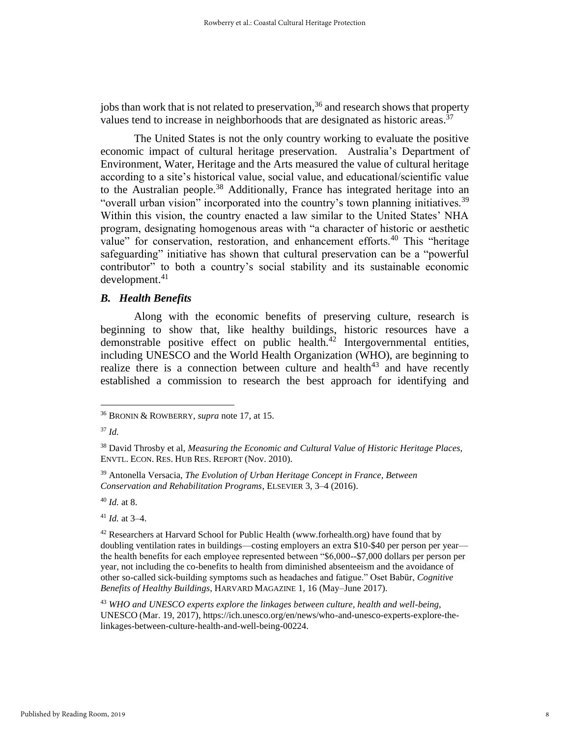jobs than work that is not related to preservation, <sup>36</sup> and research shows that property values tend to increase in neighborhoods that are designated as historic areas.<sup>37</sup>

The United States is not the only country working to evaluate the positive economic impact of cultural heritage preservation. Australia's Department of Environment, Water, Heritage and the Arts measured the value of cultural heritage according to a site's historical value, social value, and educational/scientific value to the Australian people.<sup>38</sup> Additionally, France has integrated heritage into an "overall urban vision" incorporated into the country's town planning initiatives.<sup>39</sup> Within this vision, the country enacted a law similar to the United States' NHA program, designating homogenous areas with "a character of historic or aesthetic value" for conservation, restoration, and enhancement efforts.<sup>40</sup> This "heritage safeguarding" initiative has shown that cultural preservation can be a "powerful contributor" to both a country's social stability and its sustainable economic  $d$ evelopment. $41$ 

## *B. Health Benefits*

Along with the economic benefits of preserving culture, research is beginning to show that, like healthy buildings, historic resources have a demonstrable positive effect on public health.<sup>42</sup> Intergovernmental entities, including UNESCO and the World Health Organization (WHO), are beginning to realize there is a connection between culture and health $43$  and have recently established a commission to research the best approach for identifying and

<sup>40</sup> *Id.* at 8.

 $41$  *Id.* at 3–4.

<sup>36</sup> BRONIN & ROWBERRY, *supra* not[e 17,](#page-4-0) at 15.

<sup>37</sup> *Id.*

<sup>38</sup> David Throsby et al, *Measuring the Economic and Cultural Value of Historic Heritage Places,* ENVTL. ECON. RES. HUB RES. REPORT (Nov. 2010).

<sup>39</sup> Antonella Versacia, *The Evolution of Urban Heritage Concept in France, Between Conservation and Rehabilitation Programs*, ELSEVIER 3, 3–4 (2016).

 $42$  Researchers at Harvard School for Public Health (www.forhealth.org) have found that by doubling ventilation rates in buildings—costing employers an extra \$10-\$40 per person per year the health benefits for each employee represented between "\$6,000--\$7,000 dollars per person per year, not including the co-benefits to health from diminished absenteeism and the avoidance of other so-called sick-building symptoms such as headaches and fatigue." Oset Babür, *Cognitive Benefits of Healthy Buildings*, HARVARD MAGAZINE 1, 16 (May–June 2017).

<sup>43</sup> *WHO and UNESCO experts explore the linkages between culture, health and well-being*, UNESCO (Mar. 19, 2017), https://ich.unesco.org/en/news/who-and-unesco-experts-explore-thelinkages-between-culture-health-and-well-being-00224.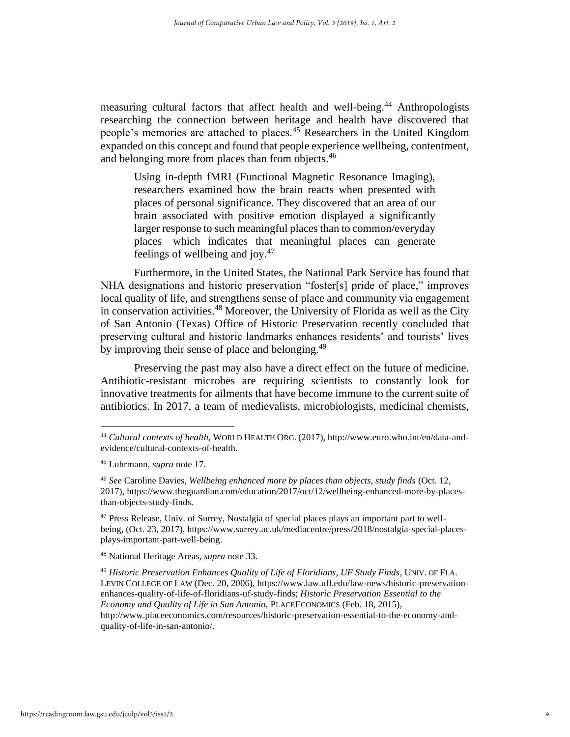measuring cultural factors that affect health and well-being.<sup>44</sup> Anthropologists researching the connection between heritage and health have discovered that people's memories are attached to places.<sup>45</sup> Researchers in the United Kingdom expanded on this concept and found that people experience wellbeing, contentment, and belonging more from places than from objects.<sup>46</sup>

Using in-depth fMRI (Functional Magnetic Resonance Imaging), researchers examined how the brain reacts when presented with places of personal significance. They discovered that an area of our brain associated with positive emotion displayed a significantly larger response to such meaningful places than to common/everyday places—which indicates that meaningful places can generate feelings of wellbeing and joy. $47$ 

Furthermore, in the United States, the National Park Service has found that NHA designations and historic preservation "foster[s] pride of place," improves local quality of life, and strengthens sense of place and community via engagement in conservation activities.<sup>48</sup> Moreover, the University of Florida as well as the City of San Antonio (Texas) Office of Historic Preservation recently concluded that preserving cultural and historic landmarks enhances residents' and tourists' lives by improving their sense of place and belonging.<sup>49</sup>

Preserving the past may also have a direct effect on the future of medicine. Antibiotic-resistant microbes are requiring scientists to constantly look for innovative treatments for ailments that have become immune to the current suite of antibiotics. In 2017, a team of medievalists, microbiologists, medicinal chemists,

<sup>48</sup> National Heritage Areas, *supra* note [33.](#page-6-0)

<sup>44</sup> *Cultural contexts of health,* WORLD HEALTH ORG. (2017), http://www.euro.who.int/en/data-andevidence/cultural-contexts-of-health.

<sup>45</sup> Luhrmann, *supra* not[e 17.](#page-4-0)

<sup>46</sup> *See* Caroline Davies, *Wellbeing enhanced more by places than objects, study finds* (Oct. 12, 2017), https://www.theguardian.com/education/2017/oct/12/wellbeing-enhanced-more-by-placesthan-objects-study-finds.

 $47$  Press Release, Univ. of Surrey, Nostalgia of special places plays an important part to wellbeing, (Oct. 23, 2017), https://www.surrey.ac.uk/mediacentre/press/2018/nostalgia-special-placesplays-important-part-well-being.

<sup>49</sup> *Historic Preservation Enhances Quality of Life of Floridians, UF Study Finds*, UNIV. OF FLA. LEVIN COLLEGE OF LAW (Dec. 20, 2006), https://www.law.ufl.edu/law-news/historic-preservationenhances-quality-of-life-of-floridians-uf-study-finds; *Historic Preservation Essential to the Economy and Quality of Life in San Antonio,* PLACEECONOMICS (Feb. 18, 2015), http://www.placeeconomics.com/resources/historic-preservation-essential-to-the-economy-andquality-of-life-in-san-antonio/.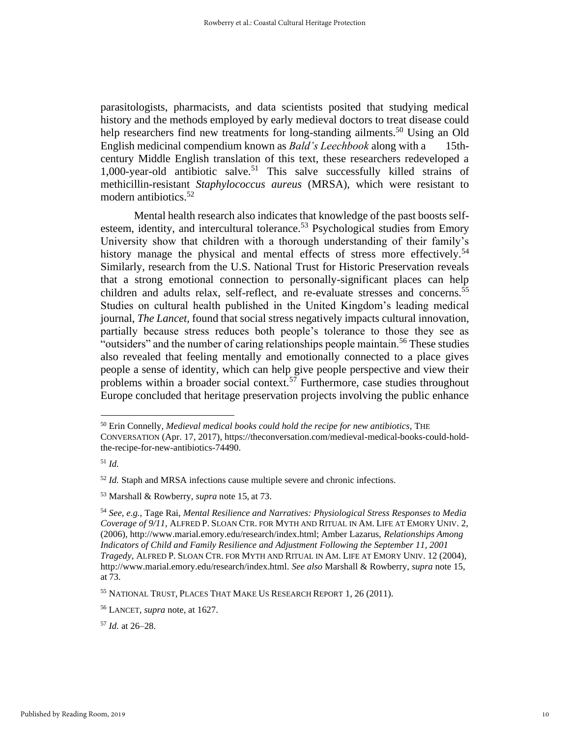parasitologists, pharmacists, and data scientists posited that studying medical history and the methods employed by early medieval doctors to treat disease could help researchers find new treatments for long-standing ailments.<sup>50</sup> Using an Old English medicinal compendium known as *Bald's Leechbook* along with a 15thcentury Middle English translation of this text, these researchers redeveloped a 1,000-year-old antibiotic salve.<sup>51</sup> This salve successfully killed strains of methicillin-resistant *Staphylococcus aureus* (MRSA), which were resistant to modern antibiotics.<sup>52</sup>

Mental health research also indicates that knowledge of the past boosts selfesteem, identity, and intercultural tolerance.<sup>53</sup> Psychological studies from Emory University show that children with a thorough understanding of their family's history manage the physical and mental effects of stress more effectively.<sup>54</sup> Similarly, research from the U.S. National Trust for Historic Preservation reveals that a strong emotional connection to personally-significant places can help children and adults relax, self-reflect, and re-evaluate stresses and concerns.<sup>55</sup> Studies on cultural health published in the United Kingdom's leading medical journal, *The Lancet,* found that social stress negatively impacts cultural innovation, partially because stress reduces both people's tolerance to those they see as "outsiders" and the number of caring relationships people maintain.<sup>56</sup> These studies also revealed that feeling mentally and emotionally connected to a place gives people a sense of identity, which can help give people perspective and view their problems within a broader social context.<sup>57</sup> Furthermore, case studies throughout Europe concluded that heritage preservation projects involving the public enhance

<sup>50</sup> Erin Connelly, *Medieval medical books could hold the recipe for new antibiotics*, THE CONVERSATION (Apr. 17, 2017), https://theconversation.com/medieval-medical-books-could-holdthe-recipe-for-new-antibiotics-74490.

<sup>51</sup> *Id.*

<sup>52</sup> *Id.* Staph and MRSA infections cause multiple severe and chronic infections.

<sup>53</sup> Marshall & Rowberry, *supra* note [15,](#page-3-1) at 73.

<sup>54</sup> *See, e.g.,* Tage Rai, *Mental Resilience and Narratives: Physiological Stress Responses to Media Coverage of 9/11*, ALFRED P. SLOAN CTR. FOR MYTH AND RITUAL IN AM. LIFE AT EMORY UNIV. 2, (2006), http://www.marial.emory.edu/research/index.html; Amber Lazarus, *Relationships Among Indicators of Child and Family Resilience and Adjustment Following the September 11, 2001 Tragedy*, ALFRED P. SLOAN CTR. FOR MYTH AND RITUAL IN AM. LIFE AT EMORY UNIV. 12 (2004), http://www.marial.emory.edu/research/index.html. *See also* Marshall & Rowberry, *supra* note [15,](#page-3-1)  at 73.

<sup>55</sup> NATIONAL TRUST, PLACES THAT MAKE US RESEARCH REPORT 1, 26 (2011).

<sup>56</sup> LANCET, *supra* note, at 1627.

<sup>57</sup> *Id.* at 26–28.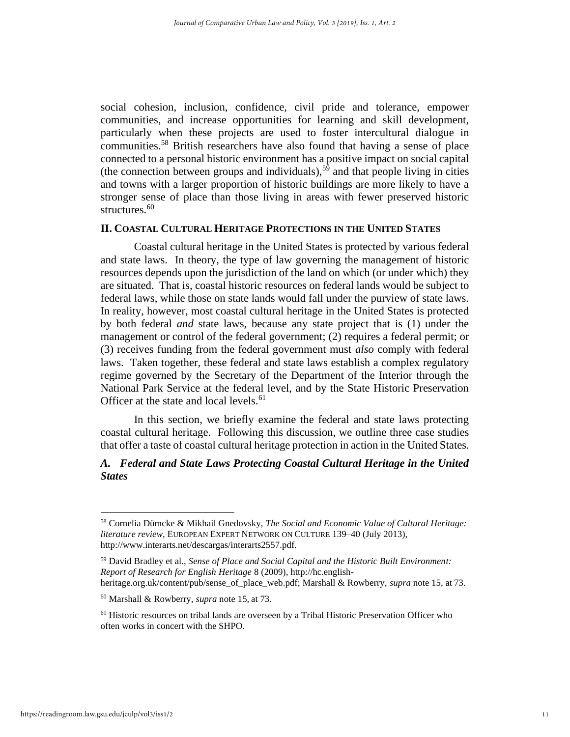social cohesion, inclusion, confidence, civil pride and tolerance, empower communities, and increase opportunities for learning and skill development, particularly when these projects are used to foster intercultural dialogue in communities.<sup>58</sup> British researchers have also found that having a sense of place connected to a personal historic environment has a positive impact on social capital (the connection between groups and individuals),<sup>59</sup> and that people living in cities and towns with a larger proportion of historic buildings are more likely to have a stronger sense of place than those living in areas with fewer preserved historic structures.<sup>60</sup>

#### **II. COASTAL CULTURAL HERITAGE PROTECTIONS IN THE UNITED STATES**

Coastal cultural heritage in the United States is protected by various federal and state laws. In theory, the type of law governing the management of historic resources depends upon the jurisdiction of the land on which (or under which) they are situated. That is, coastal historic resources on federal lands would be subject to federal laws, while those on state lands would fall under the purview of state laws. In reality, however, most coastal cultural heritage in the United States is protected by both federal *and* state laws, because any state project that is (1) under the management or control of the federal government; (2) requires a federal permit; or (3) receives funding from the federal government must *also* comply with federal laws. Taken together, these federal and state laws establish a complex regulatory regime governed by the Secretary of the Department of the Interior through the National Park Service at the federal level, and by the State Historic Preservation Officer at the state and local levels.<sup>61</sup>

In this section, we briefly examine the federal and state laws protecting coastal cultural heritage. Following this discussion, we outline three case studies that offer a taste of coastal cultural heritage protection in action in the United States.

## *A. Federal and State Laws Protecting Coastal Cultural Heritage in the United States*

<sup>58</sup> Cornelia Dümcke & Mikhail Gnedovsky, *The Social and Economic Value of Cultural Heritage: literature review*, EUROPEAN EXPERT NETWORK ON CULTURE 139–40 (July 2013), http://www.interarts.net/descargas/interarts2557.pdf.

<sup>59</sup> David Bradley et al., *Sense of Place and Social Capital and the Historic Built Environment: Report of Research for English Heritage* 8 (2009), http://hc.englishheritage.org.uk/content/pub/sense\_of\_place\_web.pdf; Marshall & Rowberry, *supra* not[e 15,](#page-3-1) at 73.

<sup>60</sup> Marshall & Rowberry, *supra* note [15,](#page-3-1) at 73.

<sup>61</sup> Historic resources on tribal lands are overseen by a Tribal Historic Preservation Officer who often works in concert with the SHPO.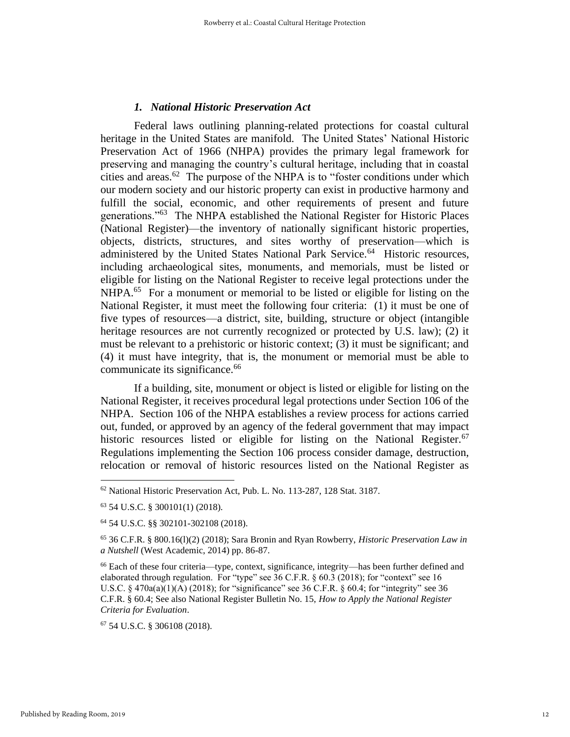#### *1. National Historic Preservation Act*

Federal laws outlining planning-related protections for coastal cultural heritage in the United States are manifold. The United States' National Historic Preservation Act of 1966 (NHPA) provides the primary legal framework for preserving and managing the country's cultural heritage, including that in coastal cities and areas.<sup>62</sup> The purpose of the NHPA is to "foster conditions under which our modern society and our historic property can exist in productive harmony and fulfill the social, economic, and other requirements of present and future generations."<sup>63</sup> The NHPA established the National Register for Historic Places (National Register)—the inventory of nationally significant historic properties, objects, districts, structures, and sites worthy of preservation—which is administered by the United States National Park Service.<sup>64</sup> Historic resources, including archaeological sites, monuments, and memorials, must be listed or eligible for listing on the National Register to receive legal protections under the NHPA.<sup>65</sup> For a monument or memorial to be listed or eligible for listing on the National Register, it must meet the following four criteria: (1) it must be one of five types of resources—a district, site, building, structure or object (intangible heritage resources are not currently recognized or protected by U.S. law); (2) it must be relevant to a prehistoric or historic context; (3) it must be significant; and (4) it must have integrity, that is, the monument or memorial must be able to communicate its significance.<sup>66</sup>

If a building, site, monument or object is listed or eligible for listing on the National Register, it receives procedural legal protections under Section 106 of the NHPA. Section 106 of the NHPA establishes a review process for actions carried out, funded, or approved by an agency of the federal government that may impact historic resources listed or eligible for listing on the National Register.<sup>67</sup> Regulations implementing the Section 106 process consider damage, destruction, relocation or removal of historic resources listed on the National Register as

<sup>62</sup> National Historic Preservation Act, Pub. L. No. 113-287, 128 Stat. 3187.

<sup>63</sup> 54 U.S.C. § 300101(1) (2018).

<sup>64</sup> 54 U.S.C. §§ 302101-302108 (2018).

<sup>65</sup> 36 C.F.R. § 800.16(l)(2) (2018); Sara Bronin and Ryan Rowberry, *Historic Preservation Law in a Nutshell* (West Academic, 2014) pp. 86-87.

<sup>66</sup> Each of these four criteria—type, context, significance, integrity—has been further defined and elaborated through regulation. For "type" see 36 C.F.R. § 60.3 (2018); for "context" see 16 U.S.C. § 470a(a)(1)(A) (2018); for "significance" see 36 C.F.R. § 60.4; for "integrity" see 36 C.F.R. § 60.4; See also National Register Bulletin No. 15, *How to Apply the National Register Criteria for Evaluation*.

<sup>67</sup> 54 U.S.C. § 306108 (2018).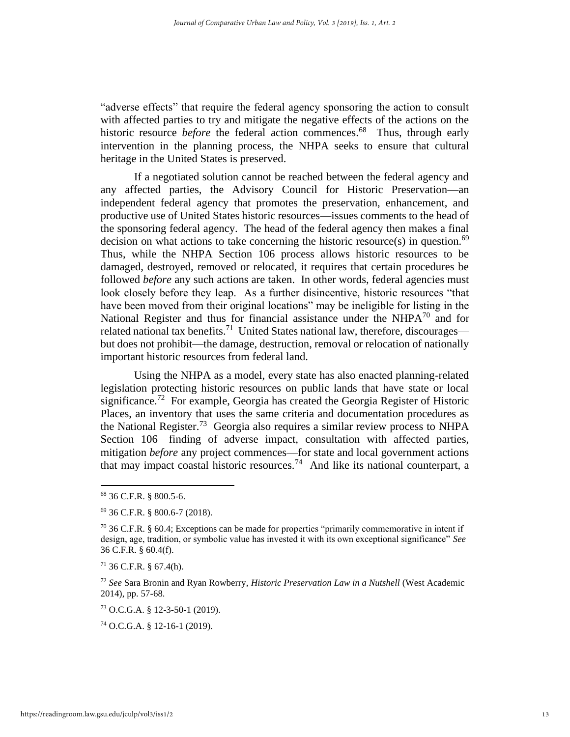"adverse effects" that require the federal agency sponsoring the action to consult with affected parties to try and mitigate the negative effects of the actions on the historic resource *before* the federal action commences.<sup>68</sup> Thus, through early intervention in the planning process, the NHPA seeks to ensure that cultural heritage in the United States is preserved.

If a negotiated solution cannot be reached between the federal agency and any affected parties, the Advisory Council for Historic Preservation—an independent federal agency that promotes the preservation, enhancement, and productive use of United States historic resources—issues comments to the head of the sponsoring federal agency. The head of the federal agency then makes a final decision on what actions to take concerning the historic resource(s) in question. $69$ Thus, while the NHPA Section 106 process allows historic resources to be damaged, destroyed, removed or relocated, it requires that certain procedures be followed *before* any such actions are taken. In other words, federal agencies must look closely before they leap. As a further disincentive, historic resources "that have been moved from their original locations" may be ineligible for listing in the National Register and thus for financial assistance under the  $NHPA^{70}$  and for related national tax benefits.<sup>71</sup> United States national law, therefore, discourages but does not prohibit—the damage, destruction, removal or relocation of nationally important historic resources from federal land.

Using the NHPA as a model, every state has also enacted planning-related legislation protecting historic resources on public lands that have state or local significance.<sup>72</sup> For example, Georgia has created the Georgia Register of Historic Places, an inventory that uses the same criteria and documentation procedures as the National Register.<sup>73</sup> Georgia also requires a similar review process to NHPA Section 106—finding of adverse impact, consultation with affected parties, mitigation *before* any project commences—for state and local government actions that may impact coastal historic resources.<sup>74</sup> And like its national counterpart, a

<sup>71</sup> 36 C.F.R. § 67.4(h).

<sup>72</sup> *See* Sara Bronin and Ryan Rowberry, *Historic Preservation Law in a Nutshell* (West Academic 2014), pp. 57-68.

<sup>73</sup> O.C.G.A. § 12-3-50-1 (2019).

<sup>74</sup> O.C.G.A. § 12-16-1 (2019).

<sup>68</sup> 36 C.F.R. § 800.5-6.

<sup>69</sup> 36 C.F.R. § 800.6-7 (2018).

 $70$  36 C.F.R. § 60.4; Exceptions can be made for properties "primarily commemorative in intent if design, age, tradition, or symbolic value has invested it with its own exceptional significance" *See*  36 C.F.R. § 60.4(f).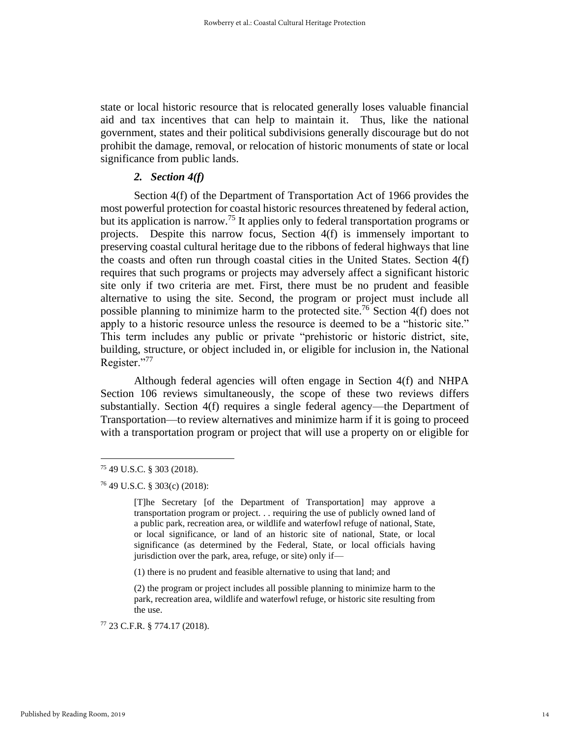state or local historic resource that is relocated generally loses valuable financial aid and tax incentives that can help to maintain it. Thus, like the national government, states and their political subdivisions generally discourage but do not prohibit the damage, removal, or relocation of historic monuments of state or local significance from public lands.

## *2. Section 4(f)*

Section 4(f) of the Department of Transportation Act of 1966 provides the most powerful protection for coastal historic resources threatened by federal action, but its application is narrow.<sup>75</sup> It applies only to federal transportation programs or projects. Despite this narrow focus, Section 4(f) is immensely important to preserving coastal cultural heritage due to the ribbons of federal highways that line the coasts and often run through coastal cities in the United States. Section 4(f) requires that such programs or projects may adversely affect a significant historic site only if two criteria are met. First, there must be no prudent and feasible alternative to using the site. Second, the program or project must include all possible planning to minimize harm to the protected site.<sup>76</sup> Section  $4(f)$  does not apply to a historic resource unless the resource is deemed to be a "historic site." This term includes any public or private "prehistoric or historic district, site, building, structure, or object included in, or eligible for inclusion in, the National Register."77

Although federal agencies will often engage in Section 4(f) and NHPA Section 106 reviews simultaneously, the scope of these two reviews differs substantially. Section 4(f) requires a single federal agency—the Department of Transportation—to review alternatives and minimize harm if it is going to proceed with a transportation program or project that will use a property on or eligible for

<sup>75</sup> 49 U.S.C. § 303 (2018).

<sup>76</sup> 49 U.S.C. § 303(c) (2018):

<sup>[</sup>T]he Secretary [of the Department of Transportation] may approve a transportation program or project. . . requiring the use of publicly owned land of a public park, recreation area, or wildlife and waterfowl refuge of national, State, or local significance, or land of an historic site of national, State, or local significance (as determined by the Federal, State, or local officials having jurisdiction over the park, area, refuge, or site) only if—

<sup>(1)</sup> there is no prudent and feasible alternative to using that land; and

<sup>(2)</sup> the program or project includes all possible planning to minimize harm to the park, recreation area, wildlife and waterfowl refuge, or historic site resulting from the use.

<sup>77</sup> 23 C.F.R. § 774.17 (2018).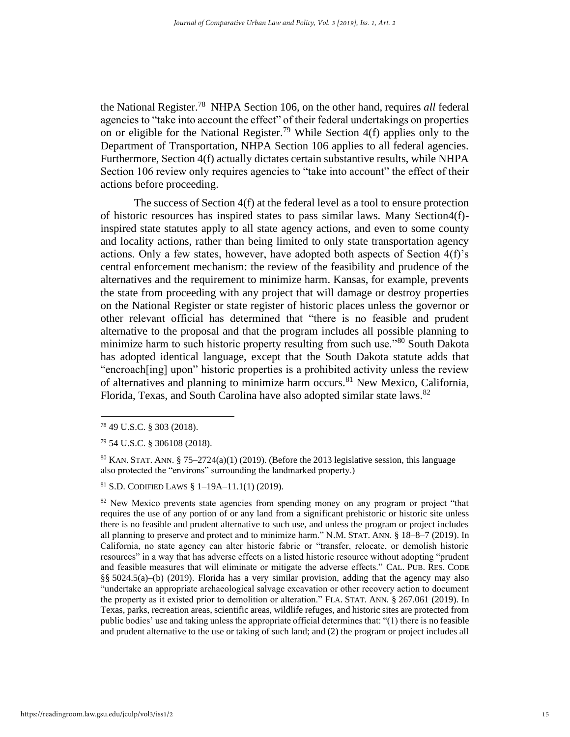the National Register.<sup>78</sup> NHPA Section 106, on the other hand, requires *all* federal agencies to "take into account the effect" of their federal undertakings on properties on or eligible for the National Register.<sup>79</sup> While Section  $4(f)$  applies only to the Department of Transportation, NHPA Section 106 applies to all federal agencies. Furthermore, Section 4(f) actually dictates certain substantive results, while NHPA Section 106 review only requires agencies to "take into account" the effect of their actions before proceeding.

The success of Section 4(f) at the federal level as a tool to ensure protection of historic resources has inspired states to pass similar laws. Many Section  $4(f)$ inspired state statutes apply to all state agency actions, and even to some county and locality actions, rather than being limited to only state transportation agency actions. Only a few states, however, have adopted both aspects of Section 4(f)'s central enforcement mechanism: the review of the feasibility and prudence of the alternatives and the requirement to minimize harm. Kansas, for example, prevents the state from proceeding with any project that will damage or destroy properties on the National Register or state register of historic places unless the governor or other relevant official has determined that "there is no feasible and prudent alternative to the proposal and that the program includes all possible planning to minimize harm to such historic property resulting from such use."<sup>80</sup> South Dakota has adopted identical language, except that the South Dakota statute adds that "encroach[ing] upon" historic properties is a prohibited activity unless the review of alternatives and planning to minimize harm occurs.<sup>81</sup> New Mexico, California, Florida, Texas, and South Carolina have also adopted similar state laws.<sup>82</sup>

<sup>78</sup> 49 U.S.C. § 303 (2018).

<sup>79</sup> 54 U.S.C. § 306108 (2018).

 $80$  KAN. STAT. ANN. § 75–2724(a)(1) (2019). (Before the 2013 legislative session, this language also protected the "environs" surrounding the landmarked property.)

 $81$  S.D. CODIFIED LAWS  $\S$  1-19A-11.1(1) (2019).

<sup>&</sup>lt;sup>82</sup> New Mexico prevents state agencies from spending money on any program or project "that requires the use of any portion of or any land from a significant prehistoric or historic site unless there is no feasible and prudent alternative to such use, and unless the program or project includes all planning to preserve and protect and to minimize harm." N.M. STAT. ANN. § 18–8–7 (2019). In California, no state agency can alter historic fabric or "transfer, relocate, or demolish historic resources" in a way that has adverse effects on a listed historic resource without adopting "prudent and feasible measures that will eliminate or mitigate the adverse effects." CAL. PUB. RES. CODE §§ 5024.5(a)–(b) (2019). Florida has a very similar provision, adding that the agency may also "undertake an appropriate archaeological salvage excavation or other recovery action to document the property as it existed prior to demolition or alteration." FLA. STAT. ANN. § 267.061 (2019). In Texas, parks, recreation areas, scientific areas, wildlife refuges, and historic sites are protected from public bodies' use and taking unless the appropriate official determines that: "(1) there is no feasible and prudent alternative to the use or taking of such land; and (2) the program or project includes all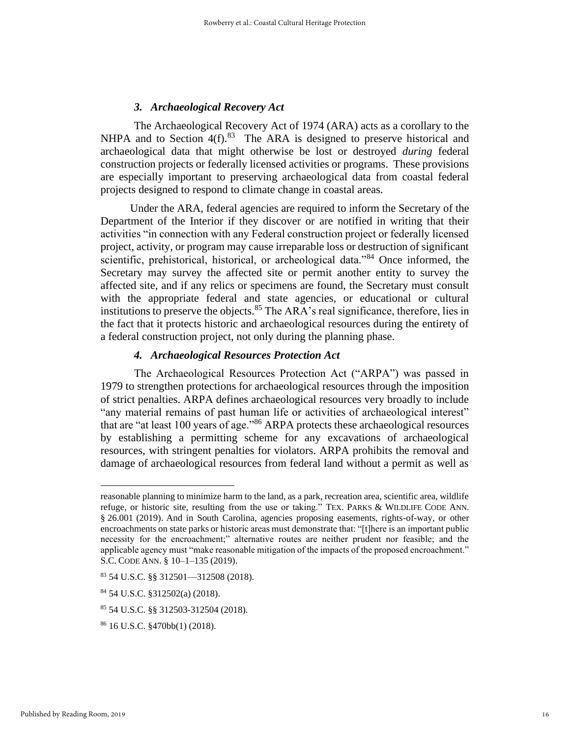## *3. Archaeological Recovery Act*

The Archaeological Recovery Act of 1974 (ARA) acts as a corollary to the NHPA and to Section  $4(f).^{83}$  The ARA is designed to preserve historical and archaeological data that might otherwise be lost or destroyed *during* federal construction projects or federally licensed activities or programs. These provisions are especially important to preserving archaeological data from coastal federal projects designed to respond to climate change in coastal areas.

 Under the ARA, federal agencies are required to inform the Secretary of the Department of the Interior if they discover or are notified in writing that their activities "in connection with any Federal construction project or federally licensed project, activity, or program may cause irreparable loss or destruction of significant scientific, prehistorical, historical, or archeological data."<sup>84</sup> Once informed, the Secretary may survey the affected site or permit another entity to survey the affected site, and if any relics or specimens are found, the Secretary must consult with the appropriate federal and state agencies, or educational or cultural institutions to preserve the objects.  $85$  The ARA's real significance, therefore, lies in the fact that it protects historic and archaeological resources during the entirety of a federal construction project, not only during the planning phase.

## *4. Archaeological Resources Protection Act*

The Archaeological Resources Protection Act ("ARPA") was passed in 1979 to strengthen protections for archaeological resources through the imposition of strict penalties. ARPA defines archaeological resources very broadly to include "any material remains of past human life or activities of archaeological interest" that are "at least 100 years of age."<sup>86</sup> ARPA protects these archaeological resources by establishing a permitting scheme for any excavations of archaeological resources, with stringent penalties for violators. ARPA prohibits the removal and damage of archaeological resources from federal land without a permit as well as

<sup>85</sup> 54 U.S.C. §§ 312503-312504 (2018).

reasonable planning to minimize harm to the land, as a park, recreation area, scientific area, wildlife refuge, or historic site, resulting from the use or taking." TEX. PARKS & WILDLIFE CODE ANN. § 26.001 (2019). And in South Carolina, agencies proposing easements, rights-of-way, or other encroachments on state parks or historic areas must demonstrate that: "[t]here is an important public necessity for the encroachment;" alternative routes are neither prudent nor feasible; and the applicable agency must "make reasonable mitigation of the impacts of the proposed encroachment." S.C. CODE ANN. § 10–1–135 (2019).

 $83$  54 U.S.C. §§ 312501—312508 (2018).

<sup>84</sup> 54 U.S.C. §312502(a) (2018).

<sup>86</sup> 16 U.S.C. §470bb(1) (2018).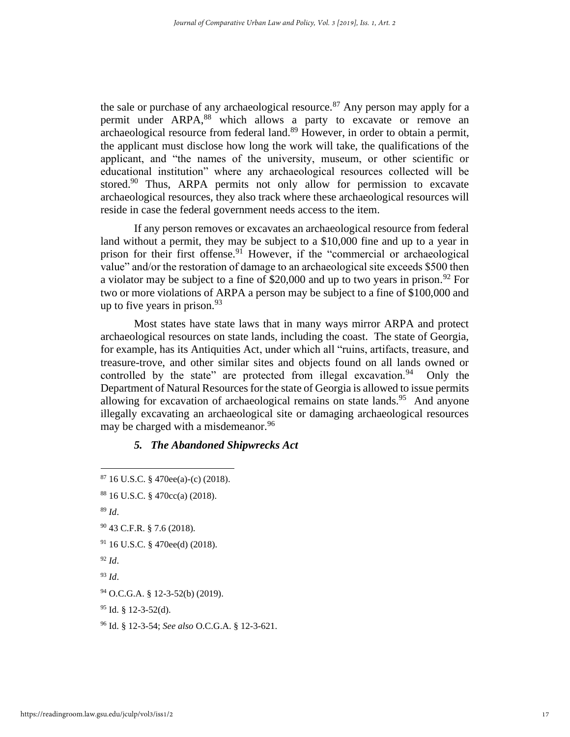the sale or purchase of any archaeological resource.<sup>87</sup> Any person may apply for a permit under ARPA,<sup>88</sup> which allows a party to excavate or remove an archaeological resource from federal land.<sup>89</sup> However, in order to obtain a permit, the applicant must disclose how long the work will take, the qualifications of the applicant, and "the names of the university, museum, or other scientific or educational institution" where any archaeological resources collected will be stored.<sup>90</sup> Thus, ARPA permits not only allow for permission to excavate archaeological resources, they also track where these archaeological resources will reside in case the federal government needs access to the item.

If any person removes or excavates an archaeological resource from federal land without a permit, they may be subject to a \$10,000 fine and up to a year in prison for their first offense.<sup>91</sup> However, if the "commercial or archaeological value" and/or the restoration of damage to an archaeological site exceeds \$500 then a violator may be subject to a fine of \$20,000 and up to two years in prison.<sup>92</sup> For two or more violations of ARPA a person may be subject to a fine of \$100,000 and up to five years in prison.  $93$ 

Most states have state laws that in many ways mirror ARPA and protect archaeological resources on state lands, including the coast. The state of Georgia, for example, has its Antiquities Act, under which all "ruins, artifacts, treasure, and treasure-trove, and other similar sites and objects found on all lands owned or controlled by the state" are protected from illegal excavation.<sup>94</sup> Only the Department of Natural Resources for the state of Georgia is allowed to issue permits allowing for excavation of archaeological remains on state lands.<sup>95</sup> And anyone illegally excavating an archaeological site or damaging archaeological resources may be charged with a misdemeanor.<sup>96</sup>

## *5. The Abandoned Shipwrecks Act*

<sup>89</sup> *Id*.

- <sup>91</sup> 16 U.S.C. § 470ee(d) (2018).
- <sup>92</sup> *Id*.
- <sup>93</sup> *Id*.

<sup>96</sup> Id. § 12-3-54; *See also* O.C.G.A. § 12-3-621.

 $87$  16 U.S.C. § 470ee(a)-(c) (2018).

<sup>88</sup> 16 U.S.C. § 470cc(a) (2018).

<sup>90</sup> 43 C.F.R. § 7.6 (2018).

<sup>94</sup> O.C.G.A. § 12-3-52(b) (2019).

 $95$  Id. § 12-3-52(d).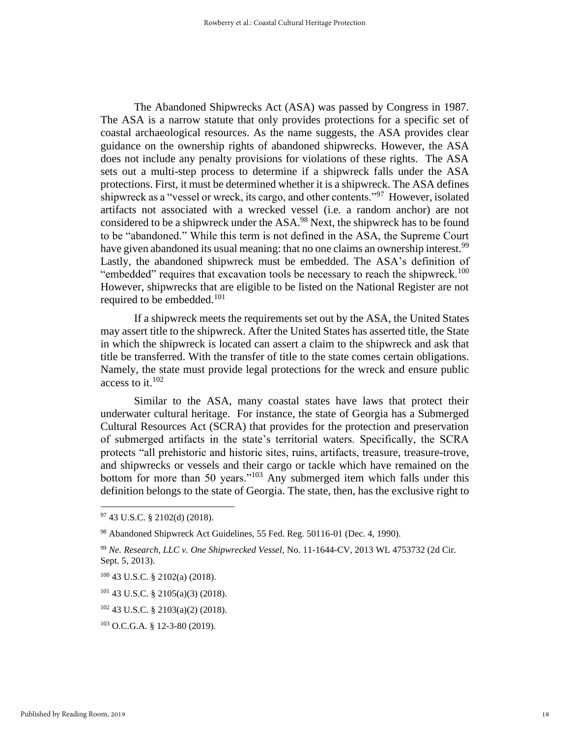The Abandoned Shipwrecks Act (ASA) was passed by Congress in 1987. The ASA is a narrow statute that only provides protections for a specific set of coastal archaeological resources. As the name suggests, the ASA provides clear guidance on the ownership rights of abandoned shipwrecks. However, the ASA does not include any penalty provisions for violations of these rights. The ASA sets out a multi-step process to determine if a shipwreck falls under the ASA protections. First, it must be determined whether it is a shipwreck. The ASA defines shipwreck as a "vessel or wreck, its cargo, and other contents."<sup>97</sup> However, isolated artifacts not associated with a wrecked vessel (i.e. a random anchor) are not considered to be a shipwreck under the ASA.<sup>98</sup> Next, the shipwreck has to be found to be "abandoned." While this term is not defined in the ASA, the Supreme Court have given abandoned its usual meaning: that no one claims an ownership interest.<sup>99</sup> Lastly, the abandoned shipwreck must be embedded. The ASA's definition of "embedded" requires that excavation tools be necessary to reach the shipwreck.<sup>100</sup> However, shipwrecks that are eligible to be listed on the National Register are not required to be embedded.<sup>101</sup>

If a shipwreck meets the requirements set out by the ASA, the United States may assert title to the shipwreck. After the United States has asserted title, the State in which the shipwreck is located can assert a claim to the shipwreck and ask that title be transferred. With the transfer of title to the state comes certain obligations. Namely, the state must provide legal protections for the wreck and ensure public access to it. $102$ 

Similar to the ASA, many coastal states have laws that protect their underwater cultural heritage. For instance, the state of Georgia has a Submerged Cultural Resources Act (SCRA) that provides for the protection and preservation of submerged artifacts in the state's territorial waters. Specifically, the SCRA protects "all prehistoric and historic sites, ruins, artifacts, treasure, treasure-trove, and shipwrecks or vessels and their cargo or tackle which have remained on the bottom for more than 50 years."<sup>103</sup> Any submerged item which falls under this definition belongs to the state of Georgia. The state, then, has the exclusive right to

<sup>97</sup> 43 U.S.C. § 2102(d) (2018).

<sup>98</sup> Abandoned Shipwreck Act Guidelines, 55 Fed. Reg. 50116-01 (Dec. 4, 1990).

<sup>99</sup> *Ne. Research, LLC v. One Shipwrecked Vessel*, No. 11-1644-CV, 2013 WL 4753732 (2d Cir. Sept. 5, 2013).

<sup>100</sup> 43 U.S.C. § 2102(a) (2018).

<sup>101</sup> 43 U.S.C. § 2105(a)(3) (2018).

<sup>102</sup> 43 U.S.C. § 2103(a)(2) (2018).

<sup>103</sup> O.C.G.A. § 12-3-80 (2019).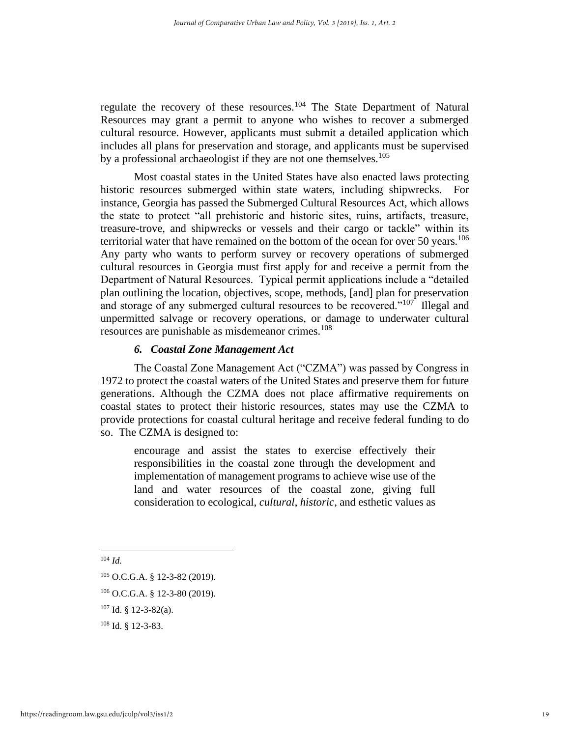regulate the recovery of these resources.<sup>104</sup> The State Department of Natural Resources may grant a permit to anyone who wishes to recover a submerged cultural resource. However, applicants must submit a detailed application which includes all plans for preservation and storage, and applicants must be supervised by a professional archaeologist if they are not one themselves.<sup>105</sup>

Most coastal states in the United States have also enacted laws protecting historic resources submerged within state waters, including shipwrecks. For instance, Georgia has passed the Submerged Cultural Resources Act, which allows the state to protect "all prehistoric and historic sites, ruins, artifacts, treasure, treasure-trove, and shipwrecks or vessels and their cargo or tackle" within its territorial water that have remained on the bottom of the ocean for over 50 years.<sup>106</sup> Any party who wants to perform survey or recovery operations of submerged cultural resources in Georgia must first apply for and receive a permit from the Department of Natural Resources. Typical permit applications include a "detailed plan outlining the location, objectives, scope, methods, [and] plan for preservation and storage of any submerged cultural resources to be recovered."<sup>107</sup> Illegal and unpermitted salvage or recovery operations, or damage to underwater cultural resources are punishable as misdemeanor crimes.<sup>108</sup>

## *6. Coastal Zone Management Act*

The Coastal Zone Management Act ("CZMA") was passed by Congress in 1972 to protect the coastal waters of the United States and preserve them for future generations. Although the CZMA does not place affirmative requirements on coastal states to protect their historic resources, states may use the CZMA to provide protections for coastal cultural heritage and receive federal funding to do so. The CZMA is designed to:

encourage and assist the states to exercise effectively their responsibilities in the coastal zone through the development and implementation of management programs to achieve wise use of the land and water resources of the coastal zone, giving full consideration to ecological, *cultural*, *historic*, and esthetic values as

<sup>105</sup> O.C.G.A. § 12-3-82 (2019).

<sup>106</sup> O.C.G.A. § 12-3-80 (2019).

<sup>107</sup> Id. § 12-3-82(a).

<sup>108</sup> Id. § 12-3-83.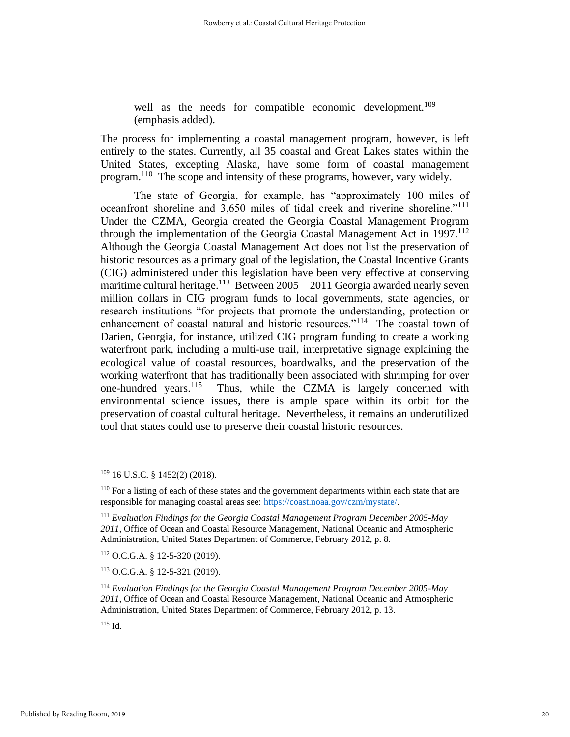well as the needs for compatible economic development.<sup>109</sup> (emphasis added).

The process for implementing a coastal management program, however, is left entirely to the states. Currently, all 35 coastal and Great Lakes states within the United States, excepting Alaska, have some form of coastal management program.<sup>110</sup> The scope and intensity of these programs, however, vary widely.

The state of Georgia, for example, has "approximately 100 miles of oceanfront shoreline and 3,650 miles of tidal creek and riverine shoreline."<sup>111</sup> Under the CZMA, Georgia created the Georgia Coastal Management Program through the implementation of the Georgia Coastal Management Act in 1997.<sup>112</sup> Although the Georgia Coastal Management Act does not list the preservation of historic resources as a primary goal of the legislation, the Coastal Incentive Grants (CIG) administered under this legislation have been very effective at conserving maritime cultural heritage.<sup>113</sup> Between 2005—2011 Georgia awarded nearly seven million dollars in CIG program funds to local governments, state agencies, or research institutions "for projects that promote the understanding, protection or enhancement of coastal natural and historic resources."<sup>114</sup> The coastal town of Darien, Georgia, for instance, utilized CIG program funding to create a working waterfront park, including a multi-use trail, interpretative signage explaining the ecological value of coastal resources, boardwalks, and the preservation of the working waterfront that has traditionally been associated with shrimping for over one-hundred years.<sup>115</sup> Thus, while the CZMA is largely concerned with environmental science issues, there is ample space within its orbit for the preservation of coastal cultural heritage. Nevertheless, it remains an underutilized tool that states could use to preserve their coastal historic resources.

<sup>112</sup> O.C.G.A. § 12-5-320 (2019).

<sup>113</sup> O.C.G.A. § 12-5-321 (2019).

<sup>109</sup> 16 U.S.C. § 1452(2) (2018).

<sup>&</sup>lt;sup>110</sup> For a listing of each of these states and the government departments within each state that are responsible for managing coastal areas see: [https://coast.noaa.gov/czm/mystate/.](https://coast.noaa.gov/czm/mystate/)

<sup>111</sup> *Evaluation Findings for the Georgia Coastal Management Program December 2005-May 2011*, Office of Ocean and Coastal Resource Management, National Oceanic and Atmospheric Administration, United States Department of Commerce, February 2012, p. 8.

<sup>114</sup> *Evaluation Findings for the Georgia Coastal Management Program December 2005-May 2011*, Office of Ocean and Coastal Resource Management, National Oceanic and Atmospheric Administration, United States Department of Commerce, February 2012, p. 13.

 $115$  Id.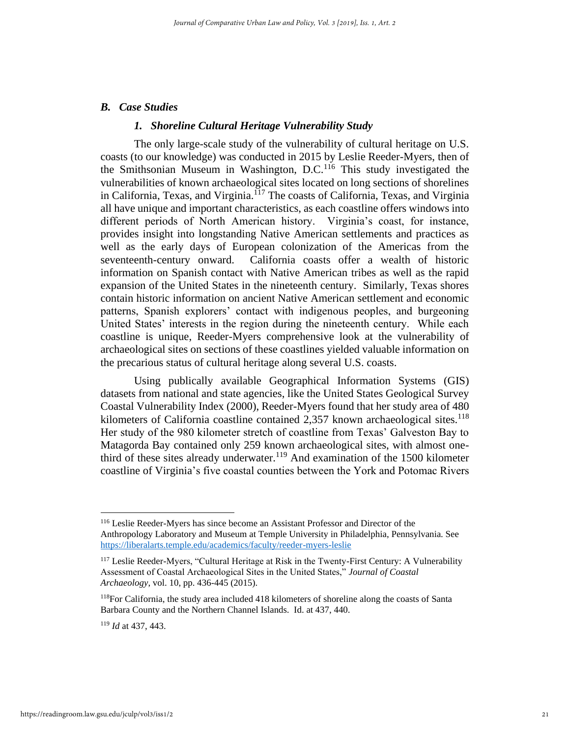#### *B. Case Studies*

## *1. Shoreline Cultural Heritage Vulnerability Study*

The only large-scale study of the vulnerability of cultural heritage on U.S. coasts (to our knowledge) was conducted in 2015 by Leslie Reeder-Myers, then of the Smithsonian Museum in Washington,  $D.C.<sup>116</sup>$  This study investigated the vulnerabilities of known archaeological sites located on long sections of shorelines in California, Texas, and Virginia.<sup>117</sup> The coasts of California, Texas, and Virginia all have unique and important characteristics, as each coastline offers windows into different periods of North American history. Virginia's coast, for instance, provides insight into longstanding Native American settlements and practices as well as the early days of European colonization of the Americas from the seventeenth-century onward. California coasts offer a wealth of historic information on Spanish contact with Native American tribes as well as the rapid expansion of the United States in the nineteenth century. Similarly, Texas shores contain historic information on ancient Native American settlement and economic patterns, Spanish explorers' contact with indigenous peoples, and burgeoning United States' interests in the region during the nineteenth century. While each coastline is unique, Reeder-Myers comprehensive look at the vulnerability of archaeological sites on sections of these coastlines yielded valuable information on the precarious status of cultural heritage along several U.S. coasts.

Using publically available Geographical Information Systems (GIS) datasets from national and state agencies, like the United States Geological Survey Coastal Vulnerability Index (2000), Reeder-Myers found that her study area of 480 kilometers of California coastline contained  $2,357$  known archaeological sites.<sup>118</sup> Her study of the 980 kilometer stretch of coastline from Texas' Galveston Bay to Matagorda Bay contained only 259 known archaeological sites, with almost onethird of these sites already underwater.<sup>119</sup> And examination of the 1500 kilometer coastline of Virginia's five coastal counties between the York and Potomac Rivers

<sup>116</sup> Leslie Reeder-Myers has since become an Assistant Professor and Director of the Anthropology Laboratory and Museum at Temple University in Philadelphia, Pennsylvania. See <https://liberalarts.temple.edu/academics/faculty/reeder-myers-leslie>

<sup>&</sup>lt;sup>117</sup> Leslie Reeder-Myers, "Cultural Heritage at Risk in the Twenty-First Century: A Vulnerability Assessment of Coastal Archaeological Sites in the United States," *Journal of Coastal Archaeology*, vol. 10, pp. 436-445 (2015).

<sup>&</sup>lt;sup>118</sup>For California, the study area included 418 kilometers of shoreline along the coasts of Santa Barbara County and the Northern Channel Islands. Id. at 437, 440.

<sup>119</sup> *Id* at 437, 443.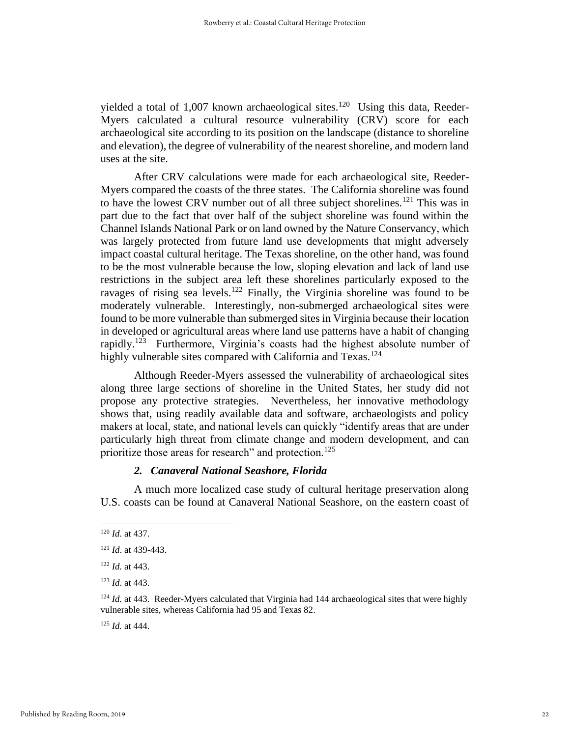yielded a total of 1,007 known archaeological sites.<sup>120</sup> Using this data, Reeder-Myers calculated a cultural resource vulnerability (CRV) score for each archaeological site according to its position on the landscape (distance to shoreline and elevation), the degree of vulnerability of the nearest shoreline, and modern land uses at the site.

After CRV calculations were made for each archaeological site, Reeder-Myers compared the coasts of the three states. The California shoreline was found to have the lowest CRV number out of all three subject shorelines.<sup>121</sup> This was in part due to the fact that over half of the subject shoreline was found within the Channel Islands National Park or on land owned by the Nature Conservancy, which was largely protected from future land use developments that might adversely impact coastal cultural heritage. The Texas shoreline, on the other hand, was found to be the most vulnerable because the low, sloping elevation and lack of land use restrictions in the subject area left these shorelines particularly exposed to the ravages of rising sea levels.<sup>122</sup> Finally, the Virginia shoreline was found to be moderately vulnerable. Interestingly, non-submerged archaeological sites were found to be more vulnerable than submerged sites in Virginia because their location in developed or agricultural areas where land use patterns have a habit of changing rapidly.<sup>123</sup> Furthermore, Virginia's coasts had the highest absolute number of highly vulnerable sites compared with California and Texas.<sup>124</sup>

Although Reeder-Myers assessed the vulnerability of archaeological sites along three large sections of shoreline in the United States, her study did not propose any protective strategies. Nevertheless, her innovative methodology shows that, using readily available data and software, archaeologists and policy makers at local, state, and national levels can quickly "identify areas that are under particularly high threat from climate change and modern development, and can prioritize those areas for research" and protection.<sup>125</sup>

## *2. Canaveral National Seashore, Florida*

A much more localized case study of cultural heritage preservation along U.S. coasts can be found at Canaveral National Seashore, on the eastern coast of

<sup>120</sup> *Id*. at 437.

<sup>121</sup> *Id*. at 439-443.

<sup>122</sup> *Id.* at 443.

<sup>123</sup> *Id*. at 443.

<sup>&</sup>lt;sup>124</sup> *Id.* at 443. Reeder-Myers calculated that Virginia had 144 archaeological sites that were highly vulnerable sites, whereas California had 95 and Texas 82.

<sup>125</sup> *Id.* at 444.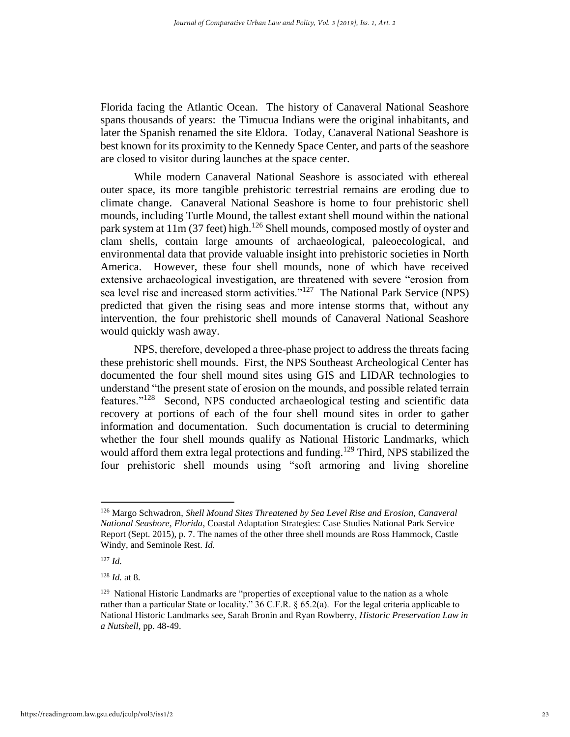Florida facing the Atlantic Ocean. The history of Canaveral National Seashore spans thousands of years: the Timucua Indians were the original inhabitants, and later the Spanish renamed the site Eldora. Today, Canaveral National Seashore is best known for its proximity to the Kennedy Space Center, and parts of the seashore are closed to visitor during launches at the space center.

While modern Canaveral National Seashore is associated with ethereal outer space, its more tangible prehistoric terrestrial remains are eroding due to climate change. Canaveral National Seashore is home to four prehistoric shell mounds, including Turtle Mound, the tallest extant shell mound within the national park system at  $11m$  (37 feet) high.<sup>126</sup> Shell mounds, composed mostly of oyster and clam shells, contain large amounts of archaeological, paleoecological, and environmental data that provide valuable insight into prehistoric societies in North America. However, these four shell mounds, none of which have received extensive archaeological investigation, are threatened with severe "erosion from sea level rise and increased storm activities."<sup>127</sup> The National Park Service (NPS) predicted that given the rising seas and more intense storms that, without any intervention, the four prehistoric shell mounds of Canaveral National Seashore would quickly wash away.

NPS, therefore, developed a three-phase project to address the threats facing these prehistoric shell mounds. First, the NPS Southeast Archeological Center has documented the four shell mound sites using GIS and LIDAR technologies to understand "the present state of erosion on the mounds, and possible related terrain features."<sup>128</sup> Second, NPS conducted archaeological testing and scientific data recovery at portions of each of the four shell mound sites in order to gather information and documentation. Such documentation is crucial to determining whether the four shell mounds qualify as National Historic Landmarks, which would afford them extra legal protections and funding.<sup>129</sup> Third, NPS stabilized the four prehistoric shell mounds using "soft armoring and living shoreline

<sup>126</sup> Margo Schwadron, *Shell Mound Sites Threatened by Sea Level Rise and Erosion, Canaveral National Seashore, Florida*, Coastal Adaptation Strategies: Case Studies National Park Service Report (Sept. 2015), p. 7. The names of the other three shell mounds are Ross Hammock, Castle Windy, and Seminole Rest. *Id.*

 $127$  *Id.* 

<sup>128</sup> *Id.* at 8.

<sup>&</sup>lt;sup>129</sup> National Historic Landmarks are "properties of exceptional value to the nation as a whole rather than a particular State or locality." 36 C.F.R. § 65.2(a). For the legal criteria applicable to National Historic Landmarks see, Sarah Bronin and Ryan Rowberry, *Historic Preservation Law in a Nutshell*, pp. 48-49.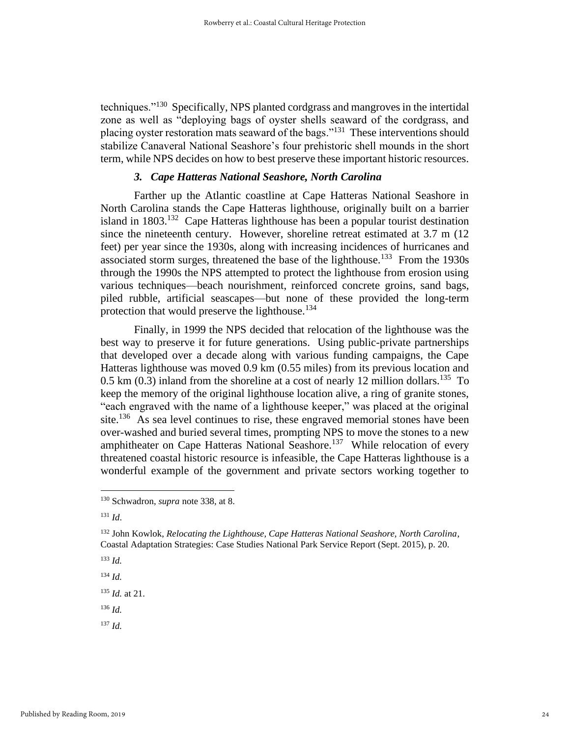techniques."<sup>130</sup> Specifically, NPS planted cordgrass and mangroves in the intertidal zone as well as "deploying bags of oyster shells seaward of the cordgrass, and placing oyster restoration mats seaward of the bags."<sup>131</sup> These interventions should stabilize Canaveral National Seashore's four prehistoric shell mounds in the short term, while NPS decides on how to best preserve these important historic resources.

## *3. Cape Hatteras National Seashore, North Carolina*

Farther up the Atlantic coastline at Cape Hatteras National Seashore in North Carolina stands the Cape Hatteras lighthouse, originally built on a barrier island in 1803.<sup>132</sup> Cape Hatteras lighthouse has been a popular tourist destination since the nineteenth century. However, shoreline retreat estimated at 3.7 m (12 feet) per year since the 1930s, along with increasing incidences of hurricanes and associated storm surges, threatened the base of the lighthouse.<sup>133</sup> From the 1930s through the 1990s the NPS attempted to protect the lighthouse from erosion using various techniques—beach nourishment, reinforced concrete groins, sand bags, piled rubble, artificial seascapes—but none of these provided the long-term protection that would preserve the lighthouse.<sup>134</sup>

Finally, in 1999 the NPS decided that relocation of the lighthouse was the best way to preserve it for future generations. Using public-private partnerships that developed over a decade along with various funding campaigns, the Cape Hatteras lighthouse was moved 0.9 km (0.55 miles) from its previous location and  $0.5$  km  $(0.3)$  inland from the shoreline at a cost of nearly 12 million dollars.<sup>135</sup> To keep the memory of the original lighthouse location alive, a ring of granite stones, "each engraved with the name of a lighthouse keeper," was placed at the original site.<sup>136</sup> As sea level continues to rise, these engraved memorial stones have been over-washed and buried several times, prompting NPS to move the stones to a new amphitheater on Cape Hatteras National Seashore.<sup>137</sup> While relocation of every threatened coastal historic resource is infeasible, the Cape Hatteras lighthouse is a wonderful example of the government and private sectors working together to

<sup>136</sup> *Id.*

<sup>130</sup> Schwadron, *supra* note 338, at 8.

<sup>131</sup> *Id*.

<sup>132</sup> John Kowlok, *Relocating the Lighthouse, Cape Hatteras National Seashore, North Carolina*, Coastal Adaptation Strategies: Case Studies National Park Service Report (Sept. 2015), p. 20.

<sup>133</sup> *Id.*

<sup>134</sup> *Id.*

<sup>135</sup> *Id.* at 21.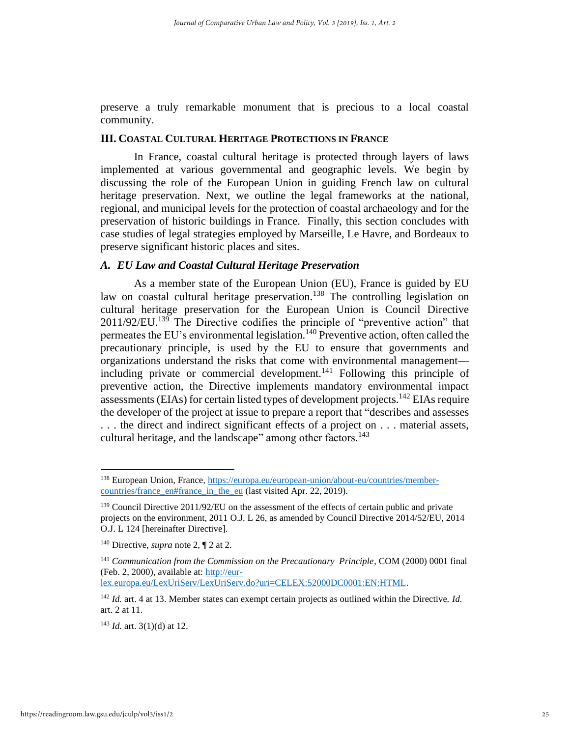preserve a truly remarkable monument that is precious to a local coastal community.

## **III. COASTAL CULTURAL HERITAGE PROTECTIONS IN FRANCE**

In France, coastal cultural heritage is protected through layers of laws implemented at various governmental and geographic levels. We begin by discussing the role of the European Union in guiding French law on cultural heritage preservation. Next, we outline the legal frameworks at the national, regional, and municipal levels for the protection of coastal archaeology and for the preservation of historic buildings in France. Finally, this section concludes with case studies of legal strategies employed by Marseille, Le Havre, and Bordeaux to preserve significant historic places and sites.

#### *A. EU Law and Coastal Cultural Heritage Preservation*

As a member state of the European Union (EU), France is guided by EU law on coastal cultural heritage preservation.<sup>138</sup> The controlling legislation on cultural heritage preservation for the European Union is Council Directive  $2011/92/EU$ .<sup>139</sup> The Directive codifies the principle of "preventive action" that permeates the EU's environmental legislation.<sup>140</sup> Preventive action, often called the precautionary principle, is used by the EU to ensure that governments and organizations understand the risks that come with environmental management including private or commercial development.<sup>141</sup> Following this principle of preventive action, the Directive implements mandatory environmental impact assessments (EIAs) for certain listed types of development projects.<sup>142</sup> EIAs require the developer of the project at issue to prepare a report that "describes and assesses . . . the direct and indirect significant effects of a project on . . . material assets, cultural heritage, and the landscape" among other factors.<sup>143</sup>

[lex.europa.eu/LexUriServ/LexUriServ.do?uri=CELEX:52000DC0001:EN:HTML.](http://eur-lex.europa.eu/LexUriServ/LexUriServ.do?uri=CELEX:52000DC0001:EN:HTML)

<sup>138</sup> European Union, France, [https://europa.eu/european-union/about-eu/countries/member](https://europa.eu/european-union/about-eu/countries/member-countries/france_en#france_in_the_eu)[countries/france\\_en#france\\_in\\_the\\_eu](https://europa.eu/european-union/about-eu/countries/member-countries/france_en#france_in_the_eu) (last visited Apr. 22, 2019).

<sup>&</sup>lt;sup>139</sup> Council Directive 2011/92/EU on the assessment of the effects of certain public and private projects on the environment, 2011 O.J. L 26, as amended by Council Directive 2014/52/EU, 2014 O.J. L 124 [hereinafter Directive].

<sup>140</sup> Directive, *supra* note 2, ¶ 2 at 2.

<sup>&</sup>lt;sup>141</sup> *Communication from the Commission on the Precautionary Principle*, COM (2000) 0001 final (Feb. 2, 2000), available at: [http://eur-](http://eur-lex.europa.eu/LexUriServ/LexUriServ.do?uri=CELEX:52000DC0001:EN:HTML)

<sup>142</sup> *Id.* art. 4 at 13. Member states can exempt certain projects as outlined within the Directive. *Id.* art. 2 at 11.

<sup>143</sup> *Id.* art. 3(1)(d) at 12.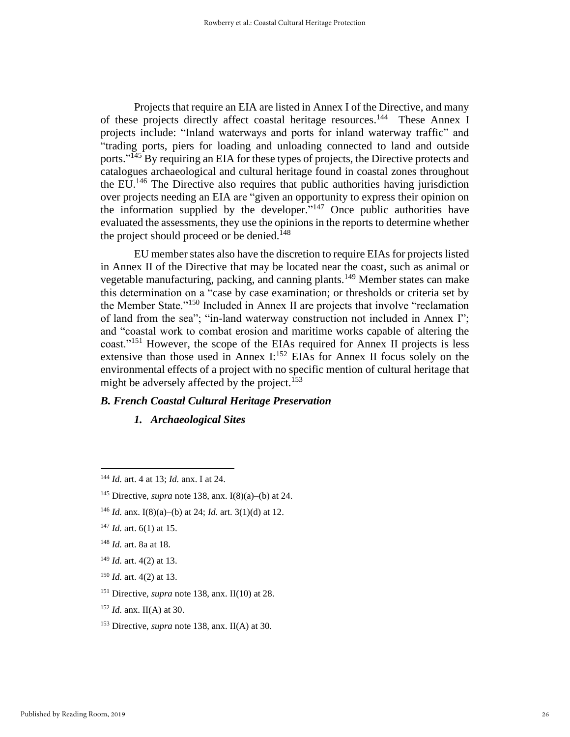Projects that require an EIA are listed in Annex I of the Directive, and many of these projects directly affect coastal heritage resources.<sup>144</sup> These Annex I projects include: "Inland waterways and ports for inland waterway traffic" and "trading ports, piers for loading and unloading connected to land and outside ports."<sup>145</sup> By requiring an EIA for these types of projects, the Directive protects and catalogues archaeological and cultural heritage found in coastal zones throughout the  $EU^{146}$ . The Directive also requires that public authorities having jurisdiction over projects needing an EIA are "given an opportunity to express their opinion on the information supplied by the developer." $147$  Once public authorities have evaluated the assessments, they use the opinions in the reports to determine whether the project should proceed or be denied.<sup>148</sup>

EU member states also have the discretion to require EIAs for projects listed in Annex II of the Directive that may be located near the coast, such as animal or vegetable manufacturing, packing, and canning plants.<sup>149</sup> Member states can make this determination on a "case by case examination; or thresholds or criteria set by the Member State."<sup>150</sup> Included in Annex II are projects that involve "reclamation of land from the sea"; "in-land waterway construction not included in Annex I"; and "coastal work to combat erosion and maritime works capable of altering the coast."<sup>151</sup> However, the scope of the EIAs required for Annex II projects is less extensive than those used in Annex I:<sup>152</sup> EIAs for Annex II focus solely on the environmental effects of a project with no specific mention of cultural heritage that might be adversely affected by the project.<sup>153</sup>

## *B. French Coastal Cultural Heritage Preservation*

*1. Archaeological Sites*

<sup>144</sup> *Id.* art. 4 at 13; *Id.* anx. I at 24.

<sup>&</sup>lt;sup>145</sup> Directive, *supra* note 138, anx. I(8)(a)–(b) at 24.

<sup>&</sup>lt;sup>146</sup> *Id.* anx. I(8)(a)–(b) at 24; *Id.* art. 3(1)(d) at 12.

<sup>147</sup> *Id.* art. 6(1) at 15.

<sup>148</sup> *Id.* art. 8a at 18.

<sup>149</sup> *Id.* art. 4(2) at 13.

<sup>150</sup> *Id.* art. 4(2) at 13.

<sup>151</sup> Directive, *supra* note 138, anx. II(10) at 28.

<sup>152</sup> *Id.* anx. II(A) at 30.

<sup>153</sup> Directive, *supra* note 138, anx. II(A) at 30.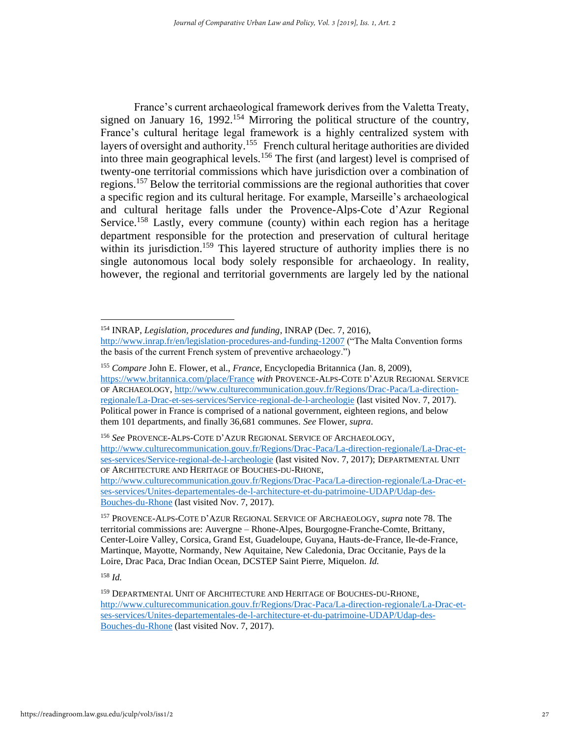France's current archaeological framework derives from the Valetta Treaty, signed on January 16, 1992.<sup>154</sup> Mirroring the political structure of the country, France's cultural heritage legal framework is a highly centralized system with layers of oversight and authority.<sup>155</sup> French cultural heritage authorities are divided into three main geographical levels.<sup>156</sup> The first (and largest) level is comprised of twenty-one territorial commissions which have jurisdiction over a combination of regions.<sup>157</sup> Below the territorial commissions are the regional authorities that cover a specific region and its cultural heritage. For example, Marseille's archaeological and cultural heritage falls under the Provence-Alps-Cote d'Azur Regional Service.<sup>158</sup> Lastly, every commune (county) within each region has a heritage department responsible for the protection and preservation of cultural heritage within its jurisdiction.<sup>159</sup> This layered structure of authority implies there is no single autonomous local body solely responsible for archaeology. In reality, however, the regional and territorial governments are largely led by the national

<sup>154</sup> INRAP, *Legislation, procedures and funding*, INRAP (Dec. 7, 2016), <http://www.inrap.fr/en/legislation-procedures-and-funding-12007> ("The Malta Convention forms the basis of the current French system of preventive archaeology.")

<sup>155</sup> *Compare* John E. Flower, et al., *France*, Encyclopedia Britannica (Jan. 8, 2009), <https://www.britannica.com/place/France> *with* PROVENCE-ALPS-COTE D'AZUR REGIONAL SERVICE OF ARCHAEOLOGY[, http://www.culturecommunication.gouv.fr/Regions/Drac-Paca/La-direction](http://www.culturecommunication.gouv.fr/Regions/Drac-Paca/La-direction-regionale/La-Drac-et-ses-services/Service-regional-de-l-archeologie)[regionale/La-Drac-et-ses-services/Service-regional-de-l-archeologie](http://www.culturecommunication.gouv.fr/Regions/Drac-Paca/La-direction-regionale/La-Drac-et-ses-services/Service-regional-de-l-archeologie) (last visited Nov. 7, 2017). Political power in France is comprised of a national government, eighteen regions, and below them 101 departments, and finally 36,681 communes. *See* Flower, *supra*.

<sup>156</sup> *See* PROVENCE-ALPS-COTE D'AZUR REGIONAL SERVICE OF ARCHAEOLOGY, [http://www.culturecommunication.gouv.fr/Regions/Drac-Paca/La-direction-regionale/La-Drac-et](http://www.culturecommunication.gouv.fr/Regions/Drac-Paca/La-direction-regionale/La-Drac-et-ses-services/Service-regional-de-l-archeologie)[ses-services/Service-regional-de-l-archeologie](http://www.culturecommunication.gouv.fr/Regions/Drac-Paca/La-direction-regionale/La-Drac-et-ses-services/Service-regional-de-l-archeologie) (last visited Nov. 7, 2017); DEPARTMENTAL UNIT OF ARCHITECTURE AND HERITAGE OF BOUCHES-DU-RHONE,

[http://www.culturecommunication.gouv.fr/Regions/Drac-Paca/La-direction-regionale/La-Drac-et](http://www.culturecommunication.gouv.fr/Regions/Drac-Paca/La-direction-regionale/La-Drac-et-ses-services/Unites-departementales-de-l-architecture-et-du-patrimoine-UDAP/Udap-des-Bouches-du-Rhone)[ses-services/Unites-departementales-de-l-architecture-et-du-patrimoine-UDAP/Udap-des-](http://www.culturecommunication.gouv.fr/Regions/Drac-Paca/La-direction-regionale/La-Drac-et-ses-services/Unites-departementales-de-l-architecture-et-du-patrimoine-UDAP/Udap-des-Bouches-du-Rhone)[Bouches-du-Rhone](http://www.culturecommunication.gouv.fr/Regions/Drac-Paca/La-direction-regionale/La-Drac-et-ses-services/Unites-departementales-de-l-architecture-et-du-patrimoine-UDAP/Udap-des-Bouches-du-Rhone) (last visited Nov. 7, 2017).

<sup>157</sup> PROVENCE-ALPS-COTE D'AZUR REGIONAL SERVICE OF ARCHAEOLOGY, *supra* note 78. The territorial commissions are: Auvergne – Rhone-Alpes, Bourgogne-Franche-Comte, Brittany, Center-Loire Valley, Corsica, Grand Est, Guadeloupe, Guyana, Hauts-de-France, Ile-de-France, Martinque, Mayotte, Normandy, New Aquitaine, New Caledonia, Drac Occitanie, Pays de la Loire, Drac Paca, Drac Indian Ocean, DCSTEP Saint Pierre, Miquelon. *Id.*

<sup>&</sup>lt;sup>159</sup> DEPARTMENTAL UNIT OF ARCHITECTURE AND HERITAGE OF BOUCHES-DU-RHONE, [http://www.culturecommunication.gouv.fr/Regions/Drac-Paca/La-direction-regionale/La-Drac-et](http://www.culturecommunication.gouv.fr/Regions/Drac-Paca/La-direction-regionale/La-Drac-et-ses-services/Unites-departementales-de-l-architecture-et-du-patrimoine-UDAP/Udap-des-Bouches-du-Rhone)[ses-services/Unites-departementales-de-l-architecture-et-du-patrimoine-UDAP/Udap-des-](http://www.culturecommunication.gouv.fr/Regions/Drac-Paca/La-direction-regionale/La-Drac-et-ses-services/Unites-departementales-de-l-architecture-et-du-patrimoine-UDAP/Udap-des-Bouches-du-Rhone)[Bouches-du-Rhone](http://www.culturecommunication.gouv.fr/Regions/Drac-Paca/La-direction-regionale/La-Drac-et-ses-services/Unites-departementales-de-l-architecture-et-du-patrimoine-UDAP/Udap-des-Bouches-du-Rhone) (last visited Nov. 7, 2017).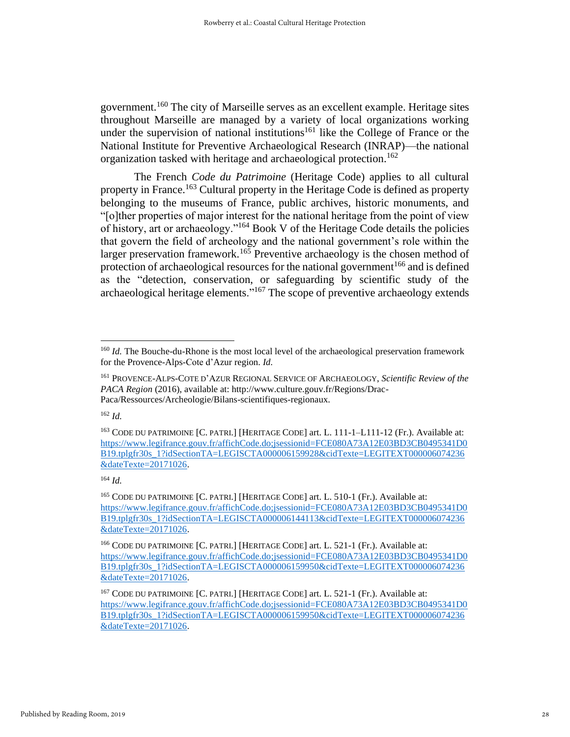government.<sup>160</sup> The city of Marseille serves as an excellent example. Heritage sites throughout Marseille are managed by a variety of local organizations working under the supervision of national institutions<sup>161</sup> like the College of France or the National Institute for Preventive Archaeological Research (INRAP)—the national organization tasked with heritage and archaeological protection.<sup>162</sup>

The French *Code du Patrimoine* (Heritage Code) applies to all cultural property in France.<sup>163</sup> Cultural property in the Heritage Code is defined as property belonging to the museums of France, public archives, historic monuments, and "[o]ther properties of major interest for the national heritage from the point of view of history, art or archaeology."<sup>164</sup> Book V of the Heritage Code details the policies that govern the field of archeology and the national government's role within the larger preservation framework.<sup>165</sup> Preventive archaeology is the chosen method of protection of archaeological resources for the national government<sup>166</sup> and is defined as the "detection, conservation, or safeguarding by scientific study of the archaeological heritage elements."<sup>167</sup> The scope of preventive archaeology extends

<sup>&</sup>lt;sup>160</sup> *Id.* The Bouche-du-Rhone is the most local level of the archaeological preservation framework for the Provence-Alps-Cote d'Azur region. *Id.*

<sup>161</sup> PROVENCE-ALPS-COTE D'AZUR REGIONAL SERVICE OF ARCHAEOLOGY, *Scientific Review of the PACA Region* (2016), available at: http://www.culture.gouv.fr/Regions/Drac-Paca/Ressources/Archeologie/Bilans-scientifiques-regionaux.

<sup>163</sup> CODE DU PATRIMOINE [C. PATRI.] [HERITAGE CODE] art. L. 111-1–L111-12 (Fr.). Available at: [https://www.legifrance.gouv.fr/affichCode.do;jsessionid=FCE080A73A12E03BD3CB0495341D0](https://www.legifrance.gouv.fr/affichCode.do;jsessionid=FCE080A73A12E03BD3CB0495341D0B19.tplgfr30s_1?idSectionTA=LEGISCTA000006159928&cidTexte=LEGITEXT000006074236&dateTexte=20171026) [B19.tplgfr30s\\_1?idSectionTA=LEGISCTA000006159928&cidTexte=LEGITEXT000006074236](https://www.legifrance.gouv.fr/affichCode.do;jsessionid=FCE080A73A12E03BD3CB0495341D0B19.tplgfr30s_1?idSectionTA=LEGISCTA000006159928&cidTexte=LEGITEXT000006074236&dateTexte=20171026) [&dateTexte=20171026.](https://www.legifrance.gouv.fr/affichCode.do;jsessionid=FCE080A73A12E03BD3CB0495341D0B19.tplgfr30s_1?idSectionTA=LEGISCTA000006159928&cidTexte=LEGITEXT000006074236&dateTexte=20171026)

<sup>164</sup> *Id.*

<sup>165</sup> CODE DU PATRIMOINE [C. PATRI.] [HERITAGE CODE] art. L. 510-1 (Fr.). Available at: [https://www.legifrance.gouv.fr/affichCode.do;jsessionid=FCE080A73A12E03BD3CB0495341D0](https://www.legifrance.gouv.fr/affichCode.do;jsessionid=FCE080A73A12E03BD3CB0495341D0B19.tplgfr30s_1?idSectionTA=LEGISCTA000006144113&cidTexte=LEGITEXT000006074236&dateTexte=20171026) [B19.tplgfr30s\\_1?idSectionTA=LEGISCTA000006144113&cidTexte=LEGITEXT000006074236](https://www.legifrance.gouv.fr/affichCode.do;jsessionid=FCE080A73A12E03BD3CB0495341D0B19.tplgfr30s_1?idSectionTA=LEGISCTA000006144113&cidTexte=LEGITEXT000006074236&dateTexte=20171026) [&dateTexte=20171026.](https://www.legifrance.gouv.fr/affichCode.do;jsessionid=FCE080A73A12E03BD3CB0495341D0B19.tplgfr30s_1?idSectionTA=LEGISCTA000006144113&cidTexte=LEGITEXT000006074236&dateTexte=20171026)

<sup>166</sup> CODE DU PATRIMOINE [C. PATRI.] [HERITAGE CODE] art. L. 521-1 (Fr.). Available at: [https://www.legifrance.gouv.fr/affichCode.do;jsessionid=FCE080A73A12E03BD3CB0495341D0](https://www.legifrance.gouv.fr/affichCode.do;jsessionid=FCE080A73A12E03BD3CB0495341D0B19.tplgfr30s_1?idSectionTA=LEGISCTA000006159950&cidTexte=LEGITEXT000006074236&dateTexte=20171026) [B19.tplgfr30s\\_1?idSectionTA=LEGISCTA000006159950&cidTexte=LEGITEXT000006074236](https://www.legifrance.gouv.fr/affichCode.do;jsessionid=FCE080A73A12E03BD3CB0495341D0B19.tplgfr30s_1?idSectionTA=LEGISCTA000006159950&cidTexte=LEGITEXT000006074236&dateTexte=20171026) [&dateTexte=20171026.](https://www.legifrance.gouv.fr/affichCode.do;jsessionid=FCE080A73A12E03BD3CB0495341D0B19.tplgfr30s_1?idSectionTA=LEGISCTA000006159950&cidTexte=LEGITEXT000006074236&dateTexte=20171026)

<sup>167</sup> CODE DU PATRIMOINE [C. PATRI.] [HERITAGE CODE] art. L. 521-1 (Fr.). Available at: [https://www.legifrance.gouv.fr/affichCode.do;jsessionid=FCE080A73A12E03BD3CB0495341D0](https://www.legifrance.gouv.fr/affichCode.do;jsessionid=FCE080A73A12E03BD3CB0495341D0B19.tplgfr30s_1?idSectionTA=LEGISCTA000006159950&cidTexte=LEGITEXT000006074236&dateTexte=20171026) [B19.tplgfr30s\\_1?idSectionTA=LEGISCTA000006159950&cidTexte=LEGITEXT000006074236](https://www.legifrance.gouv.fr/affichCode.do;jsessionid=FCE080A73A12E03BD3CB0495341D0B19.tplgfr30s_1?idSectionTA=LEGISCTA000006159950&cidTexte=LEGITEXT000006074236&dateTexte=20171026) [&dateTexte=20171026.](https://www.legifrance.gouv.fr/affichCode.do;jsessionid=FCE080A73A12E03BD3CB0495341D0B19.tplgfr30s_1?idSectionTA=LEGISCTA000006159950&cidTexte=LEGITEXT000006074236&dateTexte=20171026)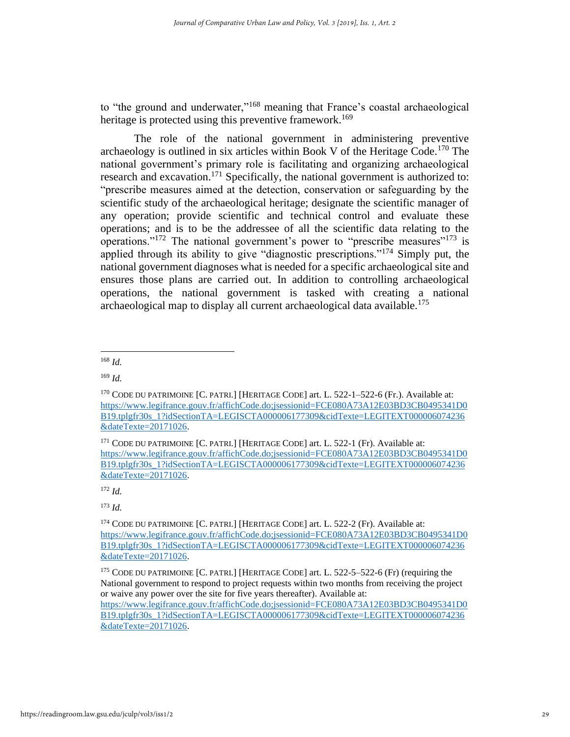to "the ground and underwater,"<sup>168</sup> meaning that France's coastal archaeological heritage is protected using this preventive framework.<sup>169</sup>

The role of the national government in administering preventive archaeology is outlined in six articles within Book V of the Heritage Code.<sup>170</sup> The national government's primary role is facilitating and organizing archaeological research and excavation.<sup>171</sup> Specifically, the national government is authorized to: "prescribe measures aimed at the detection, conservation or safeguarding by the scientific study of the archaeological heritage; designate the scientific manager of any operation; provide scientific and technical control and evaluate these operations; and is to be the addressee of all the scientific data relating to the operations."<sup>172</sup> The national government's power to "prescribe measures"<sup>173</sup> is applied through its ability to give "diagnostic prescriptions."<sup>174</sup> Simply put, the national government diagnoses what is needed for a specific archaeological site and ensures those plans are carried out. In addition to controlling archaeological operations, the national government is tasked with creating a national archaeological map to display all current archaeological data available.<sup>175</sup>

<sup>168</sup> *Id.*

 $169$  *Id.* 

<sup>&</sup>lt;sup>170</sup> CODE DU PATRIMOINE [C. PATRI.] [HERITAGE CODE] art. L. 522-1-522-6 (Fr.). Available at: [https://www.legifrance.gouv.fr/affichCode.do;jsessionid=FCE080A73A12E03BD3CB0495341D0](https://www.legifrance.gouv.fr/affichCode.do;jsessionid=FCE080A73A12E03BD3CB0495341D0B19.tplgfr30s_1?idSectionTA=LEGISCTA000006177309&cidTexte=LEGITEXT000006074236&dateTexte=20171026) [B19.tplgfr30s\\_1?idSectionTA=LEGISCTA000006177309&cidTexte=LEGITEXT000006074236](https://www.legifrance.gouv.fr/affichCode.do;jsessionid=FCE080A73A12E03BD3CB0495341D0B19.tplgfr30s_1?idSectionTA=LEGISCTA000006177309&cidTexte=LEGITEXT000006074236&dateTexte=20171026) [&dateTexte=20171026.](https://www.legifrance.gouv.fr/affichCode.do;jsessionid=FCE080A73A12E03BD3CB0495341D0B19.tplgfr30s_1?idSectionTA=LEGISCTA000006177309&cidTexte=LEGITEXT000006074236&dateTexte=20171026)

 $171$  CODE DU PATRIMOINE  $\overline{C}$ . PATRI.] [HERITAGE CODE] art. L. 522-1 (Fr). Available at: [https://www.legifrance.gouv.fr/affichCode.do;jsessionid=FCE080A73A12E03BD3CB0495341D0](https://www.legifrance.gouv.fr/affichCode.do;jsessionid=FCE080A73A12E03BD3CB0495341D0B19.tplgfr30s_1?idSectionTA=LEGISCTA000006177309&cidTexte=LEGITEXT000006074236&dateTexte=20171026) [B19.tplgfr30s\\_1?idSectionTA=LEGISCTA000006177309&cidTexte=LEGITEXT000006074236](https://www.legifrance.gouv.fr/affichCode.do;jsessionid=FCE080A73A12E03BD3CB0495341D0B19.tplgfr30s_1?idSectionTA=LEGISCTA000006177309&cidTexte=LEGITEXT000006074236&dateTexte=20171026) [&dateTexte=20171026.](https://www.legifrance.gouv.fr/affichCode.do;jsessionid=FCE080A73A12E03BD3CB0495341D0B19.tplgfr30s_1?idSectionTA=LEGISCTA000006177309&cidTexte=LEGITEXT000006074236&dateTexte=20171026)

 $172$  *Id.* 

<sup>174</sup> CODE DU PATRIMOINE [C. PATRI.] [HERITAGE CODE] art. L. 522-2 (Fr). Available at: [https://www.legifrance.gouv.fr/affichCode.do;jsessionid=FCE080A73A12E03BD3CB0495341D0](https://www.legifrance.gouv.fr/affichCode.do;jsessionid=FCE080A73A12E03BD3CB0495341D0B19.tplgfr30s_1?idSectionTA=LEGISCTA000006177309&cidTexte=LEGITEXT000006074236&dateTexte=20171026) [B19.tplgfr30s\\_1?idSectionTA=LEGISCTA000006177309&cidTexte=LEGITEXT000006074236](https://www.legifrance.gouv.fr/affichCode.do;jsessionid=FCE080A73A12E03BD3CB0495341D0B19.tplgfr30s_1?idSectionTA=LEGISCTA000006177309&cidTexte=LEGITEXT000006074236&dateTexte=20171026) [&dateTexte=20171026.](https://www.legifrance.gouv.fr/affichCode.do;jsessionid=FCE080A73A12E03BD3CB0495341D0B19.tplgfr30s_1?idSectionTA=LEGISCTA000006177309&cidTexte=LEGITEXT000006074236&dateTexte=20171026)

<sup>&</sup>lt;sup>175</sup> CODE DU PATRIMOINE [C. PATRI.] [HERITAGE CODE] art. L. 522-5-522-6 (Fr) (requiring the National government to respond to project requests within two months from receiving the project or waive any power over the site for five years thereafter). Available at: [https://www.legifrance.gouv.fr/affichCode.do;jsessionid=FCE080A73A12E03BD3CB0495341D0](https://www.legifrance.gouv.fr/affichCode.do;jsessionid=FCE080A73A12E03BD3CB0495341D0B19.tplgfr30s_1?idSectionTA=LEGISCTA000006177309&cidTexte=LEGITEXT000006074236&dateTexte=20171026) [B19.tplgfr30s\\_1?idSectionTA=LEGISCTA000006177309&cidTexte=LEGITEXT000006074236](https://www.legifrance.gouv.fr/affichCode.do;jsessionid=FCE080A73A12E03BD3CB0495341D0B19.tplgfr30s_1?idSectionTA=LEGISCTA000006177309&cidTexte=LEGITEXT000006074236&dateTexte=20171026) [&dateTexte=20171026.](https://www.legifrance.gouv.fr/affichCode.do;jsessionid=FCE080A73A12E03BD3CB0495341D0B19.tplgfr30s_1?idSectionTA=LEGISCTA000006177309&cidTexte=LEGITEXT000006074236&dateTexte=20171026)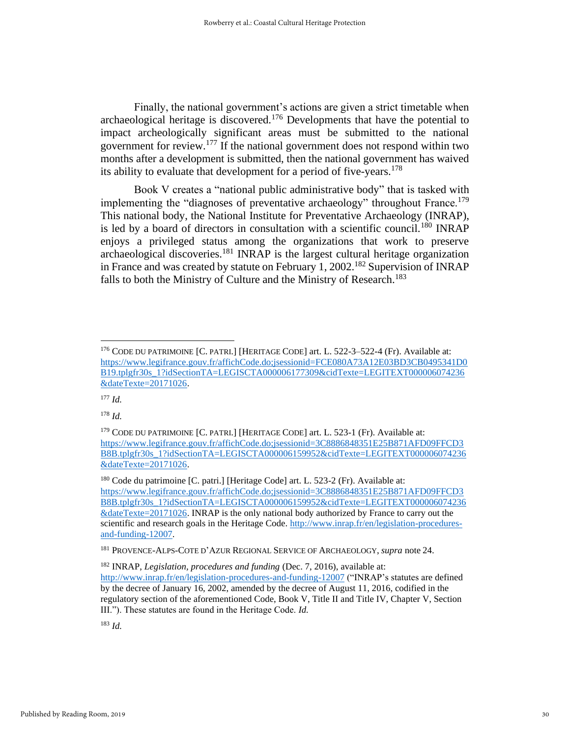Finally, the national government's actions are given a strict timetable when archaeological heritage is discovered.<sup>176</sup> Developments that have the potential to impact archeologically significant areas must be submitted to the national government for review.<sup>177</sup> If the national government does not respond within two months after a development is submitted, then the national government has waived its ability to evaluate that development for a period of five-years.<sup>178</sup>

Book V creates a "national public administrative body" that is tasked with implementing the "diagnoses of preventative archaeology" throughout France.<sup>179</sup> This national body, the National Institute for Preventative Archaeology (INRAP), is led by a board of directors in consultation with a scientific council.<sup>180</sup> INRAP enjoys a privileged status among the organizations that work to preserve archaeological discoveries.<sup>181</sup> INRAP is the largest cultural heritage organization in France and was created by statute on February 1, 2002.<sup>182</sup> Supervision of INRAP falls to both the Ministry of Culture and the Ministry of Research.<sup>183</sup>

<sup>178</sup> *Id.*

<sup>176</sup> CODE DU PATRIMOINE [C. PATRI.] [HERITAGE CODE] art. L. 522-3–522-4 (Fr). Available at: [https://www.legifrance.gouv.fr/affichCode.do;jsessionid=FCE080A73A12E03BD3CB0495341D0](https://www.legifrance.gouv.fr/affichCode.do;jsessionid=FCE080A73A12E03BD3CB0495341D0B19.tplgfr30s_1?idSectionTA=LEGISCTA000006177309&cidTexte=LEGITEXT000006074236&dateTexte=20171026) [B19.tplgfr30s\\_1?idSectionTA=LEGISCTA000006177309&cidTexte=LEGITEXT000006074236](https://www.legifrance.gouv.fr/affichCode.do;jsessionid=FCE080A73A12E03BD3CB0495341D0B19.tplgfr30s_1?idSectionTA=LEGISCTA000006177309&cidTexte=LEGITEXT000006074236&dateTexte=20171026) [&dateTexte=20171026.](https://www.legifrance.gouv.fr/affichCode.do;jsessionid=FCE080A73A12E03BD3CB0495341D0B19.tplgfr30s_1?idSectionTA=LEGISCTA000006177309&cidTexte=LEGITEXT000006074236&dateTexte=20171026)

<sup>177</sup> *Id.*

<sup>179</sup> CODE DU PATRIMOINE [C. PATRI.] [HERITAGE CODE] art. L. 523-1 (Fr). Available at: [https://www.legifrance.gouv.fr/affichCode.do;jsessionid=3C8886848351E25B871AFD09FFCD3](https://www.legifrance.gouv.fr/affichCode.do;jsessionid=3C8886848351E25B871AFD09FFCD3B8B.tplgfr30s_1?idSectionTA=LEGISCTA000006159952&cidTexte=LEGITEXT000006074236&dateTexte=20171026) [B8B.tplgfr30s\\_1?idSectionTA=LEGISCTA000006159952&cidTexte=LEGITEXT000006074236](https://www.legifrance.gouv.fr/affichCode.do;jsessionid=3C8886848351E25B871AFD09FFCD3B8B.tplgfr30s_1?idSectionTA=LEGISCTA000006159952&cidTexte=LEGITEXT000006074236&dateTexte=20171026) [&dateTexte=20171026.](https://www.legifrance.gouv.fr/affichCode.do;jsessionid=3C8886848351E25B871AFD09FFCD3B8B.tplgfr30s_1?idSectionTA=LEGISCTA000006159952&cidTexte=LEGITEXT000006074236&dateTexte=20171026)

<sup>180</sup> Code du patrimoine [C. patri.] [Heritage Code] art. L. 523-2 (Fr). Available at: [https://www.legifrance.gouv.fr/affichCode.do;jsessionid=3C8886848351E25B871AFD09FFCD3](https://www.legifrance.gouv.fr/affichCode.do;jsessionid=3C8886848351E25B871AFD09FFCD3B8B.tplgfr30s_1?idSectionTA=LEGISCTA000006159952&cidTexte=LEGITEXT000006074236&dateTexte=20171026) [B8B.tplgfr30s\\_1?idSectionTA=LEGISCTA000006159952&cidTexte=LEGITEXT000006074236](https://www.legifrance.gouv.fr/affichCode.do;jsessionid=3C8886848351E25B871AFD09FFCD3B8B.tplgfr30s_1?idSectionTA=LEGISCTA000006159952&cidTexte=LEGITEXT000006074236&dateTexte=20171026) [&dateTexte=20171026.](https://www.legifrance.gouv.fr/affichCode.do;jsessionid=3C8886848351E25B871AFD09FFCD3B8B.tplgfr30s_1?idSectionTA=LEGISCTA000006159952&cidTexte=LEGITEXT000006074236&dateTexte=20171026) INRAP is the only national body authorized by France to carry out the scientific and research goals in the Heritage Code[. http://www.inrap.fr/en/legislation-procedures](http://www.inrap.fr/en/legislation-procedures-and-funding-12007)[and-funding-12007.](http://www.inrap.fr/en/legislation-procedures-and-funding-12007)

<sup>181</sup> PROVENCE-ALPS-COTE D'AZUR REGIONAL SERVICE OF ARCHAEOLOGY, *supra* note 24.

<sup>182</sup> INRAP, *Legislation, procedures and funding* (Dec. 7, 2016), available at: <http://www.inrap.fr/en/legislation-procedures-and-funding-12007> ("INRAP's statutes are defined by the decree of January 16, 2002, amended by the decree of August 11, 2016, codified in the regulatory section of the aforementioned Code, Book V, Title II and Title IV, Chapter V, Section III."). These statutes are found in the Heritage Code. *Id.*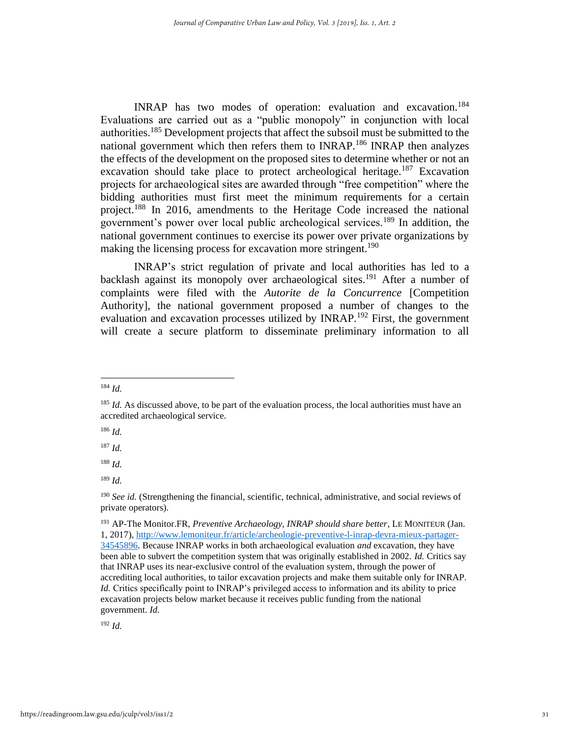INRAP has two modes of operation: evaluation and excavation.<sup>184</sup> Evaluations are carried out as a "public monopoly" in conjunction with local authorities.<sup>185</sup> Development projects that affect the subsoil must be submitted to the national government which then refers them to INRAP.<sup>186</sup> INRAP then analyzes the effects of the development on the proposed sites to determine whether or not an excavation should take place to protect archeological heritage.<sup>187</sup> Excavation projects for archaeological sites are awarded through "free competition" where the bidding authorities must first meet the minimum requirements for a certain project.<sup>188</sup> In 2016, amendments to the Heritage Code increased the national government's power over local public archeological services.<sup>189</sup> In addition, the national government continues to exercise its power over private organizations by making the licensing process for excavation more stringent.<sup>190</sup>

INRAP's strict regulation of private and local authorities has led to a backlash against its monopoly over archaeological sites.<sup>191</sup> After a number of complaints were filed with the *Autorite de la Concurrence* [Competition Authority], the national government proposed a number of changes to the evaluation and excavation processes utilized by INRAP.<sup>192</sup> First, the government will create a secure platform to disseminate preliminary information to all

 $186$  *Id.* 

 $187$  *Id.* 

 $192 \, Id$ 

<sup>184</sup> *Id.*

<sup>&</sup>lt;sup>185</sup> *Id.* As discussed above, to be part of the evaluation process, the local authorities must have an accredited archaeological service.

<sup>188</sup> *Id.*

<sup>189</sup> *Id.*

<sup>190</sup> *See id.* (Strengthening the financial, scientific, technical, administrative, and social reviews of private operators).

<sup>191</sup> AP-The Monitor.FR, *Preventive Archaeology, INRAP should share better*, LE MONITEUR (Jan. 1, 2017), [http://www.lemoniteur.fr/article/archeologie-preventive-l-inrap-devra-mieux-partager-](http://www.lemoniteur.fr/article/archeologie-preventive-l-inrap-devra-mieux-partager-34545896)[34545896.](http://www.lemoniteur.fr/article/archeologie-preventive-l-inrap-devra-mieux-partager-34545896) Because INRAP works in both archaeological evaluation *and* excavation, they have been able to subvert the competition system that was originally established in 2002. *Id.* Critics say that INRAP uses its near-exclusive control of the evaluation system, through the power of accrediting local authorities, to tailor excavation projects and make them suitable only for INRAP. *Id.* Critics specifically point to INRAP's privileged access to information and its ability to price excavation projects below market because it receives public funding from the national government. *Id.*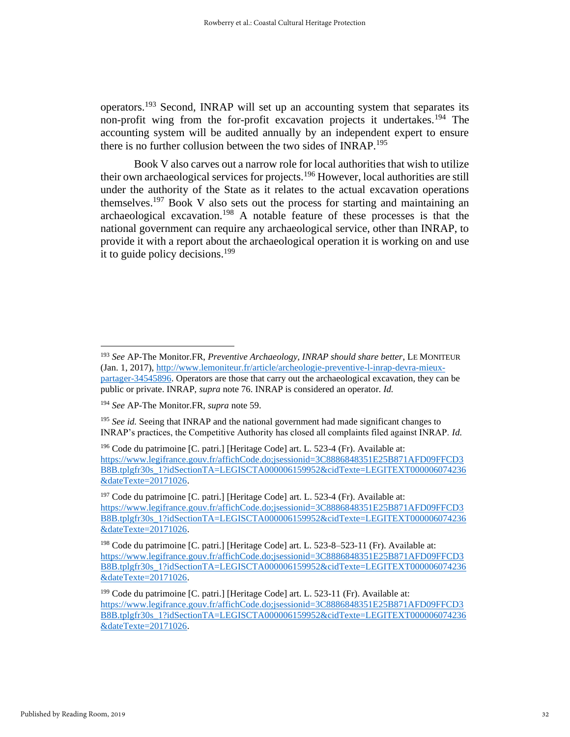operators.<sup>193</sup> Second, INRAP will set up an accounting system that separates its non-profit wing from the for-profit excavation projects it undertakes.<sup>194</sup> The accounting system will be audited annually by an independent expert to ensure there is no further collusion between the two sides of INRAP.<sup>195</sup>

Book V also carves out a narrow role for local authorities that wish to utilize their own archaeological services for projects.<sup>196</sup> However, local authorities are still under the authority of the State as it relates to the actual excavation operations themselves.<sup>197</sup> Book V also sets out the process for starting and maintaining an archaeological excavation.<sup>198</sup> A notable feature of these processes is that the national government can require any archaeological service, other than INRAP, to provide it with a report about the archaeological operation it is working on and use it to guide policy decisions. 199

<sup>193</sup> *See* AP-The Monitor.FR, *Preventive Archaeology, INRAP should share better*, LE MONITEUR (Jan. 1, 2017), [http://www.lemoniteur.fr/article/archeologie-preventive-l-inrap-devra-mieux](http://www.lemoniteur.fr/article/archeologie-preventive-l-inrap-devra-mieux-partager-34545896)[partager-34545896.](http://www.lemoniteur.fr/article/archeologie-preventive-l-inrap-devra-mieux-partager-34545896) Operators are those that carry out the archaeological excavation, they can be public or private. INRAP, *supra* note 76. INRAP is considered an operator. *Id.*

<sup>194</sup> *See* AP-The Monitor.FR, *supra* note 59.

<sup>195</sup> *See id.* Seeing that INRAP and the national government had made significant changes to INRAP's practices, the Competitive Authority has closed all complaints filed against INRAP. *Id.* 

<sup>&</sup>lt;sup>196</sup> Code du patrimoine [C. patri.] [Heritage Code] art. L. 523-4 (Fr). Available at: [https://www.legifrance.gouv.fr/affichCode.do;jsessionid=3C8886848351E25B871AFD09FFCD3](https://www.legifrance.gouv.fr/affichCode.do;jsessionid=3C8886848351E25B871AFD09FFCD3B8B.tplgfr30s_1?idSectionTA=LEGISCTA000006159952&cidTexte=LEGITEXT000006074236&dateTexte=20171026) [B8B.tplgfr30s\\_1?idSectionTA=LEGISCTA000006159952&cidTexte=LEGITEXT000006074236](https://www.legifrance.gouv.fr/affichCode.do;jsessionid=3C8886848351E25B871AFD09FFCD3B8B.tplgfr30s_1?idSectionTA=LEGISCTA000006159952&cidTexte=LEGITEXT000006074236&dateTexte=20171026) [&dateTexte=20171026.](https://www.legifrance.gouv.fr/affichCode.do;jsessionid=3C8886848351E25B871AFD09FFCD3B8B.tplgfr30s_1?idSectionTA=LEGISCTA000006159952&cidTexte=LEGITEXT000006074236&dateTexte=20171026)

<sup>&</sup>lt;sup>197</sup> Code du patrimoine [C. patri.] [Heritage Code] art. L. 523-4 (Fr). Available at: [https://www.legifrance.gouv.fr/affichCode.do;jsessionid=3C8886848351E25B871AFD09FFCD3](https://www.legifrance.gouv.fr/affichCode.do;jsessionid=3C8886848351E25B871AFD09FFCD3B8B.tplgfr30s_1?idSectionTA=LEGISCTA000006159952&cidTexte=LEGITEXT000006074236&dateTexte=20171026) [B8B.tplgfr30s\\_1?idSectionTA=LEGISCTA000006159952&cidTexte=LEGITEXT000006074236](https://www.legifrance.gouv.fr/affichCode.do;jsessionid=3C8886848351E25B871AFD09FFCD3B8B.tplgfr30s_1?idSectionTA=LEGISCTA000006159952&cidTexte=LEGITEXT000006074236&dateTexte=20171026) [&dateTexte=20171026.](https://www.legifrance.gouv.fr/affichCode.do;jsessionid=3C8886848351E25B871AFD09FFCD3B8B.tplgfr30s_1?idSectionTA=LEGISCTA000006159952&cidTexte=LEGITEXT000006074236&dateTexte=20171026)

<sup>&</sup>lt;sup>198</sup> Code du patrimoine [C. patri.] [Heritage Code] art. L. 523-8-523-11 (Fr). Available at: [https://www.legifrance.gouv.fr/affichCode.do;jsessionid=3C8886848351E25B871AFD09FFCD3](https://www.legifrance.gouv.fr/affichCode.do;jsessionid=3C8886848351E25B871AFD09FFCD3B8B.tplgfr30s_1?idSectionTA=LEGISCTA000006159952&cidTexte=LEGITEXT000006074236&dateTexte=20171026) [B8B.tplgfr30s\\_1?idSectionTA=LEGISCTA000006159952&cidTexte=LEGITEXT000006074236](https://www.legifrance.gouv.fr/affichCode.do;jsessionid=3C8886848351E25B871AFD09FFCD3B8B.tplgfr30s_1?idSectionTA=LEGISCTA000006159952&cidTexte=LEGITEXT000006074236&dateTexte=20171026) [&dateTexte=20171026.](https://www.legifrance.gouv.fr/affichCode.do;jsessionid=3C8886848351E25B871AFD09FFCD3B8B.tplgfr30s_1?idSectionTA=LEGISCTA000006159952&cidTexte=LEGITEXT000006074236&dateTexte=20171026)

<sup>&</sup>lt;sup>199</sup> Code du patrimoine [C. patri.] [Heritage Code] art. L. 523-11 (Fr). Available at: [https://www.legifrance.gouv.fr/affichCode.do;jsessionid=3C8886848351E25B871AFD09FFCD3](https://www.legifrance.gouv.fr/affichCode.do;jsessionid=3C8886848351E25B871AFD09FFCD3B8B.tplgfr30s_1?idSectionTA=LEGISCTA000006159952&cidTexte=LEGITEXT000006074236&dateTexte=20171026) [B8B.tplgfr30s\\_1?idSectionTA=LEGISCTA000006159952&cidTexte=LEGITEXT000006074236](https://www.legifrance.gouv.fr/affichCode.do;jsessionid=3C8886848351E25B871AFD09FFCD3B8B.tplgfr30s_1?idSectionTA=LEGISCTA000006159952&cidTexte=LEGITEXT000006074236&dateTexte=20171026) [&dateTexte=20171026.](https://www.legifrance.gouv.fr/affichCode.do;jsessionid=3C8886848351E25B871AFD09FFCD3B8B.tplgfr30s_1?idSectionTA=LEGISCTA000006159952&cidTexte=LEGITEXT000006074236&dateTexte=20171026)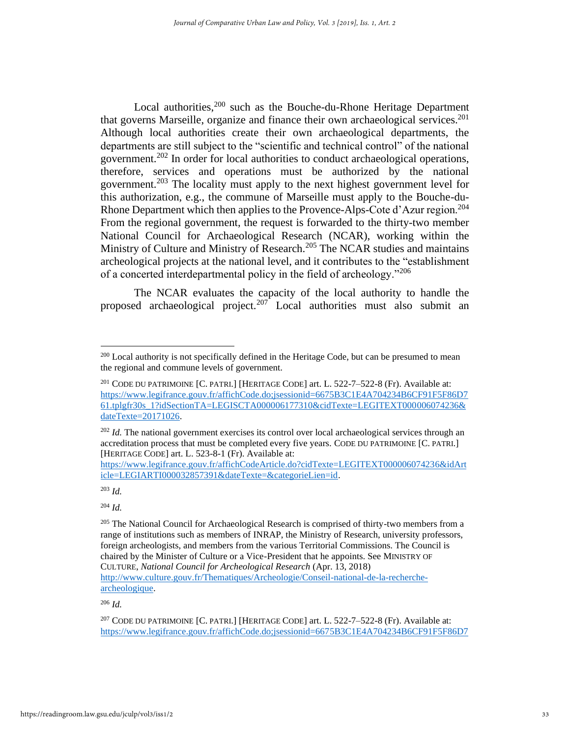Local authorities,<sup>200</sup> such as the Bouche-du-Rhone Heritage Department that governs Marseille, organize and finance their own archaeological services.<sup>201</sup> Although local authorities create their own archaeological departments, the departments are still subject to the "scientific and technical control" of the national government.<sup>202</sup> In order for local authorities to conduct archaeological operations, therefore, services and operations must be authorized by the national government.<sup>203</sup> The locality must apply to the next highest government level for this authorization, e.g., the commune of Marseille must apply to the Bouche-du-Rhone Department which then applies to the Provence-Alps-Cote d'Azur region.<sup>204</sup> From the regional government, the request is forwarded to the thirty-two member National Council for Archaeological Research (NCAR), working within the Ministry of Culture and Ministry of Research.<sup>205</sup> The NCAR studies and maintains archeological projects at the national level, and it contributes to the "establishment of a concerted interdepartmental policy in the field of archeology."<sup>206</sup>

The NCAR evaluates the capacity of the local authority to handle the proposed archaeological project.<sup>207</sup> Local authorities must also submit an

[https://www.legifrance.gouv.fr/affichCodeArticle.do?cidTexte=LEGITEXT000006074236&idArt](https://www.legifrance.gouv.fr/affichCodeArticle.do?cidTexte=LEGITEXT000006074236&idArticle=LEGIARTI000032857391&dateTexte=&categorieLien=id) [icle=LEGIARTI000032857391&dateTexte=&categorieLien=id.](https://www.legifrance.gouv.fr/affichCodeArticle.do?cidTexte=LEGITEXT000006074236&idArticle=LEGIARTI000032857391&dateTexte=&categorieLien=id)

<sup>203</sup> *Id.* 

<sup>204</sup> *Id.* 

<sup>206</sup> *Id.*

[archeologique.](http://www.culture.gouv.fr/Thematiques/Archeologie/Conseil-national-de-la-recherche-archeologique)

<sup>&</sup>lt;sup>200</sup> Local authority is not specifically defined in the Heritage Code, but can be presumed to mean the regional and commune levels of government.

<sup>201</sup> CODE DU PATRIMOINE [C. PATRI.] [HERITAGE CODE] art. L. 522-7–522-8 (Fr). Available at: [https://www.legifrance.gouv.fr/affichCode.do;jsessionid=6675B3C1E4A704234B6CF91F5F86D7](https://www.legifrance.gouv.fr/affichCode.do;jsessionid=6675B3C1E4A704234B6CF91F5F86D761.tplgfr30s_1?idSectionTA=LEGISCTA000006177310&cidTexte=LEGITEXT000006074236&dateTexte=20171026) [61.tplgfr30s\\_1?idSectionTA=LEGISCTA000006177310&cidTexte=LEGITEXT000006074236&](https://www.legifrance.gouv.fr/affichCode.do;jsessionid=6675B3C1E4A704234B6CF91F5F86D761.tplgfr30s_1?idSectionTA=LEGISCTA000006177310&cidTexte=LEGITEXT000006074236&dateTexte=20171026) [dateTexte=20171026.](https://www.legifrance.gouv.fr/affichCode.do;jsessionid=6675B3C1E4A704234B6CF91F5F86D761.tplgfr30s_1?idSectionTA=LEGISCTA000006177310&cidTexte=LEGITEXT000006074236&dateTexte=20171026)

<sup>&</sup>lt;sup>202</sup> *Id.* The national government exercises its control over local archaeological services through an accreditation process that must be completed every five years. CODE DU PATRIMOINE [C. PATRI.] [HERITAGE CODE] art. L. 523-8-1 (Fr). Available at:

 $^{205}$  The National Council for Archaeological Research is comprised of thirty-two members from a range of institutions such as members of INRAP, the Ministry of Research, university professors, foreign archeologists, and members from the various Territorial Commissions. The Council is chaired by the Minister of Culture or a Vice-President that he appoints. See MINISTRY OF CULTURE, *National Council for Archeological Research* (Apr. 13, 2018) [http://www.culture.gouv.fr/Thematiques/Archeologie/Conseil-national-de-la-recherche-](http://www.culture.gouv.fr/Thematiques/Archeologie/Conseil-national-de-la-recherche-archeologique)

<sup>&</sup>lt;sup>207</sup> CODE DU PATRIMOINE [C. PATRI.] [HERITAGE CODE] art. L. 522-7–522-8 (Fr). Available at: [https://www.legifrance.gouv.fr/affichCode.do;jsessionid=6675B3C1E4A704234B6CF91F5F86D7](https://www.legifrance.gouv.fr/affichCode.do;jsessionid=6675B3C1E4A704234B6CF91F5F86D761.tplgfr30s_1?idSectionTA=LEGISCTA000006177310&cidTexte=LEGITEXT000006074236&dateTexte=20171026)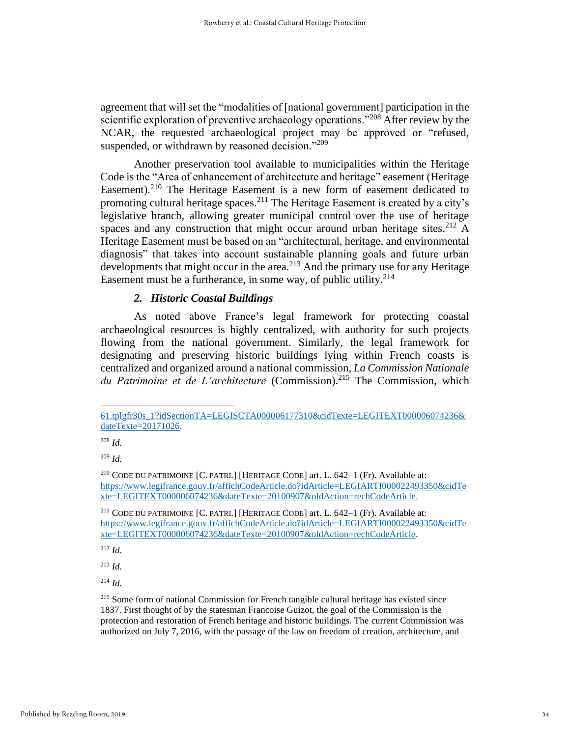agreement that will set the "modalities of [national government] participation in the scientific exploration of preventive archaeology operations."<sup>208</sup> After review by the NCAR, the requested archaeological project may be approved or "refused, suspended, or withdrawn by reasoned decision."<sup>209</sup>

Another preservation tool available to municipalities within the Heritage Code is the "Area of enhancement of architecture and heritage" easement (Heritage Easement).<sup>210</sup> The Heritage Easement is a new form of easement dedicated to promoting cultural heritage spaces.<sup>211</sup> The Heritage Easement is created by a city's legislative branch, allowing greater municipal control over the use of heritage spaces and any construction that might occur around urban heritage sites.<sup>212</sup> A Heritage Easement must be based on an "architectural, heritage, and environmental diagnosis" that takes into account sustainable planning goals and future urban developments that might occur in the area.<sup>213</sup> And the primary use for any Heritage Easement must be a furtherance, in some way, of public utility.  $2^{14}$ 

## *2. Historic Coastal Buildings*

As noted above France's legal framework for protecting coastal archaeological resources is highly centralized, with authority for such projects flowing from the national government. Similarly, the legal framework for designating and preserving historic buildings lying within French coasts is centralized and organized around a national commission, *La Commission Nationale*  du Patrimoine et de L'architecture (Commission).<sup>215</sup> The Commission, which

<sup>212</sup> *Id.*

 $^{213}$  *Id.* 

<sup>214</sup> *Id.*

<sup>215</sup> Some form of national Commission for French tangible cultural heritage has existed since 1837. First thought of by the statesman Francoise Guizot, the goal of the Commission is the protection and restoration of French heritage and historic buildings. The current Commission was authorized on July 7, 2016, with the passage of the law on freedom of creation, architecture, and

[<sup>61.</sup>tplgfr30s\\_1?idSectionTA=LEGISCTA000006177310&cidTexte=LEGITEXT000006074236&](https://www.legifrance.gouv.fr/affichCode.do;jsessionid=6675B3C1E4A704234B6CF91F5F86D761.tplgfr30s_1?idSectionTA=LEGISCTA000006177310&cidTexte=LEGITEXT000006074236&dateTexte=20171026) [dateTexte=20171026.](https://www.legifrance.gouv.fr/affichCode.do;jsessionid=6675B3C1E4A704234B6CF91F5F86D761.tplgfr30s_1?idSectionTA=LEGISCTA000006177310&cidTexte=LEGITEXT000006074236&dateTexte=20171026)

<sup>208</sup> *Id.*

<sup>209</sup> *Id.* 

<sup>210</sup> CODE DU PATRIMOINE [C. PATRI.] [HERITAGE CODE] art. L. 642–1 (Fr). Available at: [https://www.legifrance.gouv.fr/affichCodeArticle.do?idArticle=LEGIARTI000022493350&cidTe](https://www.legifrance.gouv.fr/affichCodeArticle.do?idArticle=LEGIARTI000022493350&cidTexte=LEGITEXT000006074236&dateTexte=20100907&oldAction=rechCodeArticle) [xte=LEGITEXT000006074236&dateTexte=20100907&oldAction=rechCodeArticle.](https://www.legifrance.gouv.fr/affichCodeArticle.do?idArticle=LEGIARTI000022493350&cidTexte=LEGITEXT000006074236&dateTexte=20100907&oldAction=rechCodeArticle)

<sup>211</sup> CODE DU PATRIMOINE [C. PATRI.] [HERITAGE CODE] art. L. 642–1 (Fr). Available at: [https://www.legifrance.gouv.fr/affichCodeArticle.do?idArticle=LEGIARTI000022493350&cidTe](https://www.legifrance.gouv.fr/affichCodeArticle.do?idArticle=LEGIARTI000022493350&cidTexte=LEGITEXT000006074236&dateTexte=20100907&oldAction=rechCodeArticle) [xte=LEGITEXT000006074236&dateTexte=20100907&oldAction=rechCodeArticle.](https://www.legifrance.gouv.fr/affichCodeArticle.do?idArticle=LEGIARTI000022493350&cidTexte=LEGITEXT000006074236&dateTexte=20100907&oldAction=rechCodeArticle)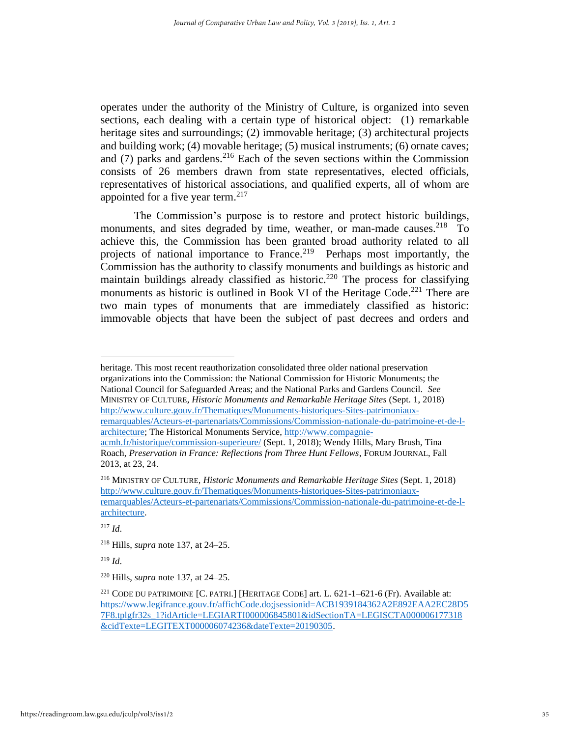operates under the authority of the Ministry of Culture, is organized into seven sections, each dealing with a certain type of historical object: (1) remarkable heritage sites and surroundings; (2) immovable heritage; (3) architectural projects and building work; (4) movable heritage; (5) musical instruments; (6) ornate caves; and  $(7)$  parks and gardens.<sup>216</sup> Each of the seven sections within the Commission consists of 26 members drawn from state representatives, elected officials, representatives of historical associations, and qualified experts, all of whom are appointed for a five year term. 217

The Commission's purpose is to restore and protect historic buildings, monuments, and sites degraded by time, weather, or man-made causes.<sup>218</sup> To achieve this, the Commission has been granted broad authority related to all projects of national importance to France.<sup>219</sup> Perhaps most importantly, the Commission has the authority to classify monuments and buildings as historic and maintain buildings already classified as historic.<sup>220</sup> The process for classifying monuments as historic is outlined in Book VI of the Heritage Code.<sup>221</sup> There are two main types of monuments that are immediately classified as historic: immovable objects that have been the subject of past decrees and orders and

heritage. This most recent reauthorization consolidated three older national preservation organizations into the Commission: the National Commission for Historic Monuments; the National Council for Safeguarded Areas; and the National Parks and Gardens Council. *See*  MINISTRY OF CULTURE, *Historic Monuments and Remarkable Heritage Sites* (Sept. 1, 2018) [http://www.culture.gouv.fr/Thematiques/Monuments-historiques-Sites-patrimoniaux](http://www.culture.gouv.fr/Thematiques/Monuments-historiques-Sites-patrimoniaux-remarquables/Acteurs-et-partenariats/Commissions/Commission-nationale-du-patrimoine-et-de-l-architecture)[remarquables/Acteurs-et-partenariats/Commissions/Commission-nationale-du-patrimoine-et-de-l](http://www.culture.gouv.fr/Thematiques/Monuments-historiques-Sites-patrimoniaux-remarquables/Acteurs-et-partenariats/Commissions/Commission-nationale-du-patrimoine-et-de-l-architecture)[architecture;](http://www.culture.gouv.fr/Thematiques/Monuments-historiques-Sites-patrimoniaux-remarquables/Acteurs-et-partenariats/Commissions/Commission-nationale-du-patrimoine-et-de-l-architecture) The Historical Monuments Service[, http://www.compagnie](http://www.compagnie-acmh.fr/historique/commission-superieure/)[acmh.fr/historique/commission-superieure/](http://www.compagnie-acmh.fr/historique/commission-superieure/) (Sept. 1, 2018); Wendy Hills, Mary Brush, Tina Roach, *Preservation in France: Reflections from Three Hunt Fellows*, FORUM JOURNAL, Fall

<sup>2013,</sup> at 23, 24.

<sup>216</sup> MINISTRY OF CULTURE, *Historic Monuments and Remarkable Heritage Sites* (Sept. 1, 2018) [http://www.culture.gouv.fr/Thematiques/Monuments-historiques-Sites-patrimoniaux](http://www.culture.gouv.fr/Thematiques/Monuments-historiques-Sites-patrimoniaux-remarquables/Acteurs-et-partenariats/Commissions/Commission-nationale-du-patrimoine-et-de-l-architecture)[remarquables/Acteurs-et-partenariats/Commissions/Commission-nationale-du-patrimoine-et-de-l](http://www.culture.gouv.fr/Thematiques/Monuments-historiques-Sites-patrimoniaux-remarquables/Acteurs-et-partenariats/Commissions/Commission-nationale-du-patrimoine-et-de-l-architecture)[architecture.](http://www.culture.gouv.fr/Thematiques/Monuments-historiques-Sites-patrimoniaux-remarquables/Acteurs-et-partenariats/Commissions/Commission-nationale-du-patrimoine-et-de-l-architecture)

<sup>217</sup> *Id*.

<sup>218</sup> Hills, *supra* note 137, at 24–25.

<sup>219</sup> *Id*.

<sup>220</sup> Hills, *supra* note 137, at 24–25.

<sup>&</sup>lt;sup>221</sup> CODE DU PATRIMOINE [C. PATRI.] [HERITAGE CODE] art. L.  $621$ -1– $621$ -6 (Fr). Available at: [https://www.legifrance.gouv.fr/affichCode.do;jsessionid=ACB1939184362A2E892EAA2EC28D5](https://www.legifrance.gouv.fr/affichCode.do;jsessionid=ACB1939184362A2E892EAA2EC28D57F8.tplgfr32s_1?idArticle=LEGIARTI000006845801&idSectionTA=LEGISCTA000006177318&cidTexte=LEGITEXT000006074236&dateTexte=20190305) [7F8.tplgfr32s\\_1?idArticle=LEGIARTI000006845801&idSectionTA=LEGISCTA000006177318](https://www.legifrance.gouv.fr/affichCode.do;jsessionid=ACB1939184362A2E892EAA2EC28D57F8.tplgfr32s_1?idArticle=LEGIARTI000006845801&idSectionTA=LEGISCTA000006177318&cidTexte=LEGITEXT000006074236&dateTexte=20190305) [&cidTexte=LEGITEXT000006074236&dateTexte=20190305.](https://www.legifrance.gouv.fr/affichCode.do;jsessionid=ACB1939184362A2E892EAA2EC28D57F8.tplgfr32s_1?idArticle=LEGIARTI000006845801&idSectionTA=LEGISCTA000006177318&cidTexte=LEGITEXT000006074236&dateTexte=20190305)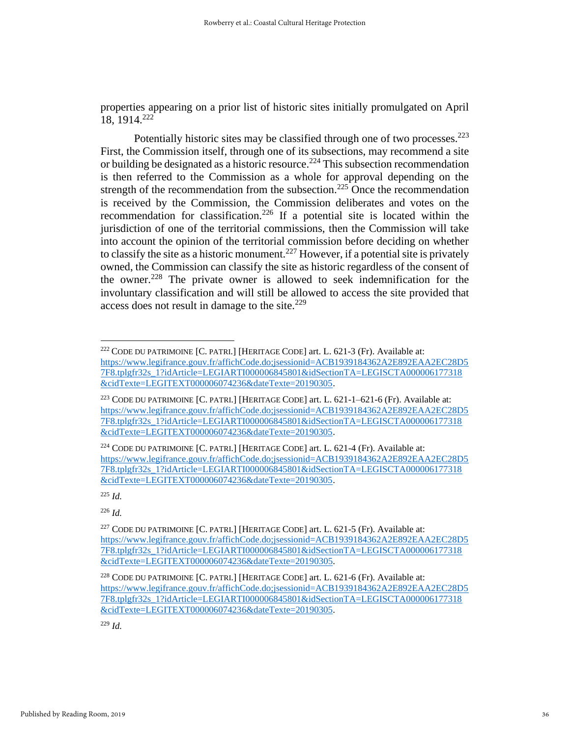properties appearing on a prior list of historic sites initially promulgated on April 18, 1914. 222

Potentially historic sites may be classified through one of two processes.<sup>223</sup> First, the Commission itself, through one of its subsections, may recommend a site or building be designated as a historic resource. <sup>224</sup> This subsection recommendation is then referred to the Commission as a whole for approval depending on the strength of the recommendation from the subsection.<sup>225</sup> Once the recommendation is received by the Commission, the Commission deliberates and votes on the recommendation for classification.<sup>226</sup> If a potential site is located within the jurisdiction of one of the territorial commissions, then the Commission will take into account the opinion of the territorial commission before deciding on whether to classify the site as a historic monument.<sup>227</sup> However, if a potential site is privately owned, the Commission can classify the site as historic regardless of the consent of the owner.<sup>228</sup> The private owner is allowed to seek indemnification for the involuntary classification and will still be allowed to access the site provided that access does not result in damage to the site.<sup>229</sup>

<sup>225</sup> *Id.*

<sup>222</sup> CODE DU PATRIMOINE [C. PATRI.] [HERITAGE CODE] art. L. 621-3 (Fr). Available at: [https://www.legifrance.gouv.fr/affichCode.do;jsessionid=ACB1939184362A2E892EAA2EC28D5](https://www.legifrance.gouv.fr/affichCode.do;jsessionid=ACB1939184362A2E892EAA2EC28D57F8.tplgfr32s_1?idArticle=LEGIARTI000006845801&idSectionTA=LEGISCTA000006177318&cidTexte=LEGITEXT000006074236&dateTexte=20190305) [7F8.tplgfr32s\\_1?idArticle=LEGIARTI000006845801&idSectionTA=LEGISCTA000006177318](https://www.legifrance.gouv.fr/affichCode.do;jsessionid=ACB1939184362A2E892EAA2EC28D57F8.tplgfr32s_1?idArticle=LEGIARTI000006845801&idSectionTA=LEGISCTA000006177318&cidTexte=LEGITEXT000006074236&dateTexte=20190305) [&cidTexte=LEGITEXT000006074236&dateTexte=20190305.](https://www.legifrance.gouv.fr/affichCode.do;jsessionid=ACB1939184362A2E892EAA2EC28D57F8.tplgfr32s_1?idArticle=LEGIARTI000006845801&idSectionTA=LEGISCTA000006177318&cidTexte=LEGITEXT000006074236&dateTexte=20190305)

<sup>223</sup> CODE DU PATRIMOINE [C. PATRI.] [HERITAGE CODE] art. L. 621-1–621-6 (Fr). Available at: [https://www.legifrance.gouv.fr/affichCode.do;jsessionid=ACB1939184362A2E892EAA2EC28D5](https://www.legifrance.gouv.fr/affichCode.do;jsessionid=ACB1939184362A2E892EAA2EC28D57F8.tplgfr32s_1?idArticle=LEGIARTI000006845801&idSectionTA=LEGISCTA000006177318&cidTexte=LEGITEXT000006074236&dateTexte=20190305) [7F8.tplgfr32s\\_1?idArticle=LEGIARTI000006845801&idSectionTA=LEGISCTA000006177318](https://www.legifrance.gouv.fr/affichCode.do;jsessionid=ACB1939184362A2E892EAA2EC28D57F8.tplgfr32s_1?idArticle=LEGIARTI000006845801&idSectionTA=LEGISCTA000006177318&cidTexte=LEGITEXT000006074236&dateTexte=20190305) [&cidTexte=LEGITEXT000006074236&dateTexte=20190305.](https://www.legifrance.gouv.fr/affichCode.do;jsessionid=ACB1939184362A2E892EAA2EC28D57F8.tplgfr32s_1?idArticle=LEGIARTI000006845801&idSectionTA=LEGISCTA000006177318&cidTexte=LEGITEXT000006074236&dateTexte=20190305)

<sup>&</sup>lt;sup>224</sup> CODE DU PATRIMOINE  $[C.$  PATRI.] [HERITAGE CODE] art. L. 621-4 (Fr). Available at: [https://www.legifrance.gouv.fr/affichCode.do;jsessionid=ACB1939184362A2E892EAA2EC28D5](https://www.legifrance.gouv.fr/affichCode.do;jsessionid=ACB1939184362A2E892EAA2EC28D57F8.tplgfr32s_1?idArticle=LEGIARTI000006845801&idSectionTA=LEGISCTA000006177318&cidTexte=LEGITEXT000006074236&dateTexte=20190305) [7F8.tplgfr32s\\_1?idArticle=LEGIARTI000006845801&idSectionTA=LEGISCTA000006177318](https://www.legifrance.gouv.fr/affichCode.do;jsessionid=ACB1939184362A2E892EAA2EC28D57F8.tplgfr32s_1?idArticle=LEGIARTI000006845801&idSectionTA=LEGISCTA000006177318&cidTexte=LEGITEXT000006074236&dateTexte=20190305) [&cidTexte=LEGITEXT000006074236&dateTexte=20190305.](https://www.legifrance.gouv.fr/affichCode.do;jsessionid=ACB1939184362A2E892EAA2EC28D57F8.tplgfr32s_1?idArticle=LEGIARTI000006845801&idSectionTA=LEGISCTA000006177318&cidTexte=LEGITEXT000006074236&dateTexte=20190305)

<sup>&</sup>lt;sup>227</sup> CODE DU PATRIMOINE [C. PATRI.] [HERITAGE CODE] art. L. 621-5 (Fr). Available at: [https://www.legifrance.gouv.fr/affichCode.do;jsessionid=ACB1939184362A2E892EAA2EC28D5](https://www.legifrance.gouv.fr/affichCode.do;jsessionid=ACB1939184362A2E892EAA2EC28D57F8.tplgfr32s_1?idArticle=LEGIARTI000006845801&idSectionTA=LEGISCTA000006177318&cidTexte=LEGITEXT000006074236&dateTexte=20190305) [7F8.tplgfr32s\\_1?idArticle=LEGIARTI000006845801&idSectionTA=LEGISCTA000006177318](https://www.legifrance.gouv.fr/affichCode.do;jsessionid=ACB1939184362A2E892EAA2EC28D57F8.tplgfr32s_1?idArticle=LEGIARTI000006845801&idSectionTA=LEGISCTA000006177318&cidTexte=LEGITEXT000006074236&dateTexte=20190305) [&cidTexte=LEGITEXT000006074236&dateTexte=20190305.](https://www.legifrance.gouv.fr/affichCode.do;jsessionid=ACB1939184362A2E892EAA2EC28D57F8.tplgfr32s_1?idArticle=LEGIARTI000006845801&idSectionTA=LEGISCTA000006177318&cidTexte=LEGITEXT000006074236&dateTexte=20190305)

<sup>228</sup> CODE DU PATRIMOINE [C. PATRI.] [HERITAGE CODE] art. L. 621-6 (Fr). Available at: [https://www.legifrance.gouv.fr/affichCode.do;jsessionid=ACB1939184362A2E892EAA2EC28D5](https://www.legifrance.gouv.fr/affichCode.do;jsessionid=ACB1939184362A2E892EAA2EC28D57F8.tplgfr32s_1?idArticle=LEGIARTI000006845801&idSectionTA=LEGISCTA000006177318&cidTexte=LEGITEXT000006074236&dateTexte=20190305) [7F8.tplgfr32s\\_1?idArticle=LEGIARTI000006845801&idSectionTA=LEGISCTA000006177318](https://www.legifrance.gouv.fr/affichCode.do;jsessionid=ACB1939184362A2E892EAA2EC28D57F8.tplgfr32s_1?idArticle=LEGIARTI000006845801&idSectionTA=LEGISCTA000006177318&cidTexte=LEGITEXT000006074236&dateTexte=20190305) [&cidTexte=LEGITEXT000006074236&dateTexte=20190305.](https://www.legifrance.gouv.fr/affichCode.do;jsessionid=ACB1939184362A2E892EAA2EC28D57F8.tplgfr32s_1?idArticle=LEGIARTI000006845801&idSectionTA=LEGISCTA000006177318&cidTexte=LEGITEXT000006074236&dateTexte=20190305)

<sup>229</sup> *Id.*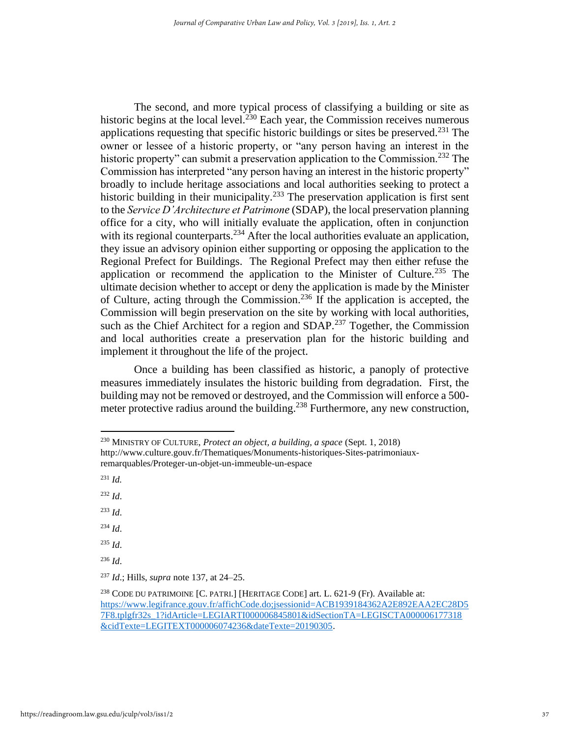The second, and more typical process of classifying a building or site as historic begins at the local level.<sup>230</sup> Each year, the Commission receives numerous applications requesting that specific historic buildings or sites be preserved. $^{231}$  The owner or lessee of a historic property, or "any person having an interest in the historic property" can submit a preservation application to the Commission.<sup>232</sup> The Commission has interpreted "any person having an interest in the historic property" broadly to include heritage associations and local authorities seeking to protect a historic building in their municipality.<sup>233</sup> The preservation application is first sent to the *Service D'Architecture et Patrimone* (SDAP), the local preservation planning office for a city, who will initially evaluate the application, often in conjunction with its regional counterparts.<sup>234</sup> After the local authorities evaluate an application, they issue an advisory opinion either supporting or opposing the application to the Regional Prefect for Buildings. The Regional Prefect may then either refuse the application or recommend the application to the Minister of Culture.<sup>235</sup> The ultimate decision whether to accept or deny the application is made by the Minister of Culture, acting through the Commission.<sup>236</sup> If the application is accepted, the Commission will begin preservation on the site by working with local authorities, such as the Chief Architect for a region and SDAP.<sup>237</sup> Together, the Commission and local authorities create a preservation plan for the historic building and implement it throughout the life of the project.

Once a building has been classified as historic, a panoply of protective measures immediately insulates the historic building from degradation. First, the building may not be removed or destroyed, and the Commission will enforce a 500 meter protective radius around the building.<sup>238</sup> Furthermore, any new construction,

<sup>231</sup> *Id.*

<sup>232</sup> *Id*.

- <sup>233</sup> *Id*.
- <sup>234</sup> *Id*.

<sup>235</sup> *Id*.

<sup>230</sup> MINISTRY OF CULTURE, *Protect an object, a building, a space* (Sept. 1, 2018)

http://www.culture.gouv.fr/Thematiques/Monuments-historiques-Sites-patrimoniauxremarquables/Proteger-un-objet-un-immeuble-un-espace

<sup>237</sup> *Id*.; Hills, *supra* note 137, at 24–25.

<sup>238</sup> CODE DU PATRIMOINE [C. PATRI.] [HERITAGE CODE] art. L. 621-9 (Fr). Available at: [https://www.legifrance.gouv.fr/affichCode.do;jsessionid=ACB1939184362A2E892EAA2EC28D5](https://www.legifrance.gouv.fr/affichCode.do;jsessionid=ACB1939184362A2E892EAA2EC28D57F8.tplgfr32s_1?idArticle=LEGIARTI000006845801&idSectionTA=LEGISCTA000006177318&cidTexte=LEGITEXT000006074236&dateTexte=20190305) [7F8.tplgfr32s\\_1?idArticle=LEGIARTI000006845801&idSectionTA=LEGISCTA000006177318](https://www.legifrance.gouv.fr/affichCode.do;jsessionid=ACB1939184362A2E892EAA2EC28D57F8.tplgfr32s_1?idArticle=LEGIARTI000006845801&idSectionTA=LEGISCTA000006177318&cidTexte=LEGITEXT000006074236&dateTexte=20190305) [&cidTexte=LEGITEXT000006074236&dateTexte=20190305.](https://www.legifrance.gouv.fr/affichCode.do;jsessionid=ACB1939184362A2E892EAA2EC28D57F8.tplgfr32s_1?idArticle=LEGIARTI000006845801&idSectionTA=LEGISCTA000006177318&cidTexte=LEGITEXT000006074236&dateTexte=20190305)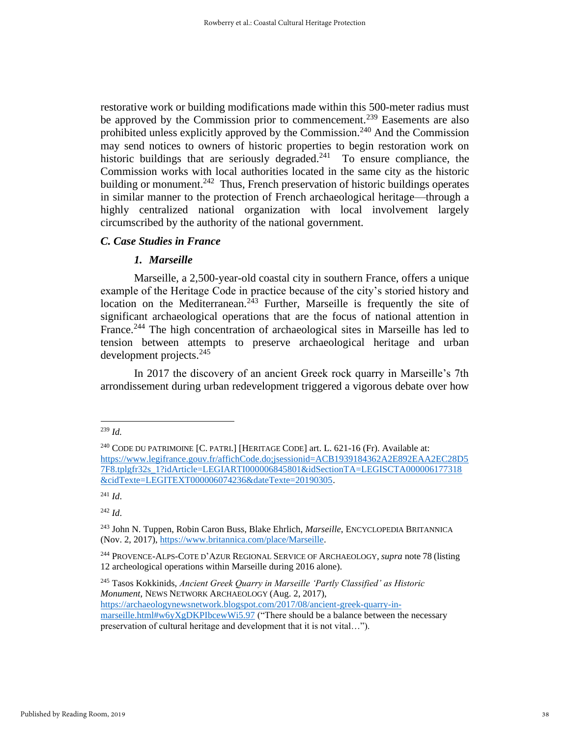restorative work or building modifications made within this 500-meter radius must be approved by the Commission prior to commencement.<sup>239</sup> Easements are also prohibited unless explicitly approved by the Commission.<sup>240</sup> And the Commission may send notices to owners of historic properties to begin restoration work on historic buildings that are seriously degraded. $241$  To ensure compliance, the Commission works with local authorities located in the same city as the historic building or monument.<sup>242</sup> Thus, French preservation of historic buildings operates in similar manner to the protection of French archaeological heritage—through a highly centralized national organization with local involvement largely circumscribed by the authority of the national government.

## *C. Case Studies in France*

## *1. Marseille*

Marseille, a 2,500-year-old coastal city in southern France, offers a unique example of the Heritage Code in practice because of the city's storied history and location on the Mediterranean.<sup>243</sup> Further, Marseille is frequently the site of significant archaeological operations that are the focus of national attention in France.<sup>244</sup> The high concentration of archaeological sites in Marseille has led to tension between attempts to preserve archaeological heritage and urban development projects.<sup>245</sup>

In 2017 the discovery of an ancient Greek rock quarry in Marseille's 7th arrondissement during urban redevelopment triggered a vigorous debate over how

<sup>242</sup> *Id*.

<sup>245</sup> Tasos Kokkinids, *Ancient Greek Quarry in Marseille 'Partly Classified' as Historic Monument*, NEWS NETWORK ARCHAEOLOGY (Aug. 2, 2017), [https://archaeologynewsnetwork.blogspot.com/2017/08/ancient-greek-quarry-in](https://archaeologynewsnetwork.blogspot.com/2017/08/ancient-greek-quarry-in-marseille.html#w6yXgDKPIbcewWi5.97)[marseille.html#w6yXgDKPIbcewWi5.97](https://archaeologynewsnetwork.blogspot.com/2017/08/ancient-greek-quarry-in-marseille.html#w6yXgDKPIbcewWi5.97) ("There should be a balance between the necessary preservation of cultural heritage and development that it is not vital…").

<sup>239</sup> *Id.*

 $^{240}$  CODE DU PATRIMOINE [C. PATRI.] [HERITAGE CODE] art. L. 621-16 (Fr). Available at: [https://www.legifrance.gouv.fr/affichCode.do;jsessionid=ACB1939184362A2E892EAA2EC28D5](https://www.legifrance.gouv.fr/affichCode.do;jsessionid=ACB1939184362A2E892EAA2EC28D57F8.tplgfr32s_1?idArticle=LEGIARTI000006845801&idSectionTA=LEGISCTA000006177318&cidTexte=LEGITEXT000006074236&dateTexte=20190305) [7F8.tplgfr32s\\_1?idArticle=LEGIARTI000006845801&idSectionTA=LEGISCTA000006177318](https://www.legifrance.gouv.fr/affichCode.do;jsessionid=ACB1939184362A2E892EAA2EC28D57F8.tplgfr32s_1?idArticle=LEGIARTI000006845801&idSectionTA=LEGISCTA000006177318&cidTexte=LEGITEXT000006074236&dateTexte=20190305) [&cidTexte=LEGITEXT000006074236&dateTexte=20190305.](https://www.legifrance.gouv.fr/affichCode.do;jsessionid=ACB1939184362A2E892EAA2EC28D57F8.tplgfr32s_1?idArticle=LEGIARTI000006845801&idSectionTA=LEGISCTA000006177318&cidTexte=LEGITEXT000006074236&dateTexte=20190305)

<sup>241</sup> *Id*.

<sup>243</sup> John N. Tuppen, Robin Caron Buss, Blake Ehrlich, *Marseille*, ENCYCLOPEDIA BRITANNICA (Nov. 2, 2017), [https://www.britannica.com/place/Marseille.](https://www.britannica.com/place/Marseille)

<sup>244</sup> PROVENCE-ALPS-COTE D'AZUR REGIONAL SERVICE OF ARCHAEOLOGY, *supra* note 78 (listing 12 archeological operations within Marseille during 2016 alone).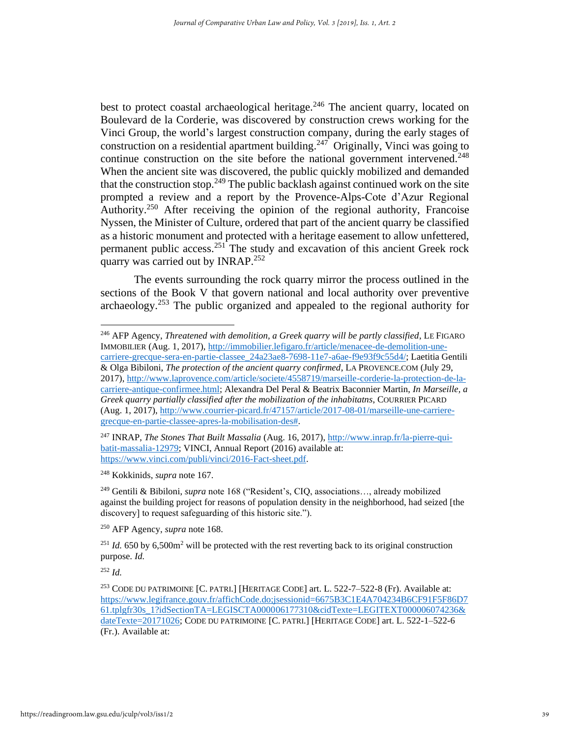best to protect coastal archaeological heritage.<sup>246</sup> The ancient quarry, located on Boulevard de la Corderie, was discovered by construction crews working for the Vinci Group, the world's largest construction company, during the early stages of construction on a residential apartment building.<sup>247</sup> Originally, Vinci was going to continue construction on the site before the national government intervened.<sup>248</sup> When the ancient site was discovered, the public quickly mobilized and demanded that the construction stop.<sup>249</sup> The public backlash against continued work on the site prompted a review and a report by the Provence-Alps-Cote d'Azur Regional Authority.<sup>250</sup> After receiving the opinion of the regional authority, Francoise Nyssen, the Minister of Culture, ordered that part of the ancient quarry be classified as a historic monument and protected with a heritage easement to allow unfettered, permanent public access. <sup>251</sup> The study and excavation of this ancient Greek rock quarry was carried out by INRAP.<sup>252</sup>

The events surrounding the rock quarry mirror the process outlined in the sections of the Book V that govern national and local authority over preventive archaeology.<sup>253</sup> The public organized and appealed to the regional authority for

<sup>246</sup> AFP Agency, *Threatened with demolition, a Greek quarry will be partly classified*, LE FIGARO IMMOBILIER (Aug. 1, 2017)[, http://immobilier.lefigaro.fr/article/menacee-de-demolition-une](http://immobilier.lefigaro.fr/article/menacee-de-demolition-une-carriere-grecque-sera-en-partie-classee_24a23ae8-7698-11e7-a6ae-f9e93f9c55d4/)[carriere-grecque-sera-en-partie-classee\\_24a23ae8-7698-11e7-a6ae-f9e93f9c55d4/;](http://immobilier.lefigaro.fr/article/menacee-de-demolition-une-carriere-grecque-sera-en-partie-classee_24a23ae8-7698-11e7-a6ae-f9e93f9c55d4/) Laetitia Gentili & Olga Bibiloni, *The protection of the ancient quarry confirmed*, LA PROVENCE.COM (July 29, 2017), [http://www.laprovence.com/article/societe/4558719/marseille-corderie-la-protection-de-la](http://www.laprovence.com/article/societe/4558719/marseille-corderie-la-protection-de-la-carriere-antique-confirmee.html)[carriere-antique-confirmee.html;](http://www.laprovence.com/article/societe/4558719/marseille-corderie-la-protection-de-la-carriere-antique-confirmee.html) Alexandra Del Peral & Beatrix Baconnier Martin, *In Marseille, a Greek quarry partially classified after the mobilization of the inhabitatns*, COURRIER PICARD (Aug. 1, 2017), [http://www.courrier-picard.fr/47157/article/2017-08-01/marseille-une-carriere](http://www.courrier-picard.fr/47157/article/2017-08-01/marseille-une-carriere-grecque-en-partie-classee-apres-la-mobilisation-des)[grecque-en-partie-classee-apres-la-mobilisation-des#.](http://www.courrier-picard.fr/47157/article/2017-08-01/marseille-une-carriere-grecque-en-partie-classee-apres-la-mobilisation-des)

<sup>247</sup> INRAP, *The Stones That Built Massalia* (Aug. 16, 2017), [http://www.inrap.fr/la-pierre-qui](http://www.inrap.fr/la-pierre-qui-batit-massalia-12979)[batit-massalia-12979;](http://www.inrap.fr/la-pierre-qui-batit-massalia-12979) VINCI, Annual Report (2016) available at: [https://www.vinci.com/publi/vinci/2016-Fact-sheet.pdf.](https://www.vinci.com/publi/vinci/2016-Fact-sheet.pdf)

<sup>248</sup> Kokkinids, *supra* note 167.

<sup>249</sup> Gentili & Bibiloni, *supra* note 168 ("Resident's, CIQ, associations…, already mobilized against the building project for reasons of population density in the neighborhood, had seized [the discovery] to request safeguarding of this historic site.").

<sup>250</sup> AFP Agency, *supra* note 168.

 $^{251}$  *Id.* 650 by 6,500m<sup>2</sup> will be protected with the rest reverting back to its original construction purpose. *Id.*

<sup>253</sup> CODE DU PATRIMOINE [C. PATRI.] [HERITAGE CODE] art. L. 522-7–522-8 (Fr). Available at: [https://www.legifrance.gouv.fr/affichCode.do;jsessionid=6675B3C1E4A704234B6CF91F5F86D7](https://www.legifrance.gouv.fr/affichCode.do;jsessionid=6675B3C1E4A704234B6CF91F5F86D761.tplgfr30s_1?idSectionTA=LEGISCTA000006177310&cidTexte=LEGITEXT000006074236&dateTexte=20171026) [61.tplgfr30s\\_1?idSectionTA=LEGISCTA000006177310&cidTexte=LEGITEXT000006074236&](https://www.legifrance.gouv.fr/affichCode.do;jsessionid=6675B3C1E4A704234B6CF91F5F86D761.tplgfr30s_1?idSectionTA=LEGISCTA000006177310&cidTexte=LEGITEXT000006074236&dateTexte=20171026) [dateTexte=20171026;](https://www.legifrance.gouv.fr/affichCode.do;jsessionid=6675B3C1E4A704234B6CF91F5F86D761.tplgfr30s_1?idSectionTA=LEGISCTA000006177310&cidTexte=LEGITEXT000006074236&dateTexte=20171026) CODE DU PATRIMOINE [C. PATRI.] [HERITAGE CODE] art. L. 522-1–522-6 (Fr.). Available at: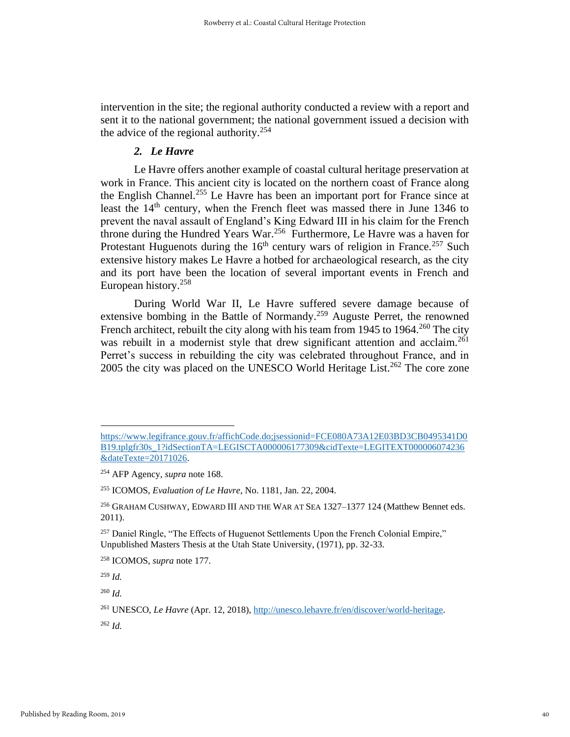intervention in the site; the regional authority conducted a review with a report and sent it to the national government; the national government issued a decision with the advice of the regional authority.<sup>254</sup>

## *2. Le Havre*

Le Havre offers another example of coastal cultural heritage preservation at work in France. This ancient city is located on the northern coast of France along the English Channel.<sup>255</sup> Le Havre has been an important port for France since at least the  $14<sup>th</sup>$  century, when the French fleet was massed there in June 1346 to prevent the naval assault of England's King Edward III in his claim for the French throne during the Hundred Years War.<sup>256</sup> Furthermore, Le Havre was a haven for Protestant Huguenots during the  $16<sup>th</sup>$  century wars of religion in France.<sup>257</sup> Such extensive history makes Le Havre a hotbed for archaeological research, as the city and its port have been the location of several important events in French and European history. 258

During World War II, Le Havre suffered severe damage because of extensive bombing in the Battle of Normandy.<sup>259</sup> Auguste Perret, the renowned French architect, rebuilt the city along with his team from 1945 to 1964.<sup>260</sup> The city was rebuilt in a modernist style that drew significant attention and acclaim.<sup>261</sup> Perret's success in rebuilding the city was celebrated throughout France, and in 2005 the city was placed on the UNESCO World Heritage List.<sup>262</sup> The core zone

<sup>259</sup> *Id.*

<sup>260</sup> *Id.*

[https://www.legifrance.gouv.fr/affichCode.do;jsessionid=FCE080A73A12E03BD3CB0495341D0](https://www.legifrance.gouv.fr/affichCode.do;jsessionid=FCE080A73A12E03BD3CB0495341D0B19.tplgfr30s_1?idSectionTA=LEGISCTA000006177309&cidTexte=LEGITEXT000006074236&dateTexte=20171026) [B19.tplgfr30s\\_1?idSectionTA=LEGISCTA000006177309&cidTexte=LEGITEXT000006074236](https://www.legifrance.gouv.fr/affichCode.do;jsessionid=FCE080A73A12E03BD3CB0495341D0B19.tplgfr30s_1?idSectionTA=LEGISCTA000006177309&cidTexte=LEGITEXT000006074236&dateTexte=20171026) [&dateTexte=20171026.](https://www.legifrance.gouv.fr/affichCode.do;jsessionid=FCE080A73A12E03BD3CB0495341D0B19.tplgfr30s_1?idSectionTA=LEGISCTA000006177309&cidTexte=LEGITEXT000006074236&dateTexte=20171026)

<sup>254</sup> AFP Agency, *supra* note 168.

<sup>255</sup> ICOMOS, *Evaluation of Le Havre*, No. 1181, Jan. 22, 2004.

<sup>256</sup> GRAHAM CUSHWAY, EDWARD III AND THE WAR AT SEA 1327–1377 124 (Matthew Bennet eds. 2011).

<sup>&</sup>lt;sup>257</sup> Daniel Ringle, "The Effects of Huguenot Settlements Upon the French Colonial Empire," Unpublished Masters Thesis at the Utah State University, (1971), pp. 32-33.

<sup>258</sup> ICOMOS, *supra* note 177.

<sup>261</sup> UNESCO, *Le Havre* (Apr. 12, 2018), [http://unesco.lehavre.fr/en/discover/world-heritage.](http://unesco.lehavre.fr/en/discover/world-heritage)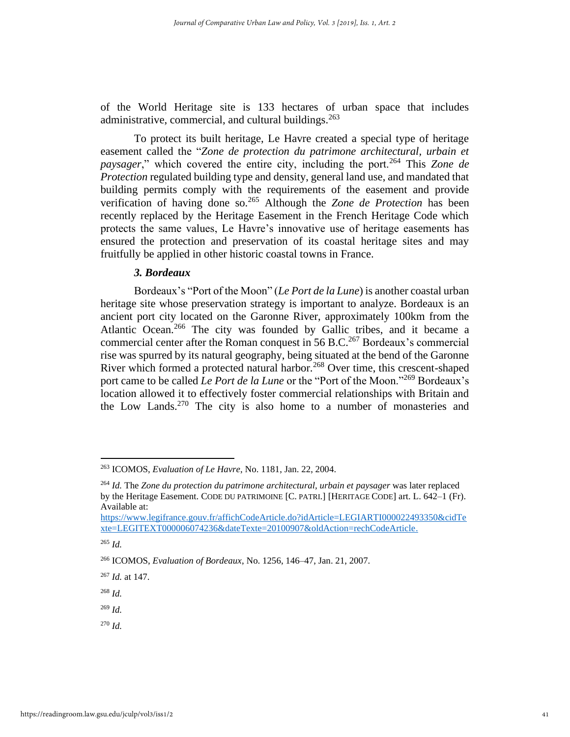of the World Heritage site is 133 hectares of urban space that includes administrative, commercial, and cultural buildings. $263$ 

To protect its built heritage, Le Havre created a special type of heritage easement called the "*Zone de protection du patrimone architectural, urbain et paysager*," which covered the entire city, including the port.<sup>264</sup> This *Zone de Protection* regulated building type and density, general land use, and mandated that building permits comply with the requirements of the easement and provide verification of having done so.<sup>265</sup> Although the *Zone de Protection* has been recently replaced by the Heritage Easement in the French Heritage Code which protects the same values, Le Havre's innovative use of heritage easements has ensured the protection and preservation of its coastal heritage sites and may fruitfully be applied in other historic coastal towns in France.

#### *3. Bordeaux*

Bordeaux's "Port of the Moon" (*Le Port de la Lune*) is another coastal urban heritage site whose preservation strategy is important to analyze. Bordeaux is an ancient port city located on the Garonne River, approximately 100km from the Atlantic Ocean.<sup>266</sup> The city was founded by Gallic tribes, and it became a commercial center after the Roman conquest in 56 B.C.<sup>267</sup> Bordeaux's commercial rise was spurred by its natural geography, being situated at the bend of the Garonne River which formed a protected natural harbor.<sup>268</sup> Over time, this crescent-shaped port came to be called *Le Port de la Lune* or the "Port of the Moon."<sup>269</sup> Bordeaux's location allowed it to effectively foster commercial relationships with Britain and the Low Lands.<sup>270</sup> The city is also home to a number of monasteries and

[https://www.legifrance.gouv.fr/affichCodeArticle.do?idArticle=LEGIARTI000022493350&cidTe](https://www.legifrance.gouv.fr/affichCodeArticle.do?idArticle=LEGIARTI000022493350&cidTexte=LEGITEXT000006074236&dateTexte=20100907&oldAction=rechCodeArticle) [xte=LEGITEXT000006074236&dateTexte=20100907&oldAction=rechCodeArticle.](https://www.legifrance.gouv.fr/affichCodeArticle.do?idArticle=LEGIARTI000022493350&cidTexte=LEGITEXT000006074236&dateTexte=20100907&oldAction=rechCodeArticle)

<sup>265</sup> *Id.*

<sup>269</sup> *Id.*

<sup>263</sup> ICOMOS, *Evaluation of Le Havre*, No. 1181, Jan. 22, 2004.

<sup>264</sup> *Id.* The *Zone du protection du patrimone architectural, urbain et paysager* was later replaced by the Heritage Easement. CODE DU PATRIMOINE [C. PATRI.] [HERITAGE CODE] art. L. 642–1 (Fr). Available at:

<sup>266</sup> ICOMOS, *Evaluation of Bordeaux*, No. 1256, 146–47, Jan. 21, 2007.

<sup>267</sup> *Id.* at 147.

<sup>268</sup> *Id.*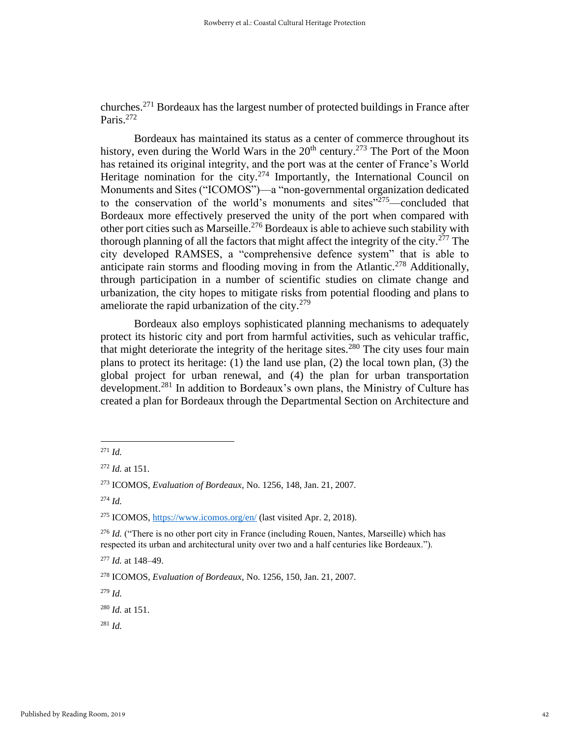churches.<sup>271</sup> Bordeaux has the largest number of protected buildings in France after Paris.<sup>272</sup>

Bordeaux has maintained its status as a center of commerce throughout its history, even during the World Wars in the  $20<sup>th</sup>$  century.<sup>273</sup> The Port of the Moon has retained its original integrity, and the port was at the center of France's World Heritage nomination for the city.<sup>274</sup> Importantly, the International Council on Monuments and Sites ("ICOMOS")—a "non-governmental organization dedicated to the conservation of the world's monuments and sites"<sup>275</sup>—concluded that Bordeaux more effectively preserved the unity of the port when compared with other port cities such as Marseille.<sup>276</sup> Bordeaux is able to achieve such stability with thorough planning of all the factors that might affect the integrity of the city.<sup>277</sup> The city developed RAMSES, a "comprehensive defence system" that is able to anticipate rain storms and flooding moving in from the Atlantic.<sup>278</sup> Additionally, through participation in a number of scientific studies on climate change and urbanization, the city hopes to mitigate risks from potential flooding and plans to ameliorate the rapid urbanization of the city. $279$ 

Bordeaux also employs sophisticated planning mechanisms to adequately protect its historic city and port from harmful activities, such as vehicular traffic, that might deteriorate the integrity of the heritage sites.<sup>280</sup> The city uses four main plans to protect its heritage: (1) the land use plan, (2) the local town plan, (3) the global project for urban renewal, and (4) the plan for urban transportation development.<sup>281</sup> In addition to Bordeaux's own plans, the Ministry of Culture has created a plan for Bordeaux through the Departmental Section on Architecture and

<sup>279</sup> *Id.* 

<sup>280</sup> *Id.* at 151.

<sup>271</sup> *Id.*

<sup>272</sup> *Id.* at 151.

<sup>273</sup> ICOMOS, *Evaluation of Bordeaux*, No. 1256, 148, Jan. 21, 2007.

<sup>274</sup> *Id.*

<sup>275</sup> ICOMOS,<https://www.icomos.org/en/> (last visited Apr. 2, 2018).

<sup>276</sup> *Id.* ("There is no other port city in France (including Rouen, Nantes, Marseille) which has respected its urban and architectural unity over two and a half centuries like Bordeaux.").

<sup>277</sup> *Id.* at 148–49.

<sup>278</sup> ICOMOS, *Evaluation of Bordeaux*, No. 1256, 150, Jan. 21, 2007.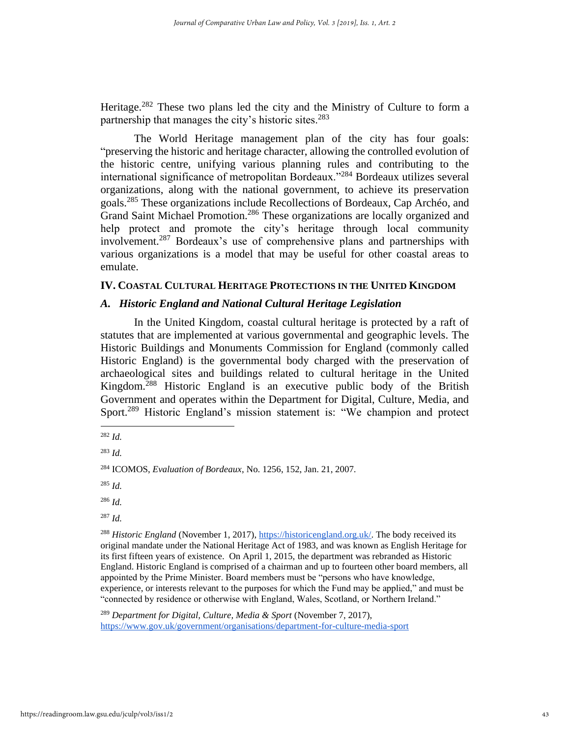Heritage.<sup>282</sup> These two plans led the city and the Ministry of Culture to form a partnership that manages the city's historic sites.<sup>283</sup>

The World Heritage management plan of the city has four goals: "preserving the historic and heritage character, allowing the controlled evolution of the historic centre, unifying various planning rules and contributing to the international significance of metropolitan Bordeaux."<sup>284</sup> Bordeaux utilizes several organizations, along with the national government, to achieve its preservation goals.<sup>285</sup> These organizations include Recollections of Bordeaux, Cap Archéo, and Grand Saint Michael Promotion.<sup>286</sup> These organizations are locally organized and help protect and promote the city's heritage through local community involvement.<sup>287</sup> Bordeaux's use of comprehensive plans and partnerships with various organizations is a model that may be useful for other coastal areas to emulate.

#### **IV. COASTAL CULTURAL HERITAGE PROTECTIONS IN THE UNITED KINGDOM**

## *A. Historic England and National Cultural Heritage Legislation*

In the United Kingdom, coastal cultural heritage is protected by a raft of statutes that are implemented at various governmental and geographic levels. The Historic Buildings and Monuments Commission for England (commonly called Historic England) is the governmental body charged with the preservation of archaeological sites and buildings related to cultural heritage in the United Kingdom. <sup>288</sup> Historic England is an executive public body of the British Government and operates within the Department for Digital, Culture, Media, and Sport.<sup>289</sup> Historic England's mission statement is: "We champion and protect

<sup>289</sup> Department for Digital, Culture, Media & Sport (November 7, 2017), <https://www.gov.uk/government/organisations/department-for-culture-media-sport>

<sup>282</sup> *Id.*

<sup>283</sup> *Id.*

<sup>284</sup> ICOMOS, *Evaluation of Bordeaux*, No. 1256, 152, Jan. 21, 2007.

<sup>285</sup> *Id.*

<sup>286</sup> *Id.*

<sup>287</sup> *Id.*

<sup>288</sup> *Historic England* (November 1, 2017), [https://historicengland.org.uk/.](https://historicengland.org.uk/) The body received its original mandate under the National Heritage Act of 1983, and was known as English Heritage for its first fifteen years of existence. On April 1, 2015, the department was rebranded as Historic England. Historic England is comprised of a chairman and up to fourteen other board members, all appointed by the Prime Minister. Board members must be "persons who have knowledge, experience, or interests relevant to the purposes for which the Fund may be applied," and must be "connected by residence or otherwise with England, Wales, Scotland, or Northern Ireland."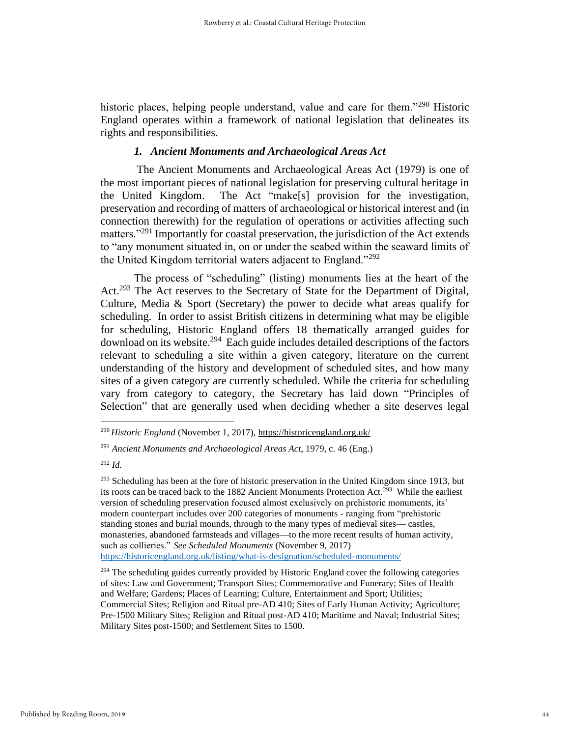historic places, helping people understand, value and care for them."<sup>290</sup> Historic England operates within a framework of national legislation that delineates its rights and responsibilities.

## *1. Ancient Monuments and Archaeological Areas Act*

The Ancient Monuments and Archaeological Areas Act (1979) is one of the most important pieces of national legislation for preserving cultural heritage in the United Kingdom. The Act "make[s] provision for the investigation, preservation and recording of matters of archaeological or historical interest and (in connection therewith) for the regulation of operations or activities affecting such matters."<sup>291</sup> Importantly for coastal preservation, the jurisdiction of the Act extends to "any monument situated in, on or under the seabed within the seaward limits of the United Kingdom territorial waters adjacent to England."<sup>292</sup>

The process of "scheduling" (listing) monuments lies at the heart of the Act.<sup>293</sup> The Act reserves to the Secretary of State for the Department of Digital, Culture, Media & Sport (Secretary) the power to decide what areas qualify for scheduling. In order to assist British citizens in determining what may be eligible for scheduling, Historic England offers 18 thematically arranged guides for download on its website.<sup>294</sup> Each guide includes detailed descriptions of the factors relevant to scheduling a site within a given category, literature on the current understanding of the history and development of scheduled sites, and how many sites of a given category are currently scheduled. While the criteria for scheduling vary from category to category, the Secretary has laid down "Principles of Selection" that are generally used when deciding whether a site deserves legal

<sup>290</sup> *Historic England* (November 1, 2017), https://historicengland.org.uk/

<sup>291</sup> *Ancient Monuments and Archaeological Areas Act*, 1979, c. 46 (Eng.)

<sup>292</sup> *Id.*

 $^{293}$  Scheduling has been at the fore of historic preservation in the United Kingdom since 1913, but its roots can be traced back to the 1882 Ancient Monuments Protection Act.<sup>293</sup> While the earliest version of scheduling preservation focused almost exclusively on prehistoric monuments, its' modern counterpart includes over 200 categories of monuments - ranging from "prehistoric standing stones and burial mounds, through to the many types of medieval sites— castles, monasteries, abandoned farmsteads and villages—to the more recent results of human activity, such as collieries." *See Scheduled Monuments* (November 9, 2017) <https://historicengland.org.uk/listing/what-is-designation/scheduled-monuments/>

 $294$  The scheduling guides currently provided by Historic England cover the following categories of sites: Law and Government; Transport Sites; Commemorative and Funerary; Sites of Health and Welfare; Gardens; Places of Learning; Culture, Entertainment and Sport; Utilities; Commercial Sites; Religion and Ritual pre-AD 410; Sites of Early Human Activity; Agriculture; Pre-1500 Military Sites; Religion and Ritual post-AD 410; Maritime and Naval; Industrial Sites; Military Sites post-1500; and Settlement Sites to 1500.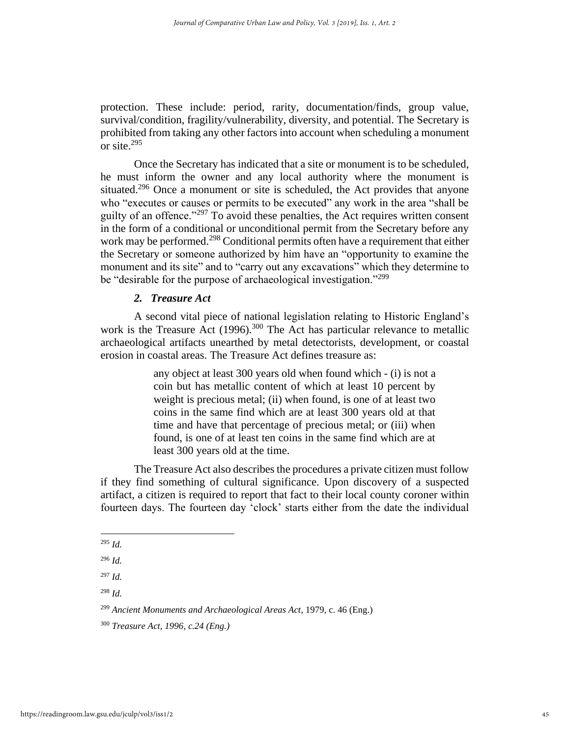protection. These include: period, rarity, documentation/finds, group value, survival/condition, fragility/vulnerability, diversity, and potential. The Secretary is prohibited from taking any other factors into account when scheduling a monument or site.<sup>295</sup>

Once the Secretary has indicated that a site or monument is to be scheduled, he must inform the owner and any local authority where the monument is situated.<sup>296</sup> Once a monument or site is scheduled, the Act provides that anyone who "executes or causes or permits to be executed" any work in the area "shall be guilty of an offence. $1297$  To avoid these penalties, the Act requires written consent in the form of a conditional or unconditional permit from the Secretary before any work may be performed.<sup>298</sup> Conditional permits often have a requirement that either the Secretary or someone authorized by him have an "opportunity to examine the monument and its site" and to "carry out any excavations" which they determine to be "desirable for the purpose of archaeological investigation."<sup>299</sup>

## *2. Treasure Act*

A second vital piece of national legislation relating to Historic England's work is the Treasure Act (1996).<sup>300</sup> The Act has particular relevance to metallic archaeological artifacts unearthed by metal detectorists, development, or coastal erosion in coastal areas. The Treasure Act defines treasure as:

> any object at least 300 years old when found which - (i) is not a coin but has metallic content of which at least 10 percent by weight is precious metal; (ii) when found, is one of at least two coins in the same find which are at least 300 years old at that time and have that percentage of precious metal; or (iii) when found, is one of at least ten coins in the same find which are at least 300 years old at the time.

The Treasure Act also describes the procedures a private citizen must follow if they find something of cultural significance. Upon discovery of a suspected artifact, a citizen is required to report that fact to their local county coroner within fourteen days. The fourteen day 'clock' starts either from the date the individual

<sup>295</sup> *Id.*

<sup>296</sup> *Id.*

<sup>297</sup> *Id.*

<sup>299</sup> *Ancient Monuments and Archaeological Areas Act*, 1979, c. 46 (Eng.)

<sup>300</sup> *Treasure Act, 1996, c.24 (Eng.)*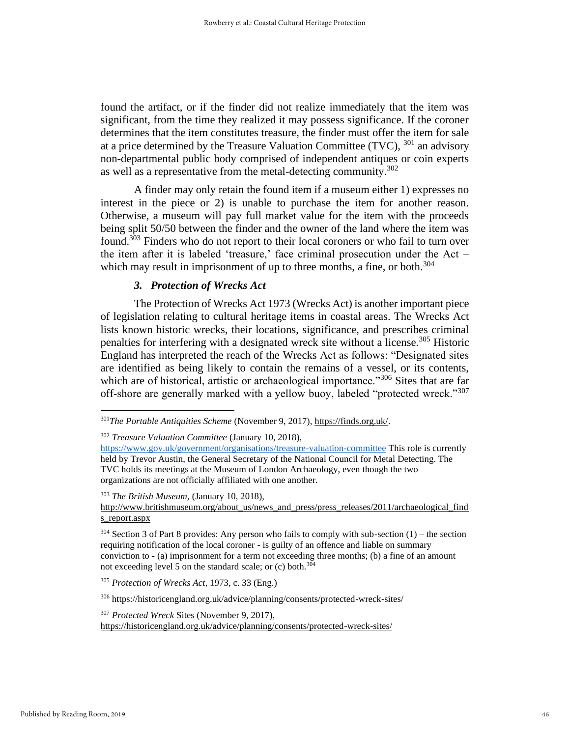found the artifact, or if the finder did not realize immediately that the item was significant, from the time they realized it may possess significance. If the coroner determines that the item constitutes treasure, the finder must offer the item for sale at a price determined by the Treasure Valuation Committee (TVC),  $301$  an advisory non-departmental public body comprised of independent antiques or coin experts as well as a representative from the metal-detecting community.<sup>302</sup>

A finder may only retain the found item if a museum either 1) expresses no interest in the piece or 2) is unable to purchase the item for another reason. Otherwise, a museum will pay full market value for the item with the proceeds being split 50/50 between the finder and the owner of the land where the item was found.<sup>303</sup> Finders who do not report to their local coroners or who fail to turn over the item after it is labeled 'treasure,' face criminal prosecution under the  $Act$ which may result in imprisonment of up to three months, a fine, or both.<sup>304</sup>

## *3. Protection of Wrecks Act*

The Protection of Wrecks Act 1973 (Wrecks Act) is another important piece of legislation relating to cultural heritage items in coastal areas. The Wrecks Act lists known historic wrecks, their locations, significance, and prescribes criminal penalties for interfering with a designated wreck site without a license.<sup>305</sup> Historic England has interpreted the reach of the Wrecks Act as follows: "Designated sites are identified as being likely to contain the remains of a vessel, or its contents, which are of historical, artistic or archaeological importance."<sup>306</sup> Sites that are far off-shore are generally marked with a yellow buoy, labeled "protected wreck."<sup>307</sup>

<sup>306</sup> https://historicengland.org.uk/advice/planning/consents/protected-wreck-sites/

<sup>307</sup> *Protected Wreck* Sites (November 9, 2017), https://historicengland.org.uk/advice/planning/consents/protected-wreck-sites/

<sup>301</sup>*The Portable Antiquities Scheme* (November 9, 2017), https://finds.org.uk/.

<sup>302</sup> *Treasure Valuation Committee* (January 10, 2018),

<https://www.gov.uk/government/organisations/treasure-valuation-committee> This role is currently held by Trevor Austin, the General Secretary of the National Council for Metal Detecting. The TVC holds its meetings at the Museum of London Archaeology, even though the two organizations are not officially affiliated with one another.

<sup>303</sup> *The British Museum,* (January 10, 2018),

http://www.britishmuseum.org/about\_us/news\_and\_press/press\_releases/2011/archaeological\_find s\_report.aspx

 $304$  Section 3 of Part 8 provides: Any person who fails to comply with sub-section  $(1)$  – the section requiring notification of the local coroner - is guilty of an offence and liable on summary conviction to - (a) imprisonment for a term not exceeding three months; (b) a fine of an amount not exceeding level 5 on the standard scale; or  $(c)$  both.<sup>304</sup>

<sup>305</sup> *Protection of Wrecks Act,* 1973, c. 33 (Eng.)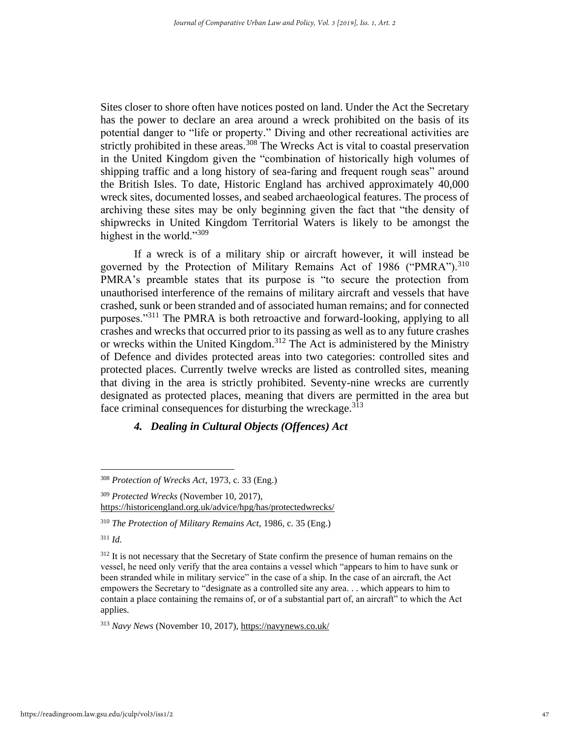Sites closer to shore often have notices posted on land. Under the Act the Secretary has the power to declare an area around a wreck prohibited on the basis of its potential danger to "life or property." Diving and other recreational activities are strictly prohibited in these areas.<sup>308</sup> The Wrecks Act is vital to coastal preservation in the United Kingdom given the "combination of historically high volumes of shipping traffic and a long history of sea-faring and frequent rough seas" around the British Isles. To date, Historic England has archived approximately 40,000 wreck sites, documented losses, and seabed archaeological features. The process of archiving these sites may be only beginning given the fact that "the density of shipwrecks in United Kingdom Territorial Waters is likely to be amongst the highest in the world."<sup>309</sup>

If a wreck is of a military ship or aircraft however, it will instead be governed by the Protection of Military Remains Act of 1986 ("PMRA").<sup>310</sup> PMRA's preamble states that its purpose is "to secure the protection from unauthorised interference of the remains of military aircraft and vessels that have crashed, sunk or been stranded and of associated human remains; and for connected purposes."<sup>311</sup> The PMRA is both retroactive and forward-looking, applying to all crashes and wrecks that occurred prior to its passing as well as to any future crashes or wrecks within the United Kingdom.<sup>312</sup> The Act is administered by the Ministry of Defence and divides protected areas into two categories: controlled sites and protected places. Currently twelve wrecks are listed as controlled sites, meaning that diving in the area is strictly prohibited. Seventy-nine wrecks are currently designated as protected places, meaning that divers are permitted in the area but face criminal consequences for disturbing the wreckage.  $3\overline{1}3$ 

## *4. Dealing in Cultural Objects (Offences) Act*

<sup>311</sup> *Id.*

<sup>312</sup> It is not necessary that the Secretary of State confirm the presence of human remains on the vessel, he need only verify that the area contains a vessel which "appears to him to have sunk or been stranded while in military service" in the case of a ship. In the case of an aircraft, the Act empowers the Secretary to "designate as a controlled site any area. . . which appears to him to contain a place containing the remains of, or of a substantial part of, an aircraft" to which the Act applies.

<sup>313</sup> *Navy News* (November 10, 2017), https://navynews.co.uk/

<sup>308</sup> *Protection of Wrecks Act,* 1973, c. 33 (Eng.)

<sup>309</sup> *Protected Wrecks* (November 10, 2017), https://historicengland.org.uk/advice/hpg/has/protectedwrecks/

<sup>310</sup> *The Protection of Military Remains Act,* 1986, c. 35 (Eng.)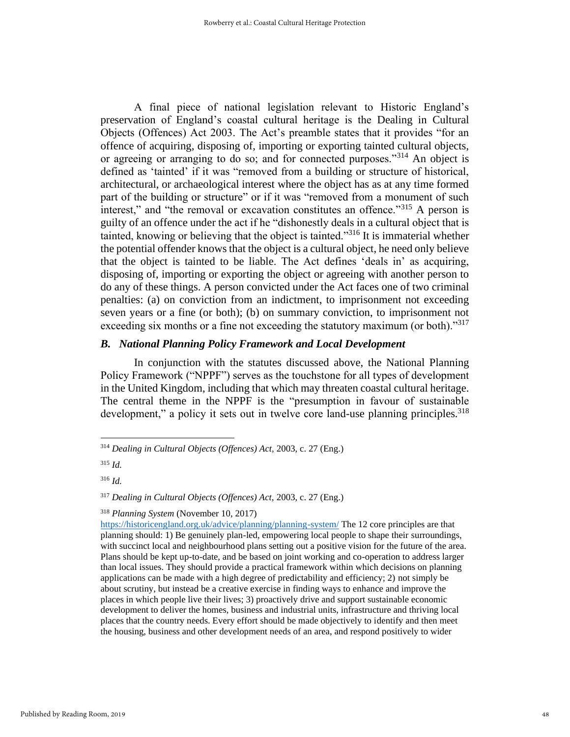A final piece of national legislation relevant to Historic England's preservation of England's coastal cultural heritage is the Dealing in Cultural Objects (Offences) Act 2003. The Act's preamble states that it provides "for an offence of acquiring, disposing of, importing or exporting tainted cultural objects, or agreeing or arranging to do so; and for connected purposes."<sup>314</sup> An object is defined as 'tainted' if it was "removed from a building or structure of historical, architectural, or archaeological interest where the object has as at any time formed part of the building or structure" or if it was "removed from a monument of such interest," and "the removal or excavation constitutes an offence."<sup>315</sup> A person is guilty of an offence under the act if he "dishonestly deals in a cultural object that is tainted, knowing or believing that the object is tainted.<sup>3316</sup> It is immaterial whether the potential offender knows that the object is a cultural object, he need only believe that the object is tainted to be liable. The Act defines 'deals in' as acquiring, disposing of, importing or exporting the object or agreeing with another person to do any of these things. A person convicted under the Act faces one of two criminal penalties: (a) on conviction from an indictment, to imprisonment not exceeding seven years or a fine (or both); (b) on summary conviction, to imprisonment not exceeding six months or a fine not exceeding the statutory maximum (or both). $^{317}$ 

## *B. National Planning Policy Framework and Local Development*

In conjunction with the statutes discussed above, the National Planning Policy Framework ("NPPF") serves as the touchstone for all types of development in the United Kingdom, including that which may threaten coastal cultural heritage. The central theme in the NPPF is the "presumption in favour of sustainable development," a policy it sets out in twelve core land-use planning principles.<sup>318</sup>

<sup>316</sup> *Id.*

<sup>317</sup> *Dealing in Cultural Objects (Offences) Act,* 2003, c. 27 (Eng.)

<sup>318</sup> *Planning System* (November 10, 2017)

<https://historicengland.org.uk/advice/planning/planning-system/> The 12 core principles are that planning should: 1) Be genuinely plan-led, empowering local people to shape their surroundings, with succinct local and neighbourhood plans setting out a positive vision for the future of the area. Plans should be kept up-to-date, and be based on joint working and co-operation to address larger than local issues. They should provide a practical framework within which decisions on planning applications can be made with a high degree of predictability and efficiency; 2) not simply be about scrutiny, but instead be a creative exercise in finding ways to enhance and improve the places in which people live their lives; 3) proactively drive and support sustainable economic development to deliver the homes, business and industrial units, infrastructure and thriving local places that the country needs. Every effort should be made objectively to identify and then meet the housing, business and other development needs of an area, and respond positively to wider

<sup>314</sup> *Dealing in Cultural Objects (Offences) Act,* 2003, c. 27 (Eng.)

<sup>315</sup> *Id.*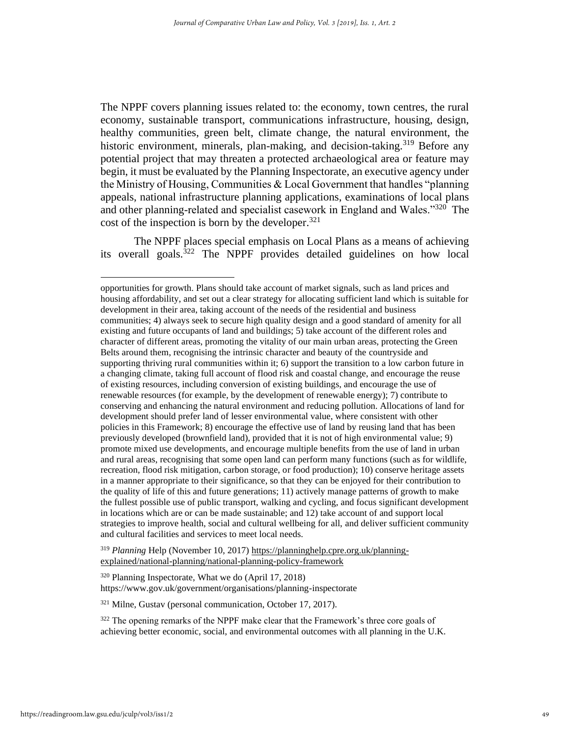The NPPF covers planning issues related to: the economy, town centres, the rural economy, sustainable transport, communications infrastructure, housing, design, healthy communities, green belt, climate change, the natural environment, the historic environment, minerals, plan-making, and decision-taking.<sup>319</sup> Before any potential project that may threaten a protected archaeological area or feature may begin, it must be evaluated by the Planning Inspectorate, an executive agency under the Ministry of Housing, Communities & Local Government that handles "planning appeals, national infrastructure planning applications, examinations of local plans and other planning-related and specialist casework in England and Wales."<sup>320</sup> The cost of the inspection is born by the developer. 321

The NPPF places special emphasis on Local Plans as a means of achieving its overall goals.<sup>322</sup> The NPPF provides detailed guidelines on how local

<sup>319</sup> *Planning* Help (November 10, 2017) https://planninghelp.cpre.org.uk/planningexplained/national-planning/national-planning-policy-framework

<sup>320</sup> Planning Inspectorate, What we do (April 17, 2018) https://www.gov.uk/government/organisations/planning-inspectorate

<sup>321</sup> Milne, Gustav (personal communication, October 17, 2017).

<sup>322</sup> The opening remarks of the NPPF make clear that the Framework's three core goals of achieving better economic, social, and environmental outcomes with all planning in the U.K.

opportunities for growth. Plans should take account of market signals, such as land prices and housing affordability, and set out a clear strategy for allocating sufficient land which is suitable for development in their area, taking account of the needs of the residential and business communities; 4) always seek to secure high quality design and a good standard of amenity for all existing and future occupants of land and buildings; 5) take account of the different roles and character of different areas, promoting the vitality of our main urban areas, protecting the Green Belts around them, recognising the intrinsic character and beauty of the countryside and supporting thriving rural communities within it; 6) support the transition to a low carbon future in a changing climate, taking full account of flood risk and coastal change, and encourage the reuse of existing resources, including conversion of existing buildings, and encourage the use of renewable resources (for example, by the development of renewable energy); 7) contribute to conserving and enhancing the natural environment and reducing pollution. Allocations of land for development should prefer land of lesser environmental value, where consistent with other policies in this Framework; 8) encourage the effective use of land by reusing land that has been previously developed (brownfield land), provided that it is not of high environmental value; 9) promote mixed use developments, and encourage multiple benefits from the use of land in urban and rural areas, recognising that some open land can perform many functions (such as for wildlife, recreation, flood risk mitigation, carbon storage, or food production); 10) conserve heritage assets in a manner appropriate to their significance, so that they can be enjoyed for their contribution to the quality of life of this and future generations; 11) actively manage patterns of growth to make the fullest possible use of public transport, walking and cycling, and focus significant development in locations which are or can be made sustainable; and 12) take account of and support local strategies to improve health, social and cultural wellbeing for all, and deliver sufficient community and cultural facilities and services to meet local needs.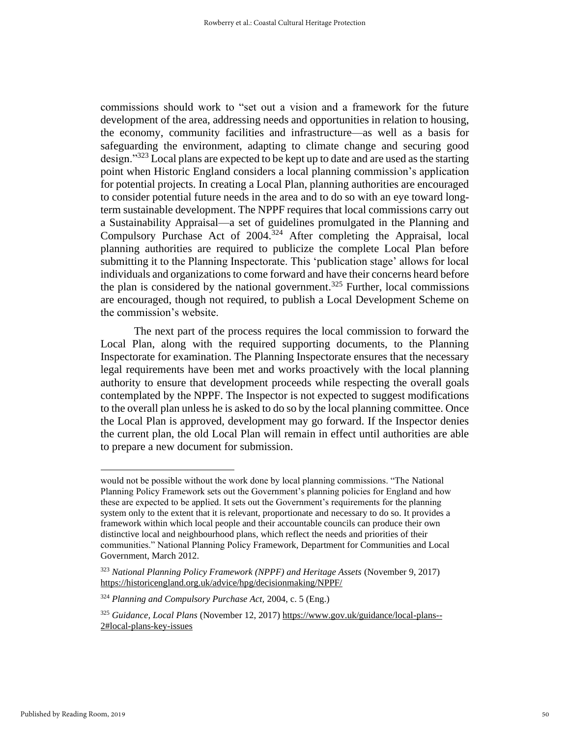commissions should work to "set out a vision and a framework for the future development of the area, addressing needs and opportunities in relation to housing, the economy, community facilities and infrastructure—as well as a basis for safeguarding the environment, adapting to climate change and securing good design."<sup>323</sup> Local plans are expected to be kept up to date and are used as the starting point when Historic England considers a local planning commission's application for potential projects. In creating a Local Plan, planning authorities are encouraged to consider potential future needs in the area and to do so with an eye toward longterm sustainable development. The NPPF requires that local commissions carry out a Sustainability Appraisal—a set of guidelines promulgated in the Planning and Compulsory Purchase Act of 2004.<sup>324</sup> After completing the Appraisal, local planning authorities are required to publicize the complete Local Plan before submitting it to the Planning Inspectorate. This 'publication stage' allows for local individuals and organizations to come forward and have their concerns heard before the plan is considered by the national government.<sup>325</sup> Further, local commissions are encouraged, though not required, to publish a Local Development Scheme on the commission's website.

The next part of the process requires the local commission to forward the Local Plan, along with the required supporting documents, to the Planning Inspectorate for examination. The Planning Inspectorate ensures that the necessary legal requirements have been met and works proactively with the local planning authority to ensure that development proceeds while respecting the overall goals contemplated by the NPPF. The Inspector is not expected to suggest modifications to the overall plan unless he is asked to do so by the local planning committee. Once the Local Plan is approved, development may go forward. If the Inspector denies the current plan, the old Local Plan will remain in effect until authorities are able to prepare a new document for submission.

would not be possible without the work done by local planning commissions. "The National Planning Policy Framework sets out the Government's planning policies for England and how these are expected to be applied. It sets out the Government's requirements for the planning system only to the extent that it is relevant, proportionate and necessary to do so. It provides a framework within which local people and their accountable councils can produce their own distinctive local and neighbourhood plans, which reflect the needs and priorities of their communities." National Planning Policy Framework, Department for Communities and Local Government, March 2012.

<sup>323</sup> *National Planning Policy Framework (NPPF) and Heritage Assets* (November 9, 2017) https://historicengland.org.uk/advice/hpg/decisionmaking/NPPF/

<sup>324</sup> *Planning and Compulsory Purchase Act,* 2004, c. 5 (Eng.)

<sup>325</sup> *Guidance, Local Plans* (November 12, 2017) https://www.gov.uk/guidance/local-plans-- 2#local-plans-key-issues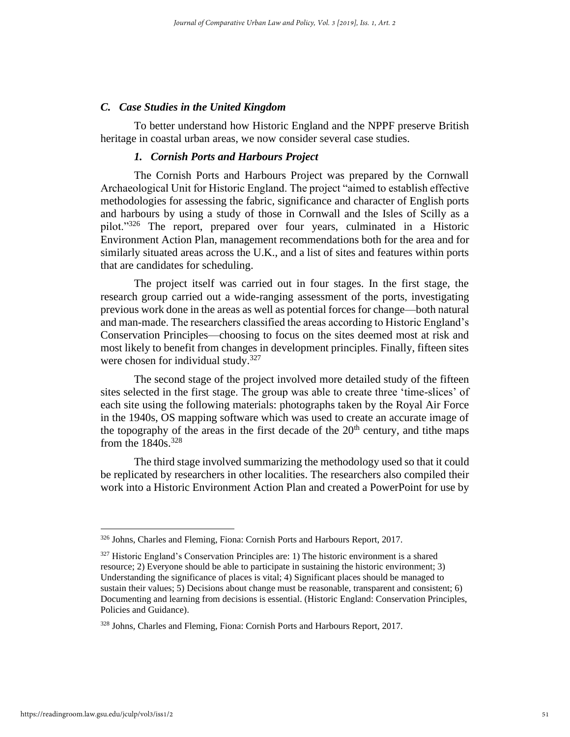#### *C. Case Studies in the United Kingdom*

To better understand how Historic England and the NPPF preserve British heritage in coastal urban areas, we now consider several case studies.

#### *1. Cornish Ports and Harbours Project*

The Cornish Ports and Harbours Project was prepared by the Cornwall Archaeological Unit for Historic England. The project "aimed to establish effective methodologies for assessing the fabric, significance and character of English ports and harbours by using a study of those in Cornwall and the Isles of Scilly as a pilot."<sup>326</sup> The report, prepared over four years, culminated in a Historic Environment Action Plan, management recommendations both for the area and for similarly situated areas across the U.K., and a list of sites and features within ports that are candidates for scheduling.

The project itself was carried out in four stages. In the first stage, the research group carried out a wide-ranging assessment of the ports, investigating previous work done in the areas as well as potential forces for change—both natural and man-made. The researchers classified the areas according to Historic England's Conservation Principles—choosing to focus on the sites deemed most at risk and most likely to benefit from changes in development principles. Finally, fifteen sites were chosen for individual study.<sup>327</sup>

The second stage of the project involved more detailed study of the fifteen sites selected in the first stage. The group was able to create three 'time-slices' of each site using the following materials: photographs taken by the Royal Air Force in the 1940s, OS mapping software which was used to create an accurate image of the topography of the areas in the first decade of the  $20<sup>th</sup>$  century, and tithe maps from the  $1840s$ .<sup>328</sup>

The third stage involved summarizing the methodology used so that it could be replicated by researchers in other localities. The researchers also compiled their work into a Historic Environment Action Plan and created a PowerPoint for use by

<sup>326</sup> Johns, Charles and Fleming, Fiona: Cornish Ports and Harbours Report, 2017.

 $327$  Historic England's Conservation Principles are: 1) The historic environment is a shared resource; 2) Everyone should be able to participate in sustaining the historic environment; 3) Understanding the significance of places is vital; 4) Significant places should be managed to sustain their values; 5) Decisions about change must be reasonable, transparent and consistent; 6) Documenting and learning from decisions is essential. (Historic England: Conservation Principles, Policies and Guidance).

<sup>328</sup> Johns, Charles and Fleming, Fiona: Cornish Ports and Harbours Report, 2017.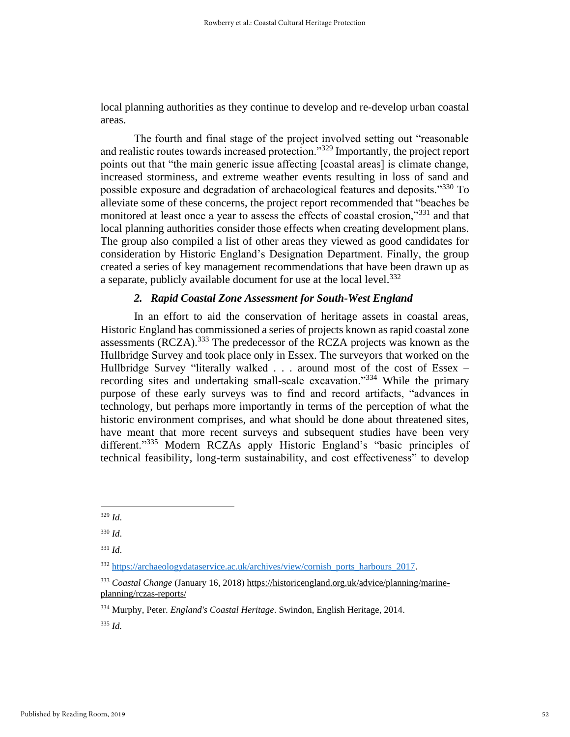local planning authorities as they continue to develop and re-develop urban coastal areas.

The fourth and final stage of the project involved setting out "reasonable and realistic routes towards increased protection."<sup>329</sup> Importantly, the project report points out that "the main generic issue affecting [coastal areas] is climate change, increased storminess, and extreme weather events resulting in loss of sand and possible exposure and degradation of archaeological features and deposits."<sup>330</sup> To alleviate some of these concerns, the project report recommended that "beaches be monitored at least once a year to assess the effects of coastal erosion,"<sup>331</sup> and that local planning authorities consider those effects when creating development plans. The group also compiled a list of other areas they viewed as good candidates for consideration by Historic England's Designation Department. Finally, the group created a series of key management recommendations that have been drawn up as a separate, publicly available document for use at the local level.<sup>332</sup>

## *2. Rapid Coastal Zone Assessment for South-West England*

In an effort to aid the conservation of heritage assets in coastal areas, Historic England has commissioned a series of projects known as rapid coastal zone assessments (RCZA).<sup>333</sup> The predecessor of the RCZA projects was known as the Hullbridge Survey and took place only in Essex. The surveyors that worked on the Hullbridge Survey "literally walked . . . around most of the cost of Essex – recording sites and undertaking small-scale excavation."<sup>334</sup> While the primary purpose of these early surveys was to find and record artifacts, "advances in technology, but perhaps more importantly in terms of the perception of what the historic environment comprises, and what should be done about threatened sites, have meant that more recent surveys and subsequent studies have been very different."<sup>335</sup> Modern RCZAs apply Historic England's "basic principles of technical feasibility, long-term sustainability, and cost effectiveness" to develop

<sup>329</sup> *Id*.

<sup>330</sup> *Id*.

<sup>331</sup> *Id*.

<sup>332</sup> [https://archaeologydataservice.ac.uk/archives/view/cornish\\_ports\\_harbours\\_2017.](https://archaeologydataservice.ac.uk/archives/view/cornish_ports_harbours_2017) 

<sup>333</sup> *Coastal Change* (January 16, 2018) https://historicengland.org.uk/advice/planning/marineplanning/rczas-reports/

<sup>334</sup> Murphy, Peter. *England's Coastal Heritage*. Swindon, English Heritage, 2014.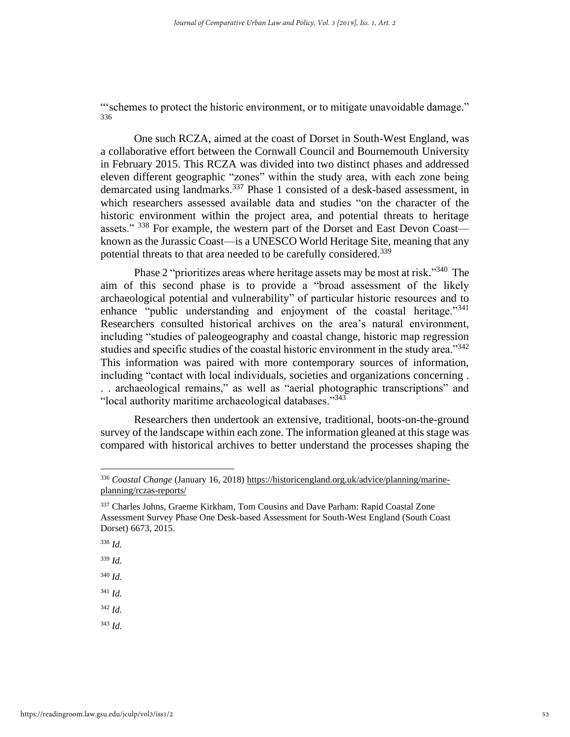"'schemes to protect the historic environment, or to mitigate unavoidable damage." 336

One such RCZA, aimed at the coast of Dorset in South-West England, was a collaborative effort between the Cornwall Council and Bournemouth University in February 2015. This RCZA was divided into two distinct phases and addressed eleven different geographic "zones" within the study area, with each zone being demarcated using landmarks.<sup>337</sup> Phase 1 consisted of a desk-based assessment, in which researchers assessed available data and studies "on the character of the historic environment within the project area, and potential threats to heritage assets." <sup>338</sup> For example, the western part of the Dorset and East Devon Coast known as the Jurassic Coast—is a UNESCO World Heritage Site, meaning that any potential threats to that area needed to be carefully considered.<sup>339</sup>

Phase 2 "prioritizes areas where heritage assets may be most at risk."<sup>340</sup> The aim of this second phase is to provide a "broad assessment of the likely archaeological potential and vulnerability" of particular historic resources and to enhance "public understanding and enjoyment of the coastal heritage."<sup>341</sup> Researchers consulted historical archives on the area's natural environment, including "studies of paleogeography and coastal change, historic map regression studies and specific studies of the coastal historic environment in the study area."<sup>342</sup> This information was paired with more contemporary sources of information, including "contact with local individuals, societies and organizations concerning . . . archaeological remains," as well as "aerial photographic transcriptions" and "local authority maritime archaeological databases."<sup>343</sup>

Researchers then undertook an extensive, traditional, boots-on-the-ground survey of the landscape within each zone. The information gleaned at this stage was compared with historical archives to better understand the processes shaping the

<sup>340</sup> *Id.*

<sup>341</sup> *Id.*

<sup>342</sup> *Id.*

<sup>336</sup> *Coastal Change* (January 16, 2018) https://historicengland.org.uk/advice/planning/marineplanning/rczas-reports/

<sup>&</sup>lt;sup>337</sup> Charles Johns, Graeme Kirkham, Tom Cousins and Dave Parham: Rapid Coastal Zone Assessment Survey Phase One Desk-based Assessment for South-West England (South Coast Dorset) 6673, 2015.

<sup>338</sup> *Id.*

<sup>339</sup> *Id.*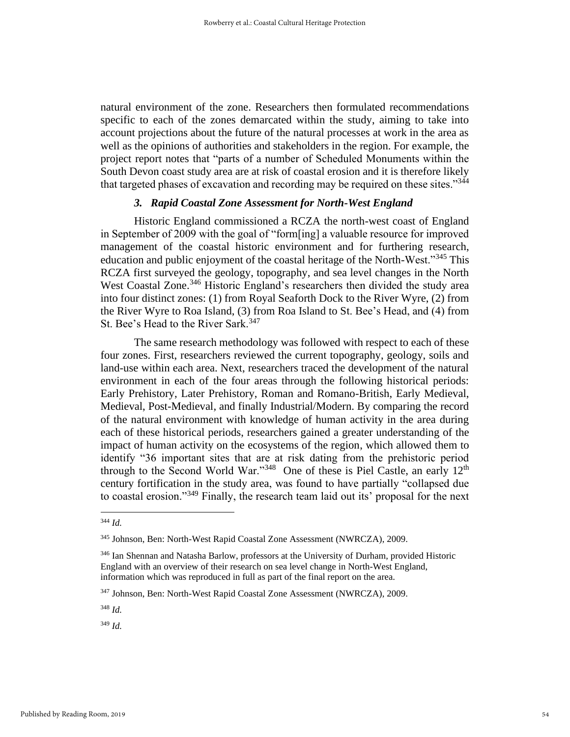natural environment of the zone. Researchers then formulated recommendations specific to each of the zones demarcated within the study, aiming to take into account projections about the future of the natural processes at work in the area as well as the opinions of authorities and stakeholders in the region. For example, the project report notes that "parts of a number of Scheduled Monuments within the South Devon coast study area are at risk of coastal erosion and it is therefore likely that targeted phases of excavation and recording may be required on these sites."<sup>344</sup>

## *3. Rapid Coastal Zone Assessment for North-West England*

Historic England commissioned a RCZA the north-west coast of England in September of 2009 with the goal of "form[ing] a valuable resource for improved management of the coastal historic environment and for furthering research, education and public enjoyment of the coastal heritage of the North-West."<sup>345</sup> This RCZA first surveyed the geology, topography, and sea level changes in the North West Coastal Zone.<sup>346</sup> Historic England's researchers then divided the study area into four distinct zones: (1) from Royal Seaforth Dock to the River Wyre, (2) from the River Wyre to Roa Island, (3) from Roa Island to St. Bee's Head, and (4) from St. Bee's Head to the River Sark.<sup>347</sup>

The same research methodology was followed with respect to each of these four zones. First, researchers reviewed the current topography, geology, soils and land-use within each area. Next, researchers traced the development of the natural environment in each of the four areas through the following historical periods: Early Prehistory, Later Prehistory, Roman and Romano-British, Early Medieval, Medieval, Post-Medieval, and finally Industrial/Modern. By comparing the record of the natural environment with knowledge of human activity in the area during each of these historical periods, researchers gained a greater understanding of the impact of human activity on the ecosystems of the region, which allowed them to identify "36 important sites that are at risk dating from the prehistoric period through to the Second World War."<sup>348</sup> One of these is Piel Castle, an early 12<sup>th</sup> century fortification in the study area, was found to have partially "collapsed due to coastal erosion."<sup>349</sup> Finally, the research team laid out its' proposal for the next

<sup>344</sup> *Id.*

<sup>345</sup> Johnson, Ben: North-West Rapid Coastal Zone Assessment (NWRCZA), 2009.

<sup>&</sup>lt;sup>346</sup> Ian Shennan and Natasha Barlow, professors at the University of Durham, provided Historic England with an overview of their research on sea level change in North-West England, information which was reproduced in full as part of the final report on the area.

<sup>347</sup> Johnson, Ben: North-West Rapid Coastal Zone Assessment (NWRCZA), 2009.

<sup>348</sup> *Id.*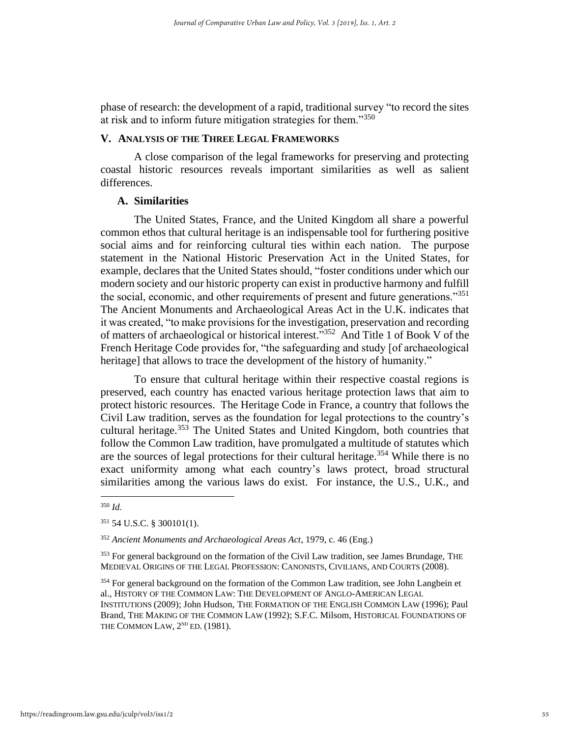phase of research: the development of a rapid, traditional survey "to record the sites at risk and to inform future mitigation strategies for them."<sup>350</sup>

## **V. ANALYSIS OF THE THREE LEGAL FRAMEWORKS**

A close comparison of the legal frameworks for preserving and protecting coastal historic resources reveals important similarities as well as salient differences.

## **A. Similarities**

The United States, France, and the United Kingdom all share a powerful common ethos that cultural heritage is an indispensable tool for furthering positive social aims and for reinforcing cultural ties within each nation. The purpose statement in the National Historic Preservation Act in the United States, for example, declares that the United States should, "foster conditions under which our modern society and our historic property can exist in productive harmony and fulfill the social, economic, and other requirements of present and future generations."<sup>351</sup> The Ancient Monuments and Archaeological Areas Act in the U.K. indicates that it was created, "to make provisions for the investigation, preservation and recording of matters of archaeological or historical interest."<sup>352</sup> And Title 1 of Book V of the French Heritage Code provides for, "the safeguarding and study [of archaeological heritage] that allows to trace the development of the history of humanity."

To ensure that cultural heritage within their respective coastal regions is preserved, each country has enacted various heritage protection laws that aim to protect historic resources. The Heritage Code in France, a country that follows the Civil Law tradition, serves as the foundation for legal protections to the country's cultural heritage.<sup>353</sup> The United States and United Kingdom, both countries that follow the Common Law tradition, have promulgated a multitude of statutes which are the sources of legal protections for their cultural heritage.<sup>354</sup> While there is no exact uniformity among what each country's laws protect, broad structural similarities among the various laws do exist. For instance, the U.S., U.K., and

<sup>350</sup> *Id.*

<sup>351</sup> 54 U.S.C. § 300101(1).

<sup>352</sup> *Ancient Monuments and Archaeological Areas Act*, 1979, c. 46 (Eng.)

<sup>&</sup>lt;sup>353</sup> For general background on the formation of the Civil Law tradition, see James Brundage, THE MEDIEVAL ORIGINS OF THE LEGAL PROFESSION: CANONISTS, CIVILIANS, AND COURTS (2008).

<sup>&</sup>lt;sup>354</sup> For general background on the formation of the Common Law tradition, see John Langbein et al., HISTORY OF THE COMMON LAW: THE DEVELOPMENT OF ANGLO-AMERICAN LEGAL INSTITUTIONS (2009); John Hudson, THE FORMATION OF THE ENGLISH COMMON LAW (1996); Paul Brand, THE MAKING OF THE COMMON LAW (1992); S.F.C. Milsom, HISTORICAL FOUNDATIONS OF THE COMMON LAW,  $2^{ND}$  ED. (1981).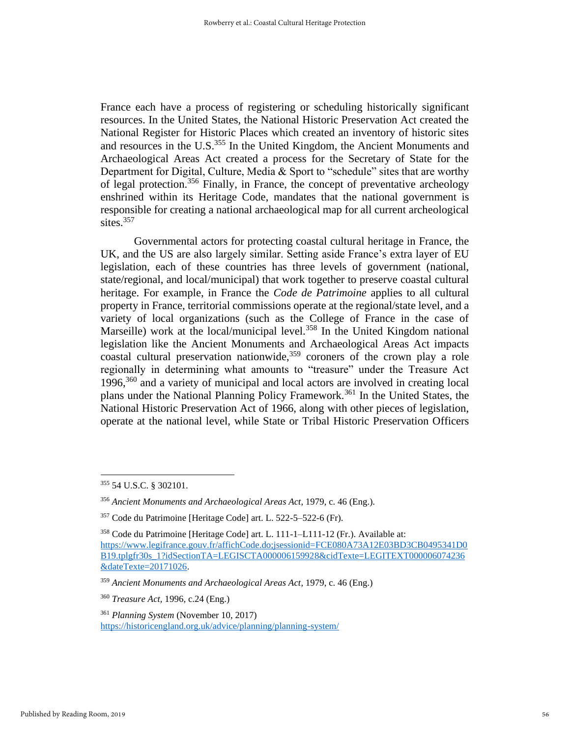France each have a process of registering or scheduling historically significant resources. In the United States, the National Historic Preservation Act created the National Register for Historic Places which created an inventory of historic sites and resources in the U.S.<sup>355</sup> In the United Kingdom, the Ancient Monuments and Archaeological Areas Act created a process for the Secretary of State for the Department for Digital, Culture, Media  $&$  Sport to "schedule" sites that are worthy of legal protection.<sup>356</sup> Finally, in France, the concept of preventative archeology enshrined within its Heritage Code, mandates that the national government is responsible for creating a national archaeological map for all current archeological sites. $357$ 

Governmental actors for protecting coastal cultural heritage in France, the UK, and the US are also largely similar. Setting aside France's extra layer of EU legislation, each of these countries has three levels of government (national, state/regional, and local/municipal) that work together to preserve coastal cultural heritage. For example, in France the *Code de Patrimoine* applies to all cultural property in France, territorial commissions operate at the regional/state level, and a variety of local organizations (such as the College of France in the case of Marseille) work at the local/municipal level.<sup>358</sup> In the United Kingdom national legislation like the Ancient Monuments and Archaeological Areas Act impacts coastal cultural preservation nationwide,  $359$  coroners of the crown play a role regionally in determining what amounts to "treasure" under the Treasure Act 1996,<sup>360</sup> and a variety of municipal and local actors are involved in creating local plans under the National Planning Policy Framework.<sup>361</sup> In the United States, the National Historic Preservation Act of 1966, along with other pieces of legislation, operate at the national level, while State or Tribal Historic Preservation Officers

<sup>355</sup> 54 U.S.C. § 302101.

<sup>356</sup> *Ancient Monuments and Archaeological Areas Act*, 1979, c. 46 (Eng.).

<sup>357</sup> Code du Patrimoine [Heritage Code] art. L. 522-5–522-6 (Fr).

<sup>358</sup> Code du Patrimoine [Heritage Code] art. L. 111-1–L111-12 (Fr.). Available at: [https://www.legifrance.gouv.fr/affichCode.do;jsessionid=FCE080A73A12E03BD3CB0495341D0](https://www.legifrance.gouv.fr/affichCode.do;jsessionid=FCE080A73A12E03BD3CB0495341D0B19.tplgfr30s_1?idSectionTA=LEGISCTA000006159928&cidTexte=LEGITEXT000006074236&dateTexte=20171026) [B19.tplgfr30s\\_1?idSectionTA=LEGISCTA000006159928&cidTexte=LEGITEXT000006074236](https://www.legifrance.gouv.fr/affichCode.do;jsessionid=FCE080A73A12E03BD3CB0495341D0B19.tplgfr30s_1?idSectionTA=LEGISCTA000006159928&cidTexte=LEGITEXT000006074236&dateTexte=20171026) [&dateTexte=20171026.](https://www.legifrance.gouv.fr/affichCode.do;jsessionid=FCE080A73A12E03BD3CB0495341D0B19.tplgfr30s_1?idSectionTA=LEGISCTA000006159928&cidTexte=LEGITEXT000006074236&dateTexte=20171026)

<sup>359</sup> *Ancient Monuments and Archaeological Areas Act*, 1979, c. 46 (Eng.)

<sup>360</sup> *Treasure Act,* 1996, c.24 (Eng.)

<sup>361</sup> *Planning System* (November 10, 2017) <https://historicengland.org.uk/advice/planning/planning-system/>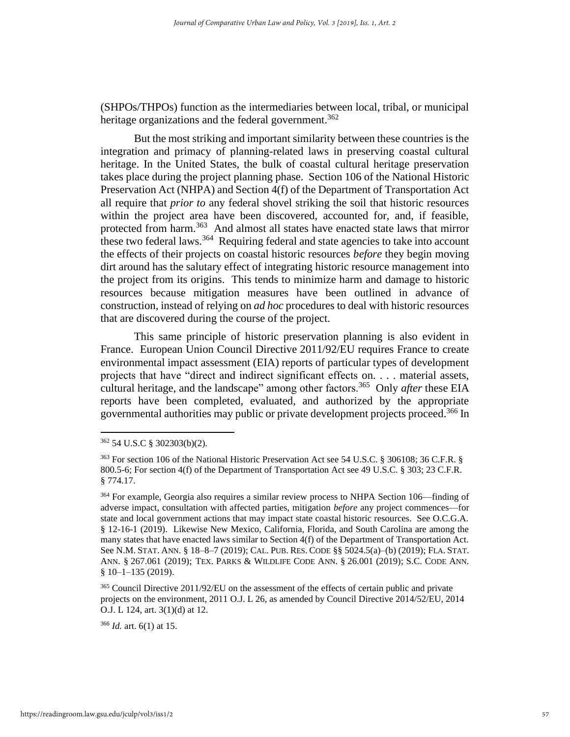(SHPOs/THPOs) function as the intermediaries between local, tribal, or municipal heritage organizations and the federal government.<sup>362</sup>

But the most striking and important similarity between these countries is the integration and primacy of planning-related laws in preserving coastal cultural heritage. In the United States, the bulk of coastal cultural heritage preservation takes place during the project planning phase. Section 106 of the National Historic Preservation Act (NHPA) and Section 4(f) of the Department of Transportation Act all require that *prior to* any federal shovel striking the soil that historic resources within the project area have been discovered, accounted for, and, if feasible, protected from harm.<sup>363</sup> And almost all states have enacted state laws that mirror these two federal laws.<sup>364</sup> Requiring federal and state agencies to take into account the effects of their projects on coastal historic resources *before* they begin moving dirt around has the salutary effect of integrating historic resource management into the project from its origins. This tends to minimize harm and damage to historic resources because mitigation measures have been outlined in advance of construction, instead of relying on *ad hoc* procedures to deal with historic resources that are discovered during the course of the project.

This same principle of historic preservation planning is also evident in France. European Union Council Directive 2011/92/EU requires France to create environmental impact assessment (EIA) reports of particular types of development projects that have "direct and indirect significant effects on. . . . material assets, cultural heritage, and the landscape" among other factors.<sup>365</sup> Only *after* these EIA reports have been completed, evaluated, and authorized by the appropriate governmental authorities may public or private development projects proceed.<sup>366</sup> In

<sup>366</sup> *Id.* art. 6(1) at 15.

<sup>362</sup> 54 U.S.C § 302303(b)(2).

<sup>363</sup> For section 106 of the National Historic Preservation Act see 54 U.S.C. § 306108; 36 C.F.R. § 800.5-6; For section 4(f) of the Department of Transportation Act see 49 U.S.C. § 303; 23 C.F.R. § 774.17.

<sup>&</sup>lt;sup>364</sup> For example, Georgia also requires a similar review process to NHPA Section 106—finding of adverse impact, consultation with affected parties, mitigation *before* any project commences—for state and local government actions that may impact state coastal historic resources. See O.C.G.A. § 12-16-1 (2019). Likewise New Mexico, California, Florida, and South Carolina are among the many states that have enacted laws similar to Section 4(f) of the Department of Transportation Act. See N.M. STAT. ANN. § 18–8–7 (2019); CAL. PUB. RES. CODE §§ 5024.5(a)–(b) (2019); FLA. STAT. ANN. § 267.061 (2019); TEX. PARKS & WILDLIFE CODE ANN. § 26.001 (2019); S.C. CODE ANN.  $§ 10-1-135 (2019).$ 

<sup>&</sup>lt;sup>365</sup> Council Directive 2011/92/EU on the assessment of the effects of certain public and private projects on the environment, 2011 O.J. L 26, as amended by Council Directive 2014/52/EU, 2014 O.J. L 124, art. 3(1)(d) at 12.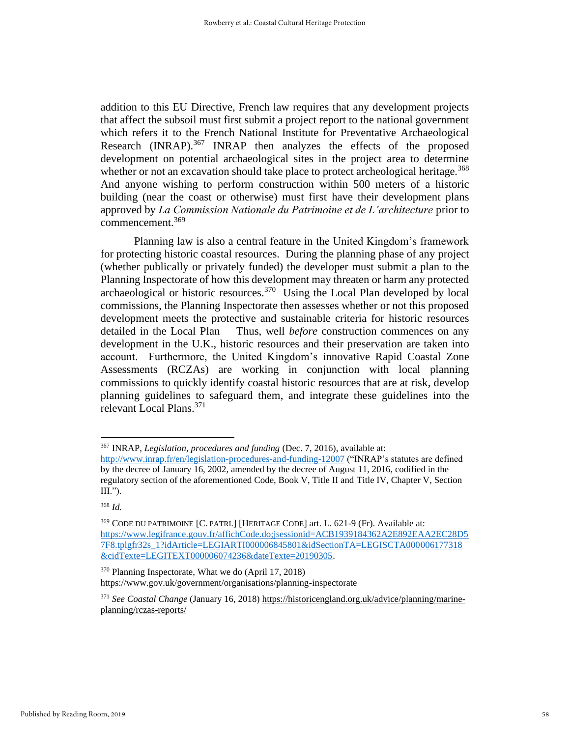addition to this EU Directive, French law requires that any development projects that affect the subsoil must first submit a project report to the national government which refers it to the French National Institute for Preventative Archaeological Research (INRAP).<sup>367</sup> INRAP then analyzes the effects of the proposed development on potential archaeological sites in the project area to determine whether or not an excavation should take place to protect archeological heritage.<sup>368</sup> And anyone wishing to perform construction within 500 meters of a historic building (near the coast or otherwise) must first have their development plans approved by *La Commission Nationale du Patrimoine et de L'architecture* prior to commencement.<sup>369</sup>

Planning law is also a central feature in the United Kingdom's framework for protecting historic coastal resources. During the planning phase of any project (whether publically or privately funded) the developer must submit a plan to the Planning Inspectorate of how this development may threaten or harm any protected archaeological or historic resources. 370 Using the Local Plan developed by local commissions, the Planning Inspectorate then assesses whether or not this proposed development meets the protective and sustainable criteria for historic resources detailed in the Local Plan Thus, well *before* construction commences on any development in the U.K., historic resources and their preservation are taken into account. Furthermore, the United Kingdom's innovative Rapid Coastal Zone Assessments (RCZAs) are working in conjunction with local planning commissions to quickly identify coastal historic resources that are at risk, develop planning guidelines to safeguard them, and integrate these guidelines into the relevant Local Plans. 371

<sup>370</sup> Planning Inspectorate, What we do (April 17, 2018) https://www.gov.uk/government/organisations/planning-inspectorate

<sup>367</sup> INRAP, *Legislation, procedures and funding* (Dec. 7, 2016), available at:

<http://www.inrap.fr/en/legislation-procedures-and-funding-12007> ("INRAP's statutes are defined by the decree of January 16, 2002, amended by the decree of August 11, 2016, codified in the regulatory section of the aforementioned Code, Book V, Title II and Title IV, Chapter V, Section III.").

<sup>368</sup> *Id.* 

<sup>369</sup> CODE DU PATRIMOINE [C. PATRI.] [HERITAGE CODE] art. L. 621-9 (Fr). Available at: [https://www.legifrance.gouv.fr/affichCode.do;jsessionid=ACB1939184362A2E892EAA2EC28D5](https://www.legifrance.gouv.fr/affichCode.do;jsessionid=ACB1939184362A2E892EAA2EC28D57F8.tplgfr32s_1?idArticle=LEGIARTI000006845801&idSectionTA=LEGISCTA000006177318&cidTexte=LEGITEXT000006074236&dateTexte=20190305) [7F8.tplgfr32s\\_1?idArticle=LEGIARTI000006845801&idSectionTA=LEGISCTA000006177318](https://www.legifrance.gouv.fr/affichCode.do;jsessionid=ACB1939184362A2E892EAA2EC28D57F8.tplgfr32s_1?idArticle=LEGIARTI000006845801&idSectionTA=LEGISCTA000006177318&cidTexte=LEGITEXT000006074236&dateTexte=20190305) [&cidTexte=LEGITEXT000006074236&dateTexte=20190305.](https://www.legifrance.gouv.fr/affichCode.do;jsessionid=ACB1939184362A2E892EAA2EC28D57F8.tplgfr32s_1?idArticle=LEGIARTI000006845801&idSectionTA=LEGISCTA000006177318&cidTexte=LEGITEXT000006074236&dateTexte=20190305)

<sup>371</sup> *See Coastal Change* (January 16, 2018) https://historicengland.org.uk/advice/planning/marineplanning/rczas-reports/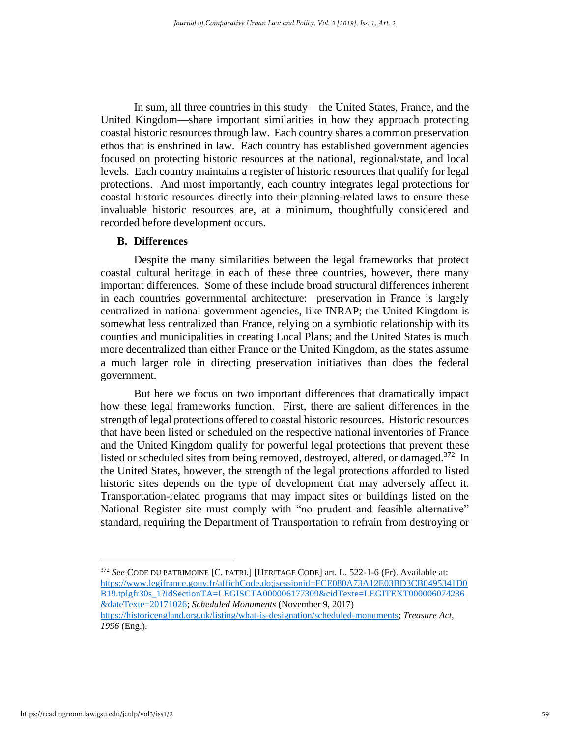In sum, all three countries in this study—the United States, France, and the United Kingdom—share important similarities in how they approach protecting coastal historic resources through law. Each country shares a common preservation ethos that is enshrined in law. Each country has established government agencies focused on protecting historic resources at the national, regional/state, and local levels. Each country maintains a register of historic resources that qualify for legal protections. And most importantly, each country integrates legal protections for coastal historic resources directly into their planning-related laws to ensure these invaluable historic resources are, at a minimum, thoughtfully considered and recorded before development occurs.

#### **B. Differences**

Despite the many similarities between the legal frameworks that protect coastal cultural heritage in each of these three countries, however, there many important differences. Some of these include broad structural differences inherent in each countries governmental architecture: preservation in France is largely centralized in national government agencies, like INRAP; the United Kingdom is somewhat less centralized than France, relying on a symbiotic relationship with its counties and municipalities in creating Local Plans; and the United States is much more decentralized than either France or the United Kingdom, as the states assume a much larger role in directing preservation initiatives than does the federal government.

But here we focus on two important differences that dramatically impact how these legal frameworks function. First, there are salient differences in the strength of legal protections offered to coastal historic resources. Historic resources that have been listed or scheduled on the respective national inventories of France and the United Kingdom qualify for powerful legal protections that prevent these listed or scheduled sites from being removed, destroyed, altered, or damaged.<sup>372</sup> In the United States, however, the strength of the legal protections afforded to listed historic sites depends on the type of development that may adversely affect it. Transportation-related programs that may impact sites or buildings listed on the National Register site must comply with "no prudent and feasible alternative" standard, requiring the Department of Transportation to refrain from destroying or

<sup>372</sup> *See* CODE DU PATRIMOINE [C. PATRI.] [HERITAGE CODE] art. L. 522-1-6 (Fr). Available at: [https://www.legifrance.gouv.fr/affichCode.do;jsessionid=FCE080A73A12E03BD3CB0495341D0](https://www.legifrance.gouv.fr/affichCode.do;jsessionid=FCE080A73A12E03BD3CB0495341D0B19.tplgfr30s_1?idSectionTA=LEGISCTA000006177309&cidTexte=LEGITEXT000006074236&dateTexte=20171026) [B19.tplgfr30s\\_1?idSectionTA=LEGISCTA000006177309&cidTexte=LEGITEXT000006074236](https://www.legifrance.gouv.fr/affichCode.do;jsessionid=FCE080A73A12E03BD3CB0495341D0B19.tplgfr30s_1?idSectionTA=LEGISCTA000006177309&cidTexte=LEGITEXT000006074236&dateTexte=20171026) [&dateTexte=20171026;](https://www.legifrance.gouv.fr/affichCode.do;jsessionid=FCE080A73A12E03BD3CB0495341D0B19.tplgfr30s_1?idSectionTA=LEGISCTA000006177309&cidTexte=LEGITEXT000006074236&dateTexte=20171026) *Scheduled Monuments* (November 9, 2017) [https://historicengland.org.uk/listing/what-is-designation/scheduled-monuments;](https://historicengland.org.uk/listing/what-is-designation/scheduled-monuments) *Treasure Act, 1996* (Eng.).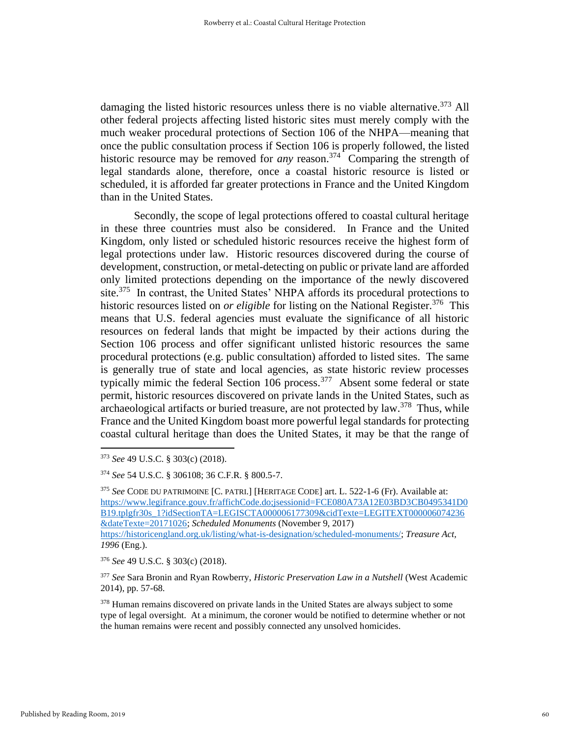damaging the listed historic resources unless there is no viable alternative.<sup>373</sup> All other federal projects affecting listed historic sites must merely comply with the much weaker procedural protections of Section 106 of the NHPA—meaning that once the public consultation process if Section 106 is properly followed, the listed historic resource may be removed for *any* reason.<sup>374</sup> Comparing the strength of legal standards alone, therefore, once a coastal historic resource is listed or scheduled, it is afforded far greater protections in France and the United Kingdom than in the United States.

Secondly, the scope of legal protections offered to coastal cultural heritage in these three countries must also be considered. In France and the United Kingdom, only listed or scheduled historic resources receive the highest form of legal protections under law. Historic resources discovered during the course of development, construction, or metal-detecting on public or private land are afforded only limited protections depending on the importance of the newly discovered site.<sup>375</sup> In contrast, the United States' NHPA affords its procedural protections to historic resources listed on *or eligible* for listing on the National Register.<sup>376</sup> This means that U.S. federal agencies must evaluate the significance of all historic resources on federal lands that might be impacted by their actions during the Section 106 process and offer significant unlisted historic resources the same procedural protections (e.g. public consultation) afforded to listed sites. The same is generally true of state and local agencies, as state historic review processes typically mimic the federal Section 106 process.<sup>377</sup> Absent some federal or state permit, historic resources discovered on private lands in the United States, such as archaeological artifacts or buried treasure, are not protected by law.<sup>378</sup> Thus, while France and the United Kingdom boast more powerful legal standards for protecting coastal cultural heritage than does the United States, it may be that the range of

*1996* (Eng.).

<sup>373</sup> *See* 49 U.S.C. § 303(c) (2018).

<sup>374</sup> *See* 54 U.S.C. § 306108; 36 C.F.R. § 800.5-7.

<sup>375</sup> *See* CODE DU PATRIMOINE [C. PATRI.] [HERITAGE CODE] art. L. 522-1-6 (Fr). Available at: [https://www.legifrance.gouv.fr/affichCode.do;jsessionid=FCE080A73A12E03BD3CB0495341D0](https://www.legifrance.gouv.fr/affichCode.do;jsessionid=FCE080A73A12E03BD3CB0495341D0B19.tplgfr30s_1?idSectionTA=LEGISCTA000006177309&cidTexte=LEGITEXT000006074236&dateTexte=20171026) [B19.tplgfr30s\\_1?idSectionTA=LEGISCTA000006177309&cidTexte=LEGITEXT000006074236](https://www.legifrance.gouv.fr/affichCode.do;jsessionid=FCE080A73A12E03BD3CB0495341D0B19.tplgfr30s_1?idSectionTA=LEGISCTA000006177309&cidTexte=LEGITEXT000006074236&dateTexte=20171026) [&dateTexte=20171026;](https://www.legifrance.gouv.fr/affichCode.do;jsessionid=FCE080A73A12E03BD3CB0495341D0B19.tplgfr30s_1?idSectionTA=LEGISCTA000006177309&cidTexte=LEGITEXT000006074236&dateTexte=20171026) *Scheduled Monuments* (November 9, 2017) [https://historicengland.org.uk/listing/what-is-designation/scheduled-monuments/;](https://historicengland.org.uk/listing/what-is-designation/scheduled-monuments/) *Treasure Act,* 

<sup>376</sup> *See* 49 U.S.C. § 303(c) (2018).

<sup>377</sup> *See* Sara Bronin and Ryan Rowberry, *Historic Preservation Law in a Nutshell* (West Academic 2014), pp. 57-68.

<sup>&</sup>lt;sup>378</sup> Human remains discovered on private lands in the United States are always subject to some type of legal oversight. At a minimum, the coroner would be notified to determine whether or not the human remains were recent and possibly connected any unsolved homicides.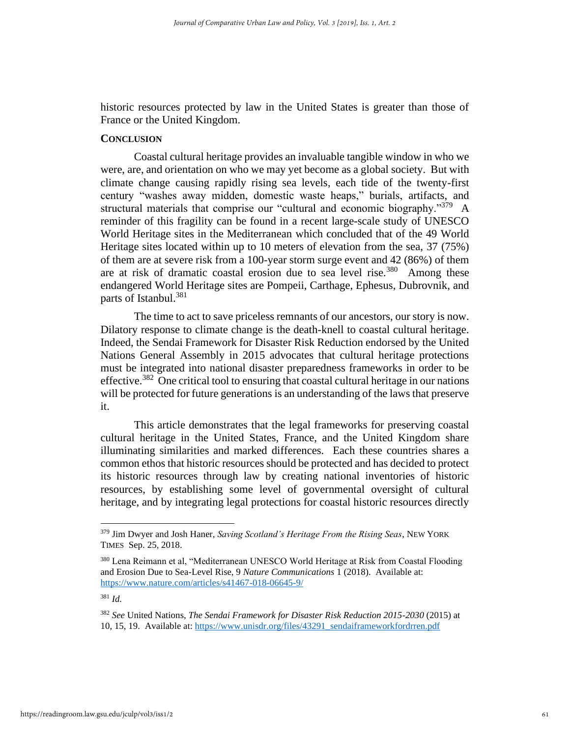historic resources protected by law in the United States is greater than those of France or the United Kingdom.

## **CONCLUSION**

Coastal cultural heritage provides an invaluable tangible window in who we were, are, and orientation on who we may yet become as a global society. But with climate change causing rapidly rising sea levels, each tide of the twenty-first century "washes away midden, domestic waste heaps," burials, artifacts, and structural materials that comprise our "cultural and economic biography."<sup>379</sup> A reminder of this fragility can be found in a recent large-scale study of UNESCO World Heritage sites in the Mediterranean which concluded that of the 49 World Heritage sites located within up to 10 meters of elevation from the sea, 37 (75%) of them are at severe risk from a 100-year storm surge event and 42 (86%) of them are at risk of dramatic coastal erosion due to sea level rise.<sup>380</sup> Among these endangered World Heritage sites are Pompeii, Carthage, Ephesus, Dubrovnik, and parts of Istanbul.<sup>381</sup>

The time to act to save priceless remnants of our ancestors, our story is now. Dilatory response to climate change is the death-knell to coastal cultural heritage. Indeed, the Sendai Framework for Disaster Risk Reduction endorsed by the United Nations General Assembly in 2015 advocates that cultural heritage protections must be integrated into national disaster preparedness frameworks in order to be effective.<sup>382</sup> One critical tool to ensuring that coastal cultural heritage in our nations will be protected for future generations is an understanding of the laws that preserve it.

This article demonstrates that the legal frameworks for preserving coastal cultural heritage in the United States, France, and the United Kingdom share illuminating similarities and marked differences. Each these countries shares a common ethos that historic resources should be protected and has decided to protect its historic resources through law by creating national inventories of historic resources, by establishing some level of governmental oversight of cultural heritage, and by integrating legal protections for coastal historic resources directly

<sup>379</sup> Jim Dwyer and Josh Haner, *Saving Scotland's Heritage From the Rising Seas*, NEW YORK TIMES Sep. 25, 2018.

<sup>380</sup> Lena Reimann et al, "Mediterranean UNESCO World Heritage at Risk from Coastal Flooding and Erosion Due to Sea-Level Rise, 9 *Nature Communications* 1 (2018). Available at: <https://www.nature.com/articles/s41467-018-06645-9/>

<sup>381</sup> *Id.*

<sup>382</sup> *See* United Nations, *The Sendai Framework for Disaster Risk Reduction 2015-2030* (2015) at 10, 15, 19. Available at: [https://www.unisdr.org/files/43291\\_sendaiframeworkfordrren.pdf](https://www.unisdr.org/files/43291_sendaiframeworkfordrren.pdf)